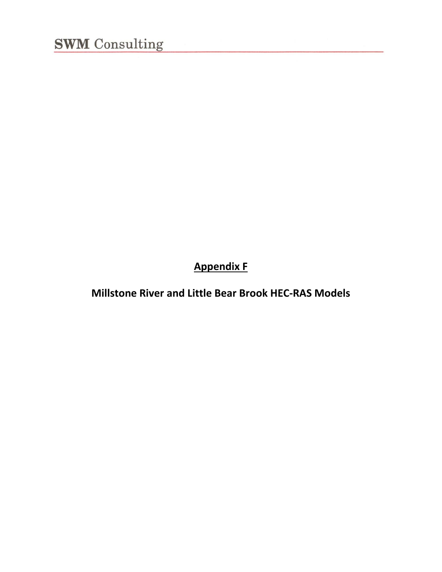**Appendix F**

**Millstone River and Little Bear Brook HEC‐RAS Models**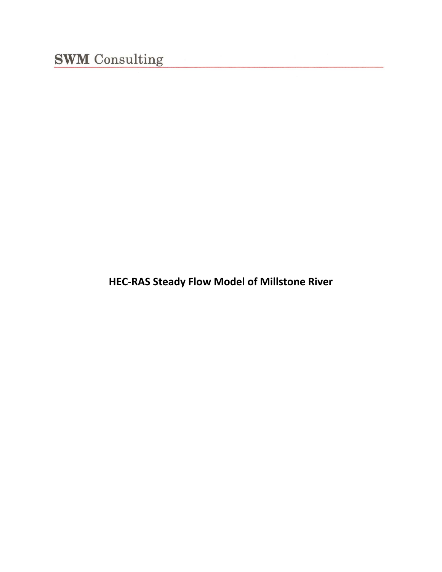**HEC‐RAS Steady Flow Model of Millstone River**

<u> 1980 - Jan Stein Stein, fransk politik (</u>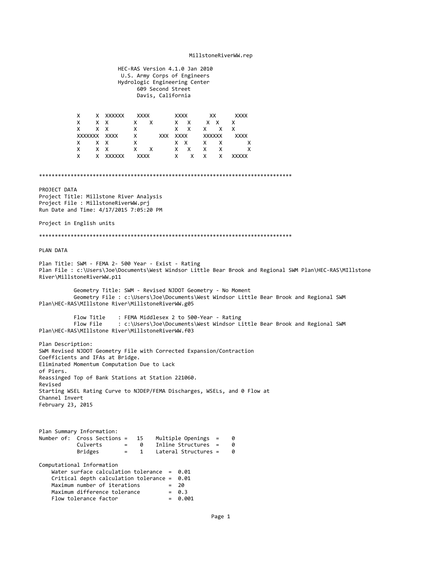#### MillstoneRiverWW.rep

 HEC‐RAS Version 4.1.0 Jan 2010 U.S. Army Corps of Engineers Hydrologic Engineering Center 609 Second Street Davis, California X X XXXXXX XXXX XXXX XX XXXX  $X$   $X$   $X$  X X X X X X X X X XXXXXXX XXXX X XXX XXXX XXXXXX XXXX X X X X X X X X X X X X X X X X X X X X X XXXXXX XXXX X X X X XXXXX \*\*\*\*\*\*\*\*\*\*\*\*\*\*\*\*\*\*\*\*\*\*\*\*\*\*\*\*\*\*\*\*\*\*\*\*\*\*\*\*\*\*\*\*\*\*\*\*\*\*\*\*\*\*\*\*\*\*\*\*\*\*\*\*\*\*\*\*\*\*\*\*\*\*\*\*\*\*\*\* PROJECT DATA Project Title: Millstone River Analysis Project File : MillstoneRiverWW.prj Run Date and Time: 4/17/2015 7:05:20 PM Project in English units \*\*\*\*\*\*\*\*\*\*\*\*\*\*\*\*\*\*\*\*\*\*\*\*\*\*\*\*\*\*\*\*\*\*\*\*\*\*\*\*\*\*\*\*\*\*\*\*\*\*\*\*\*\*\*\*\*\*\*\*\*\*\*\*\*\*\*\*\*\*\*\*\*\*\*\*\*\*\*\* PLAN DATA Plan Title: SWM ‐ FEMA 2‐ 500 Year ‐ Exist ‐ Rating Plan File : c:\Users\Joe\Documents\West Windsor Little Bear Brook and Regional SWM Plan\HEC‐RAS\MIllstone River\MillstoneRiverWW.p11 Geometry Title: SWM ‐ Revised NJDOT Geometry ‐ No Moment Geometry File : c:\Users\Joe\Documents\West Windsor Little Bear Brook and Regional SWM Plan\HEC‐RAS\MIllstone River\MillstoneRiverWW.g05 Flow Title : FEMA Middlesex 2 to 500-Year - Rating Flow File : c:\Users\Joe\Documents\West Windsor Little Bear Brook and Regional SWM Plan\HEC‐RAS\MIllstone River\MillstoneRiverWW.f03 Plan Description: SWM Revised NJDOT Geometry File with Corrected Expansion/Contraction Coefficients and IFAs at Bridge. Eliminated Momentum Computation Due to Lack of Piers. Reassinged Top of Bank Stations at Station 221060. Revised Starting WSEL Rating Curve to NJDEP/FEMA Discharges, WSELs, and 0 Flow at Channel Invert February 23, 2015 Plan Summary Information: Number of: Cross Sections = 15 Multiple Openings = 0<br>Culverts = 0 Inline Structures = 0 Culverts = 0 Inline Structures = 0 Lateral Structures = 0 Computational Information Water surface calculation tolerance = 0.01 Critical depth calculation tolerance = 0.01<br>Maximum number of iterations = 20 Maximum number of iterations = 20 Maximum difference tolerance  $= 0.3$ <br>Flow tolerance factor  $= 0.001$ Flow tolerance factor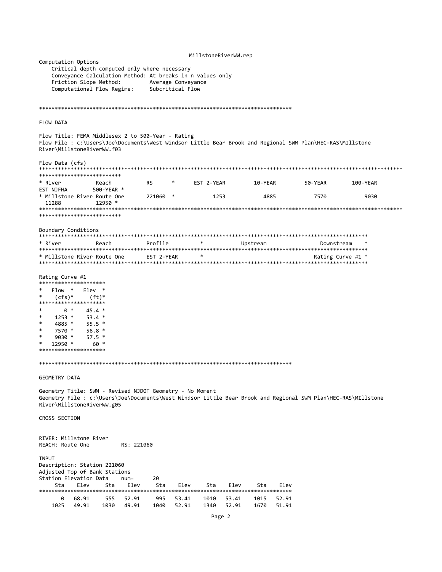|                                                                                                                       |                                                                                         |                  |                    | MillstoneRiverWW.rep |                  |                                                                                                               |                   |
|-----------------------------------------------------------------------------------------------------------------------|-----------------------------------------------------------------------------------------|------------------|--------------------|----------------------|------------------|---------------------------------------------------------------------------------------------------------------|-------------------|
| Computation Options                                                                                                   | Critical depth computed only where necessary                                            |                  |                    |                      |                  |                                                                                                               |                   |
| Friction Slope Method:                                                                                                | Conveyance Calculation Method: At breaks in n values only<br>Computational Flow Regime: | Subcritical Flow | Average Conveyance |                      |                  |                                                                                                               |                   |
|                                                                                                                       |                                                                                         |                  |                    |                      |                  |                                                                                                               |                   |
| <b>FLOW DATA</b>                                                                                                      |                                                                                         |                  |                    |                      |                  |                                                                                                               |                   |
| Flow Title: FEMA Middlesex 2 to 500-Year - Rating<br>River\MillstoneRiverWW.f03                                       |                                                                                         |                  |                    |                      |                  | Flow File : c:\Users\Joe\Documents\West Windsor Little Bear Brook and Regional SWM Plan\HEC-RAS\MIllstone     |                   |
| Flow Data (cfs)<br>**************************                                                                         |                                                                                         |                  |                    |                      |                  |                                                                                                               |                   |
| * River<br>EST NJFHA                                                                                                  | Reach<br>500-YEAR *                                                                     | RS.              |                    | EST 2-YEAR           | 10-YEAR          | 50-YEAR                                                                                                       | 100-YEAR          |
| * Millstone River Route One<br>11288                                                                                  | $12950$ *                                                                               | 221060<br>$\ast$ |                    | 1253                 | 4885             | 7570                                                                                                          | 9030              |
| **************************                                                                                            |                                                                                         |                  |                    |                      |                  |                                                                                                               |                   |
| Boundary Conditions                                                                                                   |                                                                                         |                  |                    |                      |                  |                                                                                                               |                   |
| * River                                                                                                               | Reach                                                                                   | Profile          | $\ast$             |                      | Upstream         |                                                                                                               | Downstream        |
| * Millstone River Route One                                                                                           |                                                                                         | EST 2-YEAR       | *                  |                      |                  |                                                                                                               | Rating Curve #1 * |
| Rating Curve #1                                                                                                       |                                                                                         |                  |                    |                      |                  |                                                                                                               |                   |
| *********************<br>Flow *                                                                                       | $Elev *$                                                                                |                  |                    |                      |                  |                                                                                                               |                   |
| *<br>$(cfs)*$                                                                                                         | $(ft)^*$                                                                                |                  |                    |                      |                  |                                                                                                               |                   |
| *********************<br>$\ast$<br>0 *                                                                                | $45.4*$                                                                                 |                  |                    |                      |                  |                                                                                                               |                   |
| *<br>$1253$ *<br>$\ast$                                                                                               | $53.4*$                                                                                 |                  |                    |                      |                  |                                                                                                               |                   |
| 4885 *<br>$\ast$<br>7570 *                                                                                            | $55.5*$<br>$56.8*$                                                                      |                  |                    |                      |                  |                                                                                                               |                   |
| $\ast$<br>$9030 *$                                                                                                    | $57.5*$                                                                                 |                  |                    |                      |                  |                                                                                                               |                   |
| *<br>12950 *<br>*********************                                                                                 | 60 *                                                                                    |                  |                    |                      |                  |                                                                                                               |                   |
|                                                                                                                       |                                                                                         |                  |                    |                      |                  |                                                                                                               |                   |
| GEOMETRY DATA                                                                                                         |                                                                                         |                  |                    |                      |                  |                                                                                                               |                   |
| Geometry Title: SWM - Revised NJDOT Geometry - No Moment<br>River\MillstoneRiverWW.g05                                |                                                                                         |                  |                    |                      |                  | Geometry File : c:\Users\Joe\Documents\West Windsor Little Bear Brook and Regional SWM Plan\HEC-RAS\MIllstone |                   |
| CROSS SECTION                                                                                                         |                                                                                         |                  |                    |                      |                  |                                                                                                               |                   |
| RIVER: Millstone River<br>REACH: Route One                                                                            | RS: 221060                                                                              |                  |                    |                      |                  |                                                                                                               |                   |
| <b>INPUT</b><br>Description: Station 221060<br>Adjusted Top of Bank Stations<br>Station Elevation Data<br>Elev<br>Sta | $num =$<br>Elev<br>Sta                                                                  | 20<br>Sta        | Elev               | Elev<br>Sta          | Sta              | Elev                                                                                                          |                   |
| ************************************<br>68.91<br>0                                                                    | 555<br>52.91                                                                            | ******<br>995    | ******<br>53.41    | 1010<br>53.41        | ********<br>1015 | *********<br>52.91                                                                                            |                   |
| 1025<br>49.91                                                                                                         | 1030<br>49.91                                                                           | 1040             | 52.91              | 1340<br>52.91        | 1670             | 51.91                                                                                                         |                   |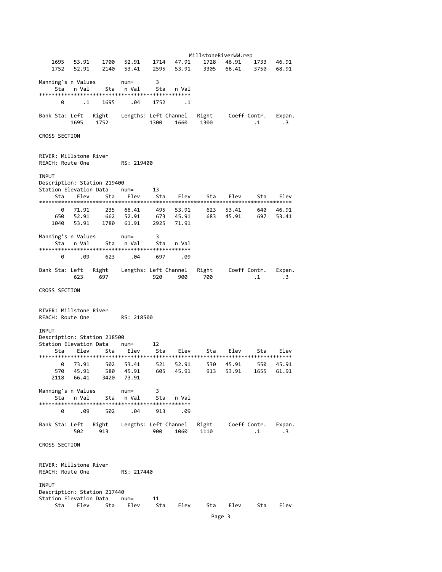MillstoneRiverWW.rep 1695 53.91 1700 52.91 1714 47.91 1728 46.91 1733 46.91 1752 52.91 2140 53.41 2595 53.91 3305 66.41 3750 68.91 Manning's n Values num= 3 Sta n Val Sta n Val Sta n Val \*\*\*\*\*\*\*\*\*\*\*\*\*\*\*\*\*\*\*\*\*\*\*\*\*\*\*\*\*\*\*\*\*\*\*\*\*\*\*\*\*\*\*\*\*\*\*\* 0 .1 1695 .04 1752 .1 Bank Sta: Left Right Lengths: Left Channel Right Coeff Contr. Expan. 1300 1660 CROSS SECTION RIVER: Millstone River REACH: Route One RS: 219400 **TNPUT** Description: Station 219400<br>Station Elevation Data num= Station Elevation Data num= 13 Sta Elev Sta Elev Sta Elev Sta Elev Sta Elev \*\*\*\*\*\*\*\*\*\*\*\*\*\*\*\*\*\*\*\*\*\*\*\*\*\*\*\*\*\*\*\*\*\*\*\*\*\*\*\*\*\*\*\*\*\*\*\*\*\*\*\*\*\*\*\*\*\*\*\*\*\*\*\*\*\*\*\*\*\*\*\*\*\*\*\*\*\*\*\* 0 71.91 235 66.41 495 53.91 623 53.41 640 46.91 650 52.91 662 52.91 673 45.91 683 45.91 697 53.41 1040 53.91 1780 61.91 2925 71.91 Manning's n Values num= 3 Sta n Val Sta n Val Sta n Val \*\*\*\*\*\*\*\*\*\*\*\*\*\*\*\*\*\*\*\*\*\*\*\*\*\*\*\*\*\*\*\*\*\*\*\*\*\*\*\*\*\*\*\*\*\*\*\* 0 .09 623 .04 697 .09 Bank Sta: Left Right Lengths: Left Channel Right Coeff Contr. Expan. 623 697 920 900 700 .1 .3 CROSS SECTION RIVER: Millstone River REACH: Route One RS: 218500 INPUT Description: Station 218500<br>Station Elevation Data num= Station Elevation Data num= 12 Sta Elev Sta Elev Sta Elev Sta Elev Sta Elev \*\*\*\*\*\*\*\*\*\*\*\*\*\*\*\*\*\*\*\*\*\*\*\*\*\*\*\*\*\*\*\*\*\*\*\*\*\*\*\*\*\*\*\*\*\*\*\*\*\*\*\*\*\*\*\*\*\*\*\*\*\*\*\*\*\*\*\*\*\*\*\*\*\*\*\*\*\*\*\* 0 73.91 502 53.41 521 52.91 530 45.91 550 45.91 570 45.91 580 45.91 605 45.91 913 53.91 1655 61.91 2118 66.41 3420 73.91 Manning's n Values num= 3 Sta n Val Sta n Val \*\*\*\*\*\*\*\*\*\*\*\*\*\*\*\*\*\*\*\*\*\*\*\*\*\*\*\*\*\*\*\*\*\*\*\*\*\*\*\*\*\*\*\*\*\*\*\* 0 .09 502 .04 913 .09 Bank Sta: Left Right Lengths: Left Channel Right Coeff Contr. Expan.  $\frac{900}{1060}$  1060 1110 CROSS SECTION RIVER: Millstone River REACH: Route One BS: 217440 **TNPLIT** Description: Station 217440 Station Elevation Data num= 11 Sta Elev Sta Elev Sta Elev Elev Sta Elev Elev Page 3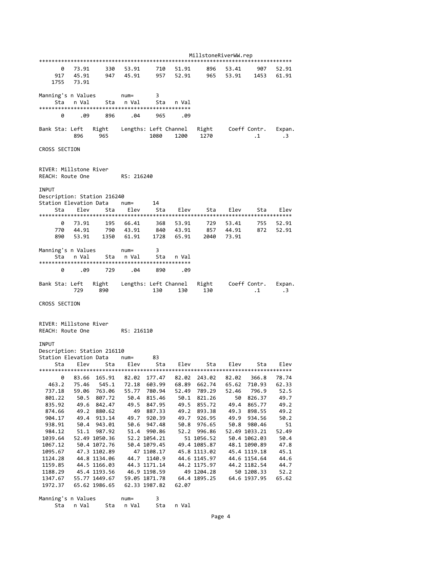|                             |       |                              |                  |                             |       | MillstoneRiverWW.rep         |                        |                              |              |
|-----------------------------|-------|------------------------------|------------------|-----------------------------|-------|------------------------------|------------------------|------------------------------|--------------|
|                             |       |                              |                  |                             |       |                              |                        |                              |              |
| 0                           | 73.91 | 330                          | 53.91            | 710                         | 51.91 | 896                          | 53.41                  | 907                          | 52.91        |
| 917                         | 45.91 | 947                          | 45.91            | 957                         | 52.91 | 965                          | 53.91                  | 1453                         | 61.91        |
| 1755                        | 73.91 |                              |                  |                             |       |                              |                        |                              |              |
|                             |       |                              |                  |                             |       |                              |                        |                              |              |
| Manning's n Values          |       |                              | $num =$          | 3                           |       |                              |                        |                              |              |
| Sta                         | n Val | Sta                          | n Val            | Sta                         | n Val |                              |                        |                              |              |
| 0                           | .09   | 896                          | .04              | 965                         | .09   |                              |                        |                              |              |
|                             |       |                              |                  |                             |       |                              |                        |                              |              |
| Bank Sta: Left              |       |                              |                  | Right Lengths: Left Channel |       |                              | Right     Coeff Contr. |                              | Expan.       |
|                             | 896   | 965                          |                  | 1080                        |       | 1200 1270                    |                        | $\cdot$ 1                    | $\cdot$ 3    |
|                             |       |                              |                  |                             |       |                              |                        |                              |              |
| CROSS SECTION               |       |                              |                  |                             |       |                              |                        |                              |              |
|                             |       |                              |                  |                             |       |                              |                        |                              |              |
|                             |       |                              |                  |                             |       |                              |                        |                              |              |
| RIVER: Millstone River      |       |                              |                  |                             |       |                              |                        |                              |              |
| REACH: Route One            |       |                              | RS: 216240       |                             |       |                              |                        |                              |              |
|                             |       |                              |                  |                             |       |                              |                        |                              |              |
| <b>INPUT</b>                |       |                              |                  |                             |       |                              |                        |                              |              |
| Description: Station 216240 |       |                              |                  |                             |       |                              |                        |                              |              |
| Station Elevation Data      |       |                              | $num =$          | 14                          |       |                              |                        |                              |              |
| Sta                         | Elev  | Sta                          | Elev             | Sta                         | Elev  | Sta                          | Elev                   | Sta                          | Elev         |
|                             |       |                              |                  |                             |       |                              |                        |                              |              |
| 0                           | 73.91 | 195                          | 66.41            | 368                         | 53.91 | 729                          | 53.41                  | 755                          | 52.91        |
| 770                         | 44.91 | 790                          | 43.91            | 840                         | 43.91 | 857                          | 44.91                  | 872                          | 52.91        |
| 890                         | 53.91 | 1350                         | 61.91            | 1728                        | 65.91 | 2040                         | 73.91                  |                              |              |
|                             |       |                              |                  |                             |       |                              |                        |                              |              |
| Manning's n Values<br>Sta   |       |                              | $num =$<br>n Val | 3                           |       |                              |                        |                              |              |
|                             | n Val | Sta                          |                  | Sta                         | n Val |                              |                        |                              |              |
| 0                           | .09   | 729                          | .04              | 890                         | .09   |                              |                        |                              |              |
|                             |       |                              |                  |                             |       |                              |                        |                              |              |
|                             |       |                              |                  |                             |       |                              |                        |                              |              |
|                             |       |                              |                  |                             |       |                              |                        |                              |              |
| Bank Sta: Left              |       | Right                        |                  | Lengths: Left Channel       |       | Right                        |                        | Coeff Contr.                 | Expan.       |
|                             | 729   | 890                          |                  | 130                         | 130   | 130                          |                        | $\cdot$ 1                    | $\cdot$ 3    |
| CROSS SECTION               |       |                              |                  |                             |       |                              |                        |                              |              |
|                             |       |                              |                  |                             |       |                              |                        |                              |              |
|                             |       |                              |                  |                             |       |                              |                        |                              |              |
| RIVER: Millstone River      |       |                              |                  |                             |       |                              |                        |                              |              |
| REACH: Route One            |       |                              | RS: 216110       |                             |       |                              |                        |                              |              |
|                             |       |                              |                  |                             |       |                              |                        |                              |              |
| INPUT                       |       |                              |                  |                             |       |                              |                        |                              |              |
| Description: Station 216110 |       |                              |                  |                             |       |                              |                        |                              |              |
| Station Elevation Data      |       |                              | $num =$          | 83                          |       |                              |                        |                              |              |
| Sta                         | Elev  | Sta                          | Elev             | Sta                         | Elev  | Sta                          | Elev                   | Sta                          | Elev         |
|                             |       |                              |                  |                             |       |                              |                        |                              |              |
| 0                           | 83.66 | 165.91                       | 82.02            | 177.47                      | 82.02 | 243.02                       | 82.02                  | 366.8                        | 78.74        |
| 463.2                       | 75.46 | 545.1                        | 72.18            | 603.99                      | 68.89 | 662.74                       | 65.62                  | 710.93                       | 62.33        |
| 737.18                      | 59.06 | 763.06                       | 55.77            | 780.94                      | 52.49 | 789.29                       | 52.46                  | 796.9                        | 52.5         |
| 801.22                      | 50.5  | 807.72                       | 50.4             | 815.46                      | 50.1  | 821.26                       | 50                     | 826.37                       | 49.7         |
| 835.92                      | 49.6  | 842.47                       | 49.5             | 847.95                      | 49.5  | 855.72                       | 49.4                   | 865.77                       | 49.2         |
| 874.66                      | 49.2  | 880.62                       | 49               | 887.33                      | 49.2  | 893.38                       | 49.3                   | 898.55                       | 49.2         |
| 904.17                      | 49.4  | 913.14                       | 49.7             | 920.39                      | 49.7  | 926.95                       | 49.9                   | 934.56                       | 50.2         |
| 938.91                      | 50.4  | 943.01                       | 50.6             | 947.48                      | 50.8  | 976.65                       | 50.8                   | 980.46                       | 51           |
| 984.12                      | 51.1  | 987.92                       | 51.4             | 990.86                      | 52.2  | 996.86                       |                        | 52.49 1033.21                | 52.49        |
| 1039.64                     |       | 52.49 1050.36                |                  | 52.2 1054.21                |       | 51 1056.52                   |                        | 50.4 1062.03                 | 50.4         |
| 1067.12                     |       | 50.4 1072.76                 |                  | 50.4 1079.45                |       | 49.4 1085.87                 |                        | 48.1 1090.89                 | 47.8         |
| 1095.67                     |       | 47.3 1102.89                 | 44.7             | 47 1108.17                  |       | 45.8 1113.02                 |                        | 45.4 1119.18                 | 45.1         |
| 1124.28<br>1159.85          |       | 44.8 1134.06<br>44.5 1166.03 |                  | 1140.9<br>44.3 1171.14      |       | 44.6 1145.97<br>44.2 1175.97 |                        | 44.6 1154.64<br>44.2 1182.54 | 44.6<br>44.7 |
| 1188.29                     |       | 45.4 1193.56                 |                  | 46.9 1198.59                |       | 49 1204.28                   |                        | 50 1208.33                   | 52.2         |
| 1347.67                     |       | 55.77 1449.67                |                  | 59.05 1871.78               |       | 64.4 1895.25                 |                        | 64.6 1937.95                 | 65.62        |
| 1972.37                     |       | 65.62 1986.65                |                  | 62.33 1987.82               | 62.07 |                              |                        |                              |              |
|                             |       |                              |                  |                             |       |                              |                        |                              |              |

Sta n Val Sta n Val Sta n Val

Page 4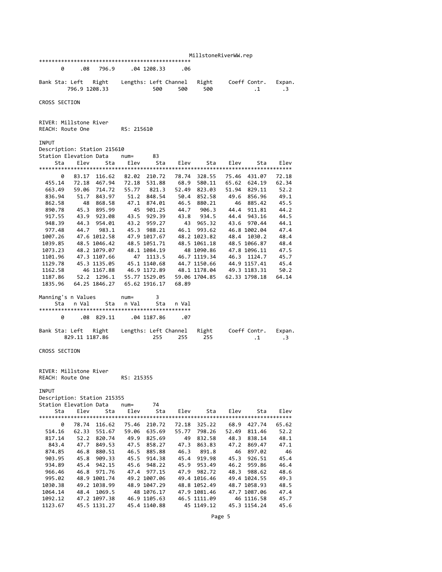|                                                       |                |                           |                 |                       |            |                        | MillstoneRiverWW.rep      |                             |              |
|-------------------------------------------------------|----------------|---------------------------|-----------------|-----------------------|------------|------------------------|---------------------------|-----------------------------|--------------|
|                                                       |                |                           |                 |                       |            |                        |                           |                             |              |
| 0                                                     | .08            | 796.9                     |                 | .04 1208.33           | .06        |                        |                           |                             |              |
|                                                       |                |                           |                 |                       |            |                        |                           |                             |              |
| Bank Sta: Left                                        |                | Right                     |                 | Lengths: Left Channel |            | Right                  |                           | Coeff Contr.                | Expan.       |
|                                                       | 796.9 1208.33  |                           |                 | 500                   | 500        | 500                    |                           | $\cdot$ 1                   | $\cdot$ 3    |
| CROSS SECTION                                         |                |                           |                 |                       |            |                        |                           |                             |              |
|                                                       |                |                           |                 |                       |            |                        |                           |                             |              |
|                                                       |                |                           |                 |                       |            |                        |                           |                             |              |
| RIVER: Millstone River                                |                |                           |                 |                       |            |                        |                           |                             |              |
| REACH: Route One                                      |                |                           | RS: 215610      |                       |            |                        |                           |                             |              |
|                                                       |                |                           |                 |                       |            |                        |                           |                             |              |
| INPUT                                                 |                |                           |                 |                       |            |                        |                           |                             |              |
| Description: Station 215610<br>Station Elevation Data |                |                           |                 | 83                    |            |                        |                           |                             |              |
| Sta                                                   | Elev           | Sta                       | $num =$<br>Elev | Sta                   | Elev       | Sta                    | Elev                      | Sta                         | Elev         |
|                                                       |                |                           |                 |                       |            |                        |                           |                             |              |
| 0                                                     | 83.17          | 116.62                    | 82.02           | 210.72                | 78.74      | 328.55                 | 75.46                     | 431.07                      | 72.18        |
| 455.14                                                |                | 72.18 467.94 72.18 531.88 |                 |                       | 68.9       | 580.11                 | 65.62 624.19              |                             | 62.34        |
| 663.49                                                |                | 59.06 714.72              | 55.77           | 821.3                 | 52.49      | 823.03                 | 51.94 829.11              |                             | 52.2         |
| 836.94                                                |                | 51.7 843.97               | 51.2            | 848.54                | 50.4       | 852.58                 | 49.6                      | 856.96                      | 49.1         |
| 862.58                                                | 48             | 868.58                    |                 | 47.1 874.01           | 46.5       | 880.21                 |                           | 46 885.42                   | 45.5         |
| 890.78                                                | 45.3           | 895.99                    | 45              | 901.25                |            | 44.7 906.3             |                           | 44.4 911.81                 | 44.2         |
| 917.55                                                |                | 43.9 923.08               |                 | 43.5 929.39           |            | 43.8 934.5             |                           | 44.4 943.16                 | 44.5         |
| 948.39                                                | 44.3           | 954.01                    | 43.2<br>45.3    | 959.27<br>988.21      | 43<br>46.1 | 965.32                 |                           | 43.6 970.44<br>46.8 1002.04 | 44.1         |
| 977.48<br>1007.26                                     | 44.7           | 983.1<br>47.6 1012.58     |                 | 47.9 1017.67          |            | 993.62<br>48.2 1023.82 | 48.4                      | 1030.2                      | 47.4<br>48.4 |
| 1039.85                                               |                | 48.5 1046.42              |                 | 48.5 1051.71          |            | 48.5 1061.18           | 48.5 1066.87              |                             | 48.4         |
| 1073.23                                               |                | 48.2 1079.07              |                 | 48.1 1084.19          |            |                        | 48 1090.86 47.8 1096.11   |                             | 47.5         |
| 1101.96                                               |                | 47.3 1107.66              | 47              | 1113.5                |            | 46.7 1119.34           | 46.3                      | 1124.7                      | 45.7         |
| 1129.78                                               |                | 45.3 1135.05              |                 | 45.1 1140.68          |            |                        | 44.7 1150.66 44.9 1157.41 |                             | 45.4         |
| 1162.58                                               |                | 46 1167.88                |                 | 46.9 1172.89          |            | 48.1 1178.04           | 49.3 1183.31              |                             | 50.2         |
| 1187.86                                               |                | 52.2 1296.1               |                 | 55.77 1529.05         |            | 59.06 1704.85          | 62.33 1798.18             |                             | 64.14        |
| 1835.96                                               |                | 64.25 1846.27             |                 | 65.62 1916.17         | 68.89      |                        |                           |                             |              |
|                                                       |                |                           |                 |                       |            |                        |                           |                             |              |
| Manning's n Values                                    |                |                           | $num =$         | 3                     |            |                        |                           |                             |              |
| Sta                                                   | n Val          | Sta                       | n Val           | Sta                   | n Val      |                        |                           |                             |              |
| 0                                                     | .08            | 829.11                    |                 | .04 1187.86           | .07        |                        |                           |                             |              |
|                                                       |                |                           |                 |                       |            |                        |                           |                             |              |
| Bank Sta: Left                                        |                | Right                     |                 | Lengths: Left Channel |            | Right                  |                           | Coeff Contr.                | Expan.       |
|                                                       | 829.11 1187.86 |                           |                 | 255                   | 255        | 255                    |                           | $\cdot$ 1                   | $\cdot$ 3    |
|                                                       |                |                           |                 |                       |            |                        |                           |                             |              |
| CROSS SECTION                                         |                |                           |                 |                       |            |                        |                           |                             |              |
|                                                       |                |                           |                 |                       |            |                        |                           |                             |              |
| RIVER: Millstone River                                |                |                           |                 |                       |            |                        |                           |                             |              |
| REACH: Route One                                      |                |                           | RS: 215355      |                       |            |                        |                           |                             |              |
|                                                       |                |                           |                 |                       |            |                        |                           |                             |              |
| <b>INPUT</b>                                          |                |                           |                 |                       |            |                        |                           |                             |              |
| Description: Station 215355                           |                |                           |                 |                       |            |                        |                           |                             |              |
| Station Elevation Data                                |                |                           | $num =$         | 74                    |            |                        |                           |                             |              |
| Sta                                                   | Elev           | Sta                       | Elev            | Sta                   | Elev       | Sta                    | Elev                      | Sta                         | Elev         |
|                                                       |                |                           |                 |                       |            |                        |                           |                             |              |
| 0                                                     | 78.74          | 116.62                    | 75.46           | 210.72                | 72.18      | 325.22                 | 68.9                      | 427.74                      | 65.62        |
| 514.16<br>817.14                                      | 62.33          | 551.67                    | 59.06           | 635.69                | 55.77      | 798.26                 | 52.49                     | 811.46                      | 52.2         |
| 843.4                                                 | 52.2<br>47.7   | 820.74<br>849.53          | 49.9<br>47.5    | 825.69<br>858.27      | 49<br>47.3 | 832.58<br>863.83       | 48.3<br>47.2              | 838.14<br>869.47            | 48.1<br>47.1 |
| 874.85                                                | 46.8           | 880.51                    | 46.5            | 885.88                | 46.3       | 891.8                  | 46                        | 897.02                      | 46           |
| 903.95                                                | 45.8           | 909.33                    | 45.5            | 914.38                | 45.4       | 919.98                 | 45.3                      | 926.51                      | 45.4         |
| 934.89                                                | 45.4           | 942.15                    | 45.6            | 948.22                | 45.9       | 953.49                 | 46.2                      | 959.86                      | 46.4         |
| 966.46                                                | 46.8           | 971.76                    | 47.4            | 977.15                | 47.9       | 982.72                 | 48.3                      | 988.62                      | 48.6         |
| 995.02                                                |                | 48.9 1001.74              |                 | 49.2 1007.06          |            | 49.4 1016.46           |                           | 49.4 1024.55                | 49.3         |
| 1030.38                                               |                | 49.2 1038.99              |                 | 48.9 1047.29          |            | 48.8 1052.49           |                           | 48.7 1058.93                | 48.5         |
| 1064.14                                               | 48.4           | 1069.5                    |                 | 48 1076.17            |            | 47.9 1081.46           |                           | 47.7 1087.06                | 47.4         |
| 1092.12                                               |                | 47.2 1097.38              |                 | 46.9 1105.63          |            | 46.5 1111.09           |                           | 46 1116.58                  | 45.7         |
| 1123.67                                               |                | 45.5 1131.27              |                 | 45.4 1140.88          |            | 45 1149.12             |                           | 45.3 1154.24                | 45.6         |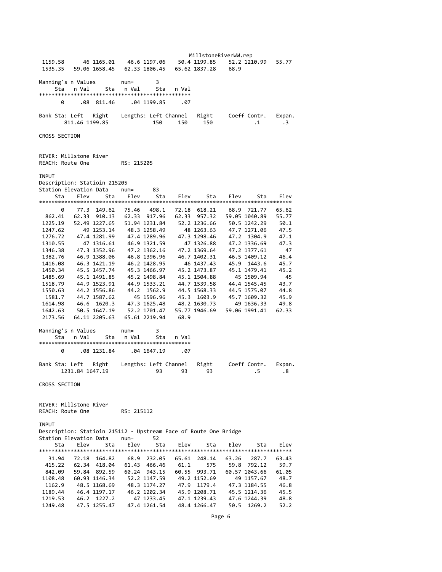MillstoneRiverWW.rep 1159.58 46 1165.01 46.6 1197.06 50.4 1199.85 52.2 1210.99 55.77 1535.35 59.06 1658.45 62.33 1806.45 65.62 1837.28 68.9 Manning's n Values num= 3 Sta n Val Sta n Val Sta n Val \*\*\*\*\*\*\*\*\*\*\*\*\*\*\*\*\*\*\*\*\*\*\*\*\*\*\*\*\*\*\*\*\*\*\*\*\*\*\*\*\*\*\*\*\*\*\*\* 0 .08 811.46 .04 1199.85 .07 Bank Sta: Left Right Lengths: Left Channel Right Coeff Contr. Expan. 150 150 150 CROSS SECTION RIVER: Millstone River REACH: Route One RS: 215205 **TNPUT** Description: Statioin 215205 Station Elevation Data num= 83 Sta Elev Sta Elev Sta Elev Sta Elev Sta Elev \*\*\*\*\*\*\*\*\*\*\*\*\*\*\*\*\*\*\*\*\*\*\*\*\*\*\*\*\*\*\*\*\*\*\*\*\*\*\*\*\*\*\*\*\*\*\*\*\*\*\*\*\*\*\*\*\*\*\*\*\*\*\*\*\*\*\*\*\*\*\*\*\*\*\*\*\*\*\*\* 0 77.3 149.62 75.46 498.1 72.18 618.21 68.9 721.77 65.62 862.41 62.33 910.13 62.33 917.96 62.33 957.32 59.05 1040.89 55.77 1225.19 52.49 1227.65 51.94 1231.84 52.2 1236.66 50.5 1242.29 50.1 1247.62 49 1253.14 48.3 1258.49 48 1263.63 47.7 1271.06 47.5 1276.72 47.4 1281.99 47.4 1289.96 47.3 1298.46 47.2 1304.9 47.1 1310.55 47 1316.61 46.9 1321.59 47 1326.88 47.2 1336.69 47.3 1346.38 47.3 1352.96 47.2 1362.16 47.2 1369.64 47.2 1377.61 47<br>1382.76 46.9 1388.06 46.8 1396.96 46.7 1402.31 46.5 1409.12 46.4 1382.76 46.9 1388.06 46.8 1396.96 46.7 1402.31<br>1416.08 46.3 1421.19 46.2 1428.95 46 1437.43 45.9 1443.6 45.7 1450.34 45.5 1457.74 45.3 1466.97 45.2 1473.87 45.1 1479.41 45.2<br>1485.69 45.1 1491.85 45.2 1498.84 45.1 1504.88 45.1509.94 45 45.1 1491.85 45.2 1498.84 45.1 1504.88 1518.79 44.9 1523.91 44.9 1533.21 44.7 1539.58 44.4 1545.45 43.7<br>1550.63 44.2 1556.86 44.2 1562.9 44.5 1568.33 44.5 1575.07 44.8 1550.63 44.2 1556.86 44.2 1562.9 44.5 1568.33 44.5 1575.07 44.8 1581.7 44.7 1587.62 45 1596.96 45.3 1603.9 45.7 1609.32 45.9 1614.98 46.6 1620.3 47.3 1625.48 48.2 1630.73 49 1636.33 49.8 1642.63 50.5 1647.19 52.2 1701.47 55.77 1946.69 59.06 1991.41 62.33 2173.56 64.11 2205.63 65.61 2219.94 68.9 Manning's n Values num= 3 Sta n Val Sta n Val Sta n Val \*\*\*\*\*\*\*\*\*\*\*\*\*\*\*\*\*\*\*\*\*\*\*\*\*\*\*\*\*\*\*\*\*\*\*\*\*\*\*\*\*\*\*\*\*\*\*\* 0 .08 1231.84 .04 1647.19 .07 Bank Sta: Left Right Lengths: Left Channel Right Coeff Contr. Expan. 1231.84 1647.19 93 93 93 .5 .8 CROSS SECTION RIVER: Millstone River REACH: Route One RS: 215112 **TNPUT** Description: Statioin 215112 ‐ Upstream Face of Route One Bridge Station Elevation Data num= 52 Sta Elev Sta Elev Sta Elev Sta Elev Sta Elev \*\*\*\*\*\*\*\*\*\*\*\*\*\*\*\*\*\*\*\*\*\*\*\*\*\*\*\*\*\*\*\*\*\*\*\*\*\*\*\*\*\*\*\*\*\*\*\*\*\*\*\*\*\*\*\*\*\*\*\*\*\*\*\*\*\*\*\*\*\*\*\*\*\*\*\*\*\*\*\* 31.94 72.18 164.82 68.9 232.05 65.61 248.14 63.26 287.7 63.43 415.22 62.34 418.04 61.43 466.46 61.1 575 59.8 792.12 59.7 842.09 59.84 892.59 60.24 943.15 60.55 993.71 60.57 1043.66 61.05 1108.48 60.93 1146.34 52.2 1147.59 49.2 1152.69 49 1157.67 48.7<br>1162.9 48.5 1168.69 48.3 1174.27 47.9 1179.4 47.3 1184.55 46.8<br>1189.44 46.4 1197.17 46.2 120 1162.9 48.5 1168.69 48.3 1174.27 1189.44 46.4 1197.17 46.2 1202.34 45.9 1208.71 45.5 1214.36 45.5 1219.53 46.2 1227.2 47 1233.45 47.1 1239.43 47.6 1244.39 48.8 1249.48 47.5 1255.47 47.4 1261.54 48.4 1266.47 50.5 1269.2 52.2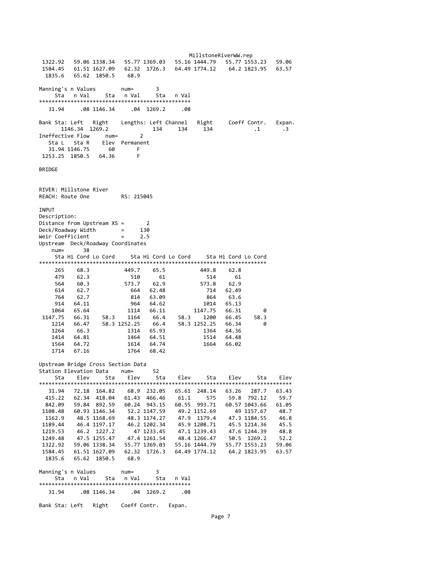MillstoneRiverWW.rep 1322.92 59.06 1338.34 55.77 1369.03 55.16 1444.79 55.77 1553.23 59.06 1584.45 61.51 1627.09 62.32 1726.3 64.49 1774.12 64.2 1823.95 63.57 1835.6 65.62 1850.5 68.9 Manning's n Values num= 3 Sta n Val Sta n Val Sta n Val \*\*\*\*\*\*\*\*\*\*\*\*\*\*\*\*\*\*\*\*\*\*\*\*\*\*\*\*\*\*\*\*\*\*\*\*\*\*\*\*\*\*\*\*\*\*\*\* 31.94 .08 1146.34 .04 1269.2 .08 Bank Sta: Left Right Lengths: Left Channel Right Coeff Contr. Expan.<br>134 134 134 134 134 134 134 1146.34 1269.2 134 134 134 .1 .3 Ineffective Flow num= 2 Sta L Sta R Elev Permanent 31.94 1146.75 60 F 1253.25 1850.5 64.36 F BRIDGE RIVER: Millstone River REACH: Route One RS: 215045 **TNPUT** Description: Distance from Upstream XS = 2 Deck/Roadway Width = 130 Weir Coefficient = 2.5 Upstream Deck/Roadway Coordinates num= 38 Sta Hi Cord Lo Cord Sta Hi Cord Lo Cord Sta Hi Cord Lo Cord \*\*\*\*\*\*\*\*\*\*\*\*\*\*\*\*\*\*\*\*\*\*\*\*\*\*\*\*\*\*\*\*\*\*\*\*\*\*\*\*\*\*\*\*\*\*\*\*\*\*\*\*\*\*\*\*\*\*\*\*\*\*\*\*\*\*\*\*\*\*\*\* 265 68.3 449.7 65.5 449.8 62.8 479 62.3 510 61 514 61 564 60.3 573.7 62.9 573.8 62.9 614 62.7 664 62.48 714 62.49 764 62.7 814 63.09 864 63.6 914 64.11 964 64.62 1014 65.13 1064 65.64 1114 66.11 1147.75 66.31 0 1147.75 66.31 58.3 1164 66.4 58.3 1200 66.45 58.3 1214 66.47 58.3 1252.25 66.4 58.3 1252.25 66.34 0 1264 66.3 1314 65.93 1364 64.36  $\begin{array}{cccccccc} 1414 & 64.81 & & & 1464 & 64.51 & & & 1514 & 64.48 \\ 1564 & 64.72 & & & 1614 & 64.74 & & & 1664 & 66.02 \\ 1714 & 67.16 & & & & 1764 & 68.42 & & & \end{array}$  1564 64.72 1614 64.74 1664 66.02 1714 67.16 1764 68.42 Upstream Bridge Cross Section Data Station Elevation Data num= 52 Sta Elev Sta Elev Sta Elev Sta Elev Sta Elev \*\*\*\*\*\*\*\*\*\*\*\*\*\*\*\*\*\*\*\*\*\*\*\*\*\*\*\*\*\*\*\*\*\*\*\*\*\*\*\*\*\*\*\*\*\*\*\*\*\*\*\*\*\*\*\*\*\*\*\*\*\*\*\*\*\*\*\*\*\*\*\*\*\*\*\*\*\*\*\* 31.94 72.18 164.82 68.9 232.05 65.61 248.14 63.26 287.7 63.43 415.22 62.34 418.04 61.43 466.46 61.1 575 59.8 792.12 59.7 842.09 59.84 892.59 60.24 943.15 60.55 993.71 60.57 1043.66 61.05 1108.48 60.93 1146.34 52.2 1147.59 49.2 1152.69 49 1157.67 48.7 1162.9 48.5 1168.69 48.3 1174.27 47.9 1179.4 47.3 1184.55 46.8 1189.44 46.4 1197.17 46.2 1202.34 45.9 1208.71 45.5 1214.36<br>1219.53 46.2 1227.2 47 1233.45 47.1 1239.43 47.6 1244.39<br>1249.48 47.5 1255.47 47.4 1261.54 48.4 1266.47 50.5 1269.2 1214.36 45.5 1224.36 47.1 47.1 1233.45 47.1 1239.43 47.6 1244.39 48.8<br>47.4 1261.54 48.4 1266.47 50.5 1269.2 50.06 1249.48 47.5 1255.47 47.4 1261.54 48.4 1266.47 50.5 1269.2 52.2 1322.92 59.06 1338.34 55.77 1369.03 55.16 1444.79 55.77 1553.23 59.06 1584.45 61.51 1627.09 62.32 1726.3 64.49 1774.12 64.2 1823.95 63.57 1835.6 65.62 1850.5 68.9 Manning's n Values num= 3 Sta n Val Sta n Val Sta n Val \*\*\*\*\*\*\*\*\*\*\*\*\*\*\*\*\*\*\*\*\*\*\*\*\*\*\*\*\*\*\*\*\*\*\*\*\*\*\*\*\*\*\*\*\*\*\*\* 31.94 .08 1146.34 .04 1269.2 .08 Bank Sta: Left Right Coeff Contr. Expan.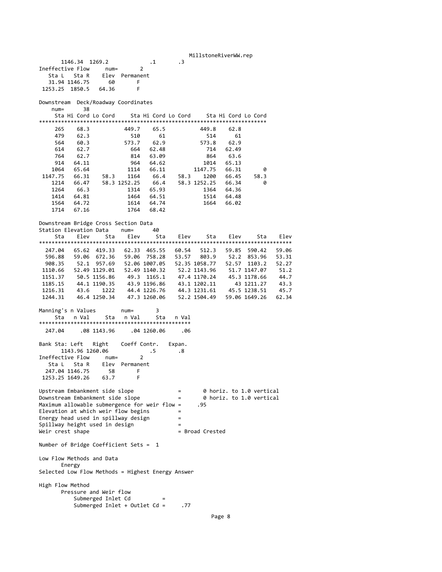MillstoneRiverWW.rep 1146.34 1269.2 .1 .3 Ineffective Flow num= 2 Sta L Sta R Elev Permanent 31.94 1146.75 60 F 1253.25 1850.5 64.36 Downstream Deck/Roadway Coordinates num= 38 Sta Hi Cord Lo Cord Sta Hi Cord Lo Cord Sta Hi Cord Lo Cord \*\*\*\*\*\*\*\*\*\*\*\*\*\*\*\*\*\*\*\*\*\*\*\*\*\*\*\*\*\*\*\*\*\*\*\*\*\*\*\*\*\*\*\*\*\*\*\*\*\*\*\*\*\*\*\*\*\*\*\*\*\*\*\*\*\*\*\*\*\*\*\* 265 68.3 449.7 65.5 449.8 62.8 479 62.3 510 61 514 61<br>564 60.3 573.7 62.9 573.8 62.9 564 60.3 573.7 62.9 573.8 62.9 614 62.7 664 62.48 714 62.49 764 62.7 814 63.09 864 63.6 914 64.11 964 64.62 1014 65.13 1064 65.64 1114 66.11 1147.75 66.31 0 1147.75 66.31 58.3 1164 66.4 58.3 1200 66.45 58.3 1214 66.47 58.3 1252.25 66.4 58.3 1252.25 66.34 0 1264 66.3 1314 65.93 1364 64.36 1414 64.81 1464 64.51 1514 64.48 1564 64.72 1614 64.74 1664 66.02 1714 67.16 1764 68.42 Downstream Bridge Cross Section Data Station Elevation Data num= 40 Sta Elev Sta Elev Sta Elev Sta Elev Sta Elev \*\*\*\*\*\*\*\*\*\*\*\*\*\*\*\*\*\*\*\*\*\*\*\*\*\*\*\*\*\*\*\*\*\*\*\*\*\*\*\*\*\*\*\*\*\*\*\*\*\*\*\*\*\*\*\*\*\*\*\*\*\*\*\*\*\*\*\*\*\*\*\*\*\*\*\*\*\*\*\* 247.04 65.62 419.33 62.33 465.55 60.54 512.3 59.85 590.42 59.06 596.88 59.06 672.36 59.06 758.28 53.57 803.9 52.2 853.96 53.31 908.35 52.1 957.69 52.06 1007.05 52.35 1058.77 52.57 1103.2 52.27 1110.66 52.49 1129.01 52.49 1140.32 52.2 1143.96 51.7 1147.07 51.2 1110.66 52.49 1129.01 52.49 1140.32 52.2 1143.96 51.7 1147.07 51.2<br>1151.37 50.5 1156.86 49.3 1165.1 47.4 1170.24 45.3 1178.66 44.7 1185.15 44.1 1190.35 43.9 1196.86 43.1 1202.11 43 1211.27 43.3<br>1216.31 43.6 1222 44.4 1226.76 44.3 1231.61 45.5 1238.51 45.7 1216.31 43.6 1222 44.4 1226.76 44.3 1231.61 45.5 1238.51 45.7 1244.31 46.4 1250.34 47.3 1260.06 52.2 1504.49 59.06 1649.26 62.34 Manning's n Values num= 3 Sta n Val Sta n Val Sta n Val \*\*\*\*\*\*\*\*\*\*\*\*\*\*\*\*\*\*\*\*\*\*\*\*\*\*\*\*\*\*\*\*\*\*\*\*\*\*\*\*\*\*\*\*\*\*\*\* 247.04 .08 1143.96 .04 1260.06 .06 Bank Sta: Left Right Coeff Contr. Expan. 1143.96 1260.06 .5 .8 Ineffective Flow num= 2 Sta L Sta R Elev Permanent 247.04 1146.75 58 F 1253.25 1649.26 63.7 F Upstream Embankment side slope = 0 horiz. to 1.0 vertical Downstream Embankment side slope = 0 horiz. to 1.0 vertical Maximum allowable submergence for weir flow = .95 Elevation at which weir flow begins Energy head used in spillway design  $Spillway height used in design$  =  $Weir\,\,crest\,\,shape$  = Broad Crested Weir crest shape Number of Bridge Coefficient Sets = 1 Low Flow Methods and Data Energy Selected Low Flow Methods = Highest Energy Answer High Flow Method Pressure and Weir flow Submerged Inlet Cd Submerged Inlet + Outlet Cd = .77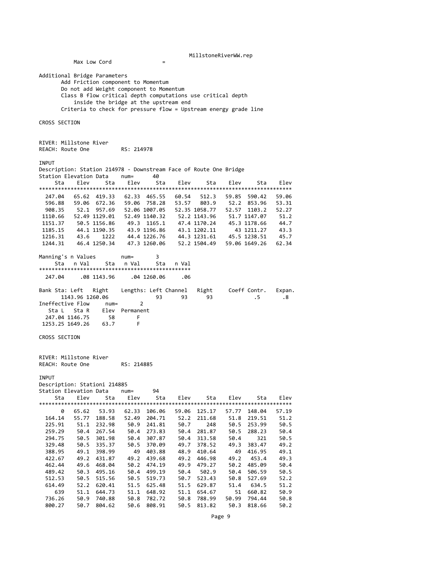MillstoneRiverWW.rep

Additional Bridge Parameters Add Friction component to Momentum Do not add Weight component to Momentum Class B flow critical depth computations use critical depth inside the bridge at the upstream end Criteria to check for pressure flow = Upstream energy grade line CROSS SECTION RIVER: Millstone River REACH: Route One RS: 214978 INPUT Description: Station 214978 ‐ Downstream Face of Route One Bridge Station Elevation Data num= 40 Sta Elev Sta Elev Sta Elev Sta Elev Sta Elev \*\*\*\*\*\*\*\*\*\*\*\*\*\*\*\*\*\*\*\*\*\*\*\*\*\*\*\*\*\*\*\*\*\*\*\*\*\*\*\*\*\*\*\*\*\*\*\*\*\*\*\*\*\*\*\*\*\*\*\*\*\*\*\*\*\*\*\*\*\*\*\*\*\*\*\*\*\*\*\* 247.04 65.62 419.33 62.33 465.55 60.54 512.3 59.85 590.42 59.06 596.88 59.06 672.36 59.06 758.28 53.57 803.9 52.2 853.96 53.31<br>908.35 52.1 957.69 52.06 1007.05 52.35 1058.77 52.57 1103.2 52.27<br>1110.66 53.46.4466.64 53.55 908.35 52.1 957.69 52.06 1007.05 52.35 1058.77 52.57 1103.2 52.27 1110.66 52.49 1129.01 52.49 1140.32 52.2 1143.96 51.7 1147.07 51.2<br>1151.37 50.5 1156.86 49.3 1165.1 47.4 1170.24 45.3 1178.66 44.7 49.3 1165.1 47.4 1170.24 45.3 1178.66 44.7<br>43.9 1196.86 43.1 1202.11 43 1211.27 43.3 1185.15 44.1 1190.35 43.9 1196.86 43.1 1202.11<br>1216.31 43.6 1222 44.4 1226.76 44.3 1231.61<br>1244.31 46.4 1250.34 47.3 1260.06 52.2 1504.49 1216.31 43.6 1222 44.4 1226.76 44.3 1231.61 45.5 1238.51 45.7 1244.31 46.4 1250.34 47.3 1260.06 52.2 1504.49 59.06 1649.26 62.34 Manning's n Values num= 3 Sta n Val Sta n Val Sta n Val \*\*\*\*\*\*\*\*\*\*\*\*\*\*\*\*\*\*\*\*\*\*\*\*\*\*\*\*\*\*\*\*\*\*\*\*\*\*\*\*\*\*\*\*\*\*\*\* 247.04 .08 1143.96 .04 1260.06 .06 Bank Sta: Left Right Lengths: Left Channel Right Coeff Contr. Expan. 1143.96 1260.06 93 93 93 .5 .8 Ineffective Flow num= 2 Sta L Sta R Elev Permanent 247.04 1146.75 58 F<br>253.25 1649.26 63.7 F 1253.25 1649.26 CROSS SECTION RIVER: Millstone River REACH: Route One RS: 214885 **TNPUT** Description: Stationi 214885 Station Elevation Data num= 94 Elev Sta Elev Sta Elev \*\*\*\*\*\*\*\*\*\*\*\*\*\*\*\*\*\*\*\*\*\*\*\*\*\*\*\*\*\*\*\*\*\*\*\*\*\*\*\*\*\*\*\*\*\*\*\*\*\*\*\*\*\*\*\*\*\*\*\*\*\*\*\*\*\*\*\*\*\*\*\*\*\*\*\*\*\*\*\* 0 65.62 53.93 62.33 106.06 59.06 125.17 57.77 148.04 57.19<br>4.14 55.77 188.58 52.49 204.71 52.2 211.68 51.8 219.51 51.2 164.14 55.77 188.58 52.49 204.71 52.2 211.68 51.8 219.51 51.2 225.91 51.1 232.98 50.9 241.81 50.7 248 50.5 253.99 50.5  $\frac{23.5}{50.5}$  288.23 50.4 294.75 50.5 301.98 50.4 307.87 50.4 313.58 50.4 321 50.5<br>329.48 50.5 335.37 50.5 370.09 49.7 378.52 49.3 383.47 49.2 329.48 50.5 335.37 50.5 370.09 49.7 378.52 49.3 383.47 49.2 388.95 49.1 398.99 49 403.88 48.9 410.64 49 416.95 49.1 422.67 49.2 431.87 49.2 439.68 49.2 446.98 49.2 453.4<br>462.44 49.6 468.04 50.2 474.19 49.9 479.27 50.2 485.09 49.9 479.27 50.2 485.09 50.4<br>50.4 502.9 50.4 506.59 50.5 489.42 50.3 495.16 50.4 499.19 50.4 502.9 50.4 506.59 50.5<br>512.53 50.5 515.56 50.5 519.73 50.7 523.43 50.8 527.69 52.2 512.53 50.5 515.56 50.5 519.73 50.7 523.43 50.8 527.69 52.2 614.49 52.2 620.41 51.5 625.48 51.5 629.87 51.4 634.5 51.2<br>639 51.1 644.73 51.1 648.92 51.1 654.67 51 660.82 50.9<br>736.26 50.9 740.88 50.8 782.72 50.8 7 639 51.1 644.73 51.1 648.92 51.1 654.67 51 660.82 50.9 736.26 50.9 740.88 50.8 782.72 50.8 788.99 50.99 794.44 50.8 800.27 50.7 804.62 50.6 808.91

Max Low Cord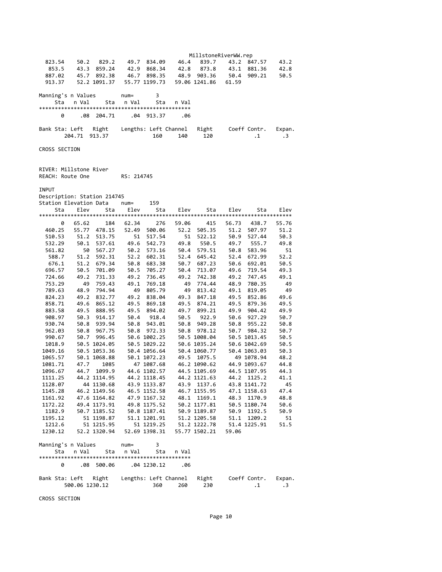MillstoneRiverWW.rep 823.54 50.2 829.2 49.7 834.09 46.4 839.7 43.2 847.57 43.2 853.5 43.3 859.24 42.9 868.34 42.8 873.8 43.1 881.36 42.8 887.02 45.7 892.38 46.7 898.35 48.9 903.36 50.4 909.21 50.5 913.37 52.2 1091.37 55.77 1199.73 59.06 1241.86 61.59 Manning's n Values num= 3 Sta n Val Sta n Val Sta n Val \*\*\*\*\*\*\*\*\*\*\*\*\*\*\*\*\*\*\*\*\*\*\*\*\*\*\*\*\*\*\*\*\*\*\*\*\*\*\*\*\*\*\*\*\*\*\*\* 0 .08 204.71 .04 913.37 .06 Bank Sta: Left Right Lengths: Left Channel Right Coeff Contr. Expan. 160 140 120 10 1. CROSS SECTION RIVER: Millstone River REACH: Route One RS: 214745 **TNPLIT** Description: Station 214745 Station Elevation Data num= Sta Elev Sta Elev Sta Elev Sta Elev Sta Elev \*\*\*\*\*\*\*\*\*\*\*\*\*\*\*\*\*\*\*\*\*\*\*\*\*\*\*\*\*\*\*\*\*\*\*\*\*\*\*\*\*\*\*\*\*\*\*\*\*\*\*\*\*\*\*\*\*\*\*\*\*\*\*\*\*\*\*\*\*\*\*\*\*\*\*\*\*\*\*\* 0 65.62 184 62.34 276 59.06 415 56.73 438.7 55.76 460.25 55.77 478.15 52.49 500.06 52.2 505.35 51.2 507.97 51.2<br>510.53 51.2 513.75 51 517.54 51 522.12 50.9 527.44 50.3<br>532.29 50.1 537.61 49.6 542.73 49.8 550.5 49.7 555.7 510.53 51.2 513.75 51 517.54 51 522.12 50.9 527.44 50.3 532.29 50.1 537.61 49.6 542.73 49.8 550.5 49.7 555.7 49.8 561.82 50 567.27 50.2 573.16 50.4 579.51 50.8 583.96 51.2<br>588.7 51.2 592.31 52.2 602.31 52.4 645.42 52.4 672.99 52.2 588.7 51.2 592.31 52.2 602.31 52.4 645.42 52.4 672.99 52.2<br>676.1 51.2 679.34 50.8 683.38 50.7 687.23 50.6 692.01 50.5<br>696.57 50.5 701.09 50.5 705.27 50.4 676.1 51.2 679.34 50.8 683.38 50.7 687.23 50.6 692.01 50.5 696.57 50.5 701.09 50.5 705.27 50.4 713.07 49.6 719.54 49.3 724.66 49.2 731.33 49.2 736.45 49.2 742.38 49.2 747.45 49.1 753.29 49 759.43 49.1 769.18 49 774.44 48.9 780.35 49<br>789.63 48.9 794.94 49 805.79 49 813.42 49.1 819.05 49<br>824.23 49.2 832.77 49.2 838.04 789.63 48.9 794.94 49 805.79 49 813.42 49.1 819.05 49 824.23 49.2 832.77 49.2 838.04 49.3 847.18 49.5 852.86 49.6 858.71 49.6 865.12 49.5 869.18 49.5 874.21 49.5 879.36 49.5 883.58 49.5 888.95 49.5 894.02 49.7 899.21 49.9 904.42 49.9 908.97 50.3 914.17 50.4 918.4 50.5 922.9 50.6 927.29 50.7 930.74 50.8 939.94 50.8 943.01 50.8 949.28 50.8 955.22 50.8 962.03 50.8 967.75 50.8 972.33 50.8 978.12 50.7 984.32 50.7 990.67 50.7 996.45 50.6 1002.25 50.5 1008.04 50.5 1013.45 50.5 1018.9 50.5 1024.05 50.5 1029.22 50.6 1035.24 50.6 1042.69 50.5 1049.16 50.5 1053.36 50.4 1056.64 50.4 1060.77 50.4 1063.03 50.3 1065.57 50.1 1068.88 50.1 1072.23 49.5 1075.5 49.1078.94 48.2<br>1081.71 47.7 1085 47.1087.68 46.2 1090.62 44.9 1093.67 44.8 47 1087.68 46.2 1090.62 1096.67 44.7 1099.9 44.6 1102.57 44.5 1105.69 44.5 1107.95 44.3<br>1111.25 44.2 1114.95 44.2 1118.45 44.2 1121.63 44.2 1125.2 41.1<br>1128.07 44 1130.68 43.9 1133.8 1111.25 44.2 1114.95 44.2 1118.45 44.2 1121.63 44.2 1125.2 41.1 1128.07 44 1130.68 43.9 1133.87 43.9 1137.6 43.8 1141.72 45 1145.28 46.2 1149.56 46.5 1152.58 46.7 1155.95 47.1 1158.63 47.4 1161.92 47.6 1164.82 47.9 1167.32 48.1 1169.1 48.3 1170.9 48.8 1172.22 49.4 1173.91 49.8 1175.52 50.2 1177.81 50.5 1180.74 50.6 1182.9 50.7 1185.52 50.8 1187.41 50.9 1189.87 50.9 1192.5 50.9 1195.12 51 1198.87 51.1 1201.91 51.2 1205.58 51.1 1209.2 51 1212.6 51 1215.95 51 1219.25 51.2 1222.78 51.4 1225.91 51.5 1230.12 52.2 1320.94 52.69 1398.31 55.77 1502.21 59.06 Manning's n Values num= 3 Sta n Val Sta n Val Sta n Val \*\*\*\*\*\*\*\*\*\*\*\*\*\*\*\*\*\*\*\*\*\*\*\*\*\*\*\*\*\*\*\*\*\*\*\*\*\*\*\*\*\*\*\*\*\*\*\* 0 .08 500.06 .04 1230.12 .06 Bank Sta: Left Right Lengths: Left Channel Right Coeff Contr. Expan.

CROSS SECTION

500.06 1230.12 360 260 230 .1 .3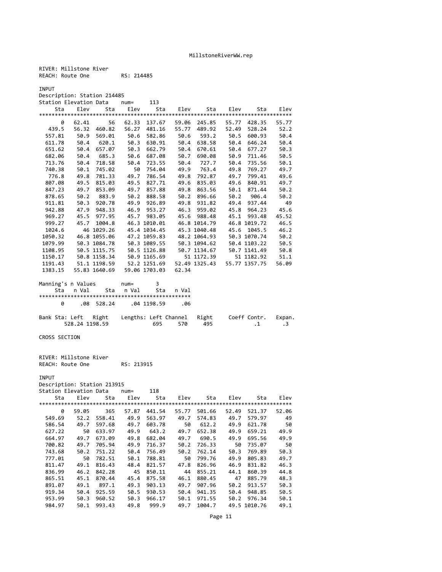RIVER: Millstone River REACH: Route One RS: 214485

INPUT

Description: Station 214485

|         | Station Elevation Data    num= |               |           | 113           |       |                                 |       |              |       |
|---------|--------------------------------|---------------|-----------|---------------|-------|---------------------------------|-------|--------------|-------|
|         | Sta                            |               |           |               |       | Elev Sta Elev Sta Elev Sta Elev |       | Sta          | Elev  |
|         |                                |               |           |               |       |                                 |       |              |       |
| 0       | 62.41                          | 56            | 62.33     | 137.67        |       | 59.06 245.85                    | 55.77 | 428.35       | 55.77 |
| 439.5   |                                | 56.32 460.82  |           | 56.27 481.16  | 55.77 | 489.92                          |       | 52.49 528.24 | 52.2  |
| 557.81  | 50.9                           | 569.01        | 50.6      |               |       | 582.86 50.6 593.2               | 50.5  | 600.93       | 50.4  |
|         | 611.78 50.4 620.1 50.3         |               |           | 630.91        |       | 50.4 638.58                     | 50.4  | 646.24       | 50.4  |
| 651.62  | 50.4                           | 657.07        | 50.3      | 662.79        | 50.4  | 670.61                          | 50.4  | 677.27       | 50.3  |
| 682.06  | 50.4                           | 685.3         | 50.6      | 687.08        | 50.7  | 690.08                          | 50.9  | 711.46       | 50.5  |
| 713.76  |                                | 50.4 718.58   | 50.4      | 723.55        | 50.4  | 727.7                           | 50.4  | 735.56       | 50.1  |
| 740.38  | 50.1                           | 745.02        | 50        | 754.04        |       | 49.9 763.4                      |       | 49.8 769.27  | 49.7  |
| 776.8   | 49.8                           | 781.33        | 49.7      | 786.54        | 49.8  | 792.87                          | 49.7  | 799.41       | 49.6  |
| 807.08  | 49.5                           | 815.03        | 49.5      | 827.71        | 49.6  | 835.03                          | 49.6  | 840.91       | 49.7  |
| 847.23  | 49.7                           | 853.09        | 49.7      | 857.88        | 49.8  | 863.56                          |       | 50.1 871.44  | 50.2  |
| 878.65  | 50.2                           | 883.9         |           | 50.2 888.58   |       | 50.2 896.66                     |       | 50.2 906.4   | 50.2  |
| 911.81  | 50.3                           | 920.78        | 49.9      | 926.89        | 49.8  | 931.82                          | 49.4  | 937.44       | 49    |
| 942.88  | 47.9                           | 948.33        |           | 46.9 953.27   |       | 46.3 959.02                     |       | 45.8 964.23  | 45.6  |
| 969.27  |                                | 45.5 977.95   |           | 45.7 983.05   |       | 45.6 988.48                     |       | 45.1 993.48  | 45.52 |
| 999.27  |                                | 45.7 1004.8   |           | 46.3 1010.01  |       | 46.8 1014.79                    |       | 46.8 1019.72 | 46.5  |
| 1024.6  |                                | 46 1029.26    |           | 45.4 1034.45  |       | 45.3 1040.48                    |       | 45.6 1045.5  | 46.2  |
| 1050.32 |                                | 46.8 1055.06  |           | 47.2 1059.83  |       | 48.2 1064.93                    |       | 50.3 1070.74 | 50.2  |
| 1079.99 |                                | 50.3 1084.78  |           |               |       | 50.3 1089.55 50.3 1094.62       |       | 50.4 1103.22 | 50.5  |
| 1108.95 |                                | 50.5 1115.75  |           |               |       | 50.5 1126.88 50.7 1134.67       |       | 50.7 1141.49 | 50.8  |
| 1150.17 |                                | 50.8 1158.34  |           | 50.9 1165.69  |       | 51 1172.39                      |       | 51 1182.92   | 51.1  |
| 1191.43 |                                | 51.1 1198.59  |           | 52.2 1251.69  |       | 52.49 1325.43 55.77 1357.75     |       |              | 56.09 |
| 1383.15 |                                | 55.83 1640.69 |           | 59.06 1703.03 | 62.34 |                                 |       |              |       |
|         | Manning's n Values hum=        |               |           | 3             |       |                                 |       |              |       |
| Sta     | n Val                          |               | Sta n Val | Sta           | n Val |                                 |       |              |       |
|         |                                |               |           |               |       |                                 |       |              |       |

|  | .08 528.24 .04 1198.59                           |  | . 06    |      |                     |  |
|--|--------------------------------------------------|--|---------|------|---------------------|--|
|  | Bank Sta: Left Right Lengths: Left Channel Right |  |         |      | Coeff Contr. Expan. |  |
|  | 528.24 1198.59                                   |  | 695 570 | -495 |                     |  |

CROSS SECTION

RIVER: Millstone River REACH: Route One RS: 213915

INPUT

Description: Station 213915 Station Elevation Data num= 118

| Station Eievalion Dala |       |        | 11u111– | ᆠᅶᆼ    |       |        |       |              |       |
|------------------------|-------|--------|---------|--------|-------|--------|-------|--------------|-------|
| Sta                    | Elev  | Sta    | Elev    | Sta    | Elev  | Sta    | Elev  | Sta          | Elev  |
|                        |       |        |         |        |       |        |       |              |       |
| 0                      | 59.05 | 365    | 57.87   | 441.54 | 55.77 | 501.66 | 52.49 | 521.37       | 52.06 |
| 549.69                 | 52.2  | 558.41 | 49.9    | 563.97 | 49.7  | 574.83 | 49.7  | 579.97       | 49    |
| 586.54                 | 49.7  | 597.68 | 49.7    | 603.78 | 50    | 612.2  | 49.9  | 621.78       | 50    |
| 627.22                 | 50    | 633.97 | 49.9    | 643.2  | 49.7  | 652.38 | 49.9  | 659.21       | 49.9  |
| 664.97                 | 49.7  | 673.09 | 49.8    | 682.04 | 49.7  | 690.5  | 49.9  | 695.56       | 49.9  |
| 700.82                 | 49.7  | 705.94 | 49.9    | 716.37 | 50.2  | 726.33 | 50    | 735.07       | 50    |
| 743.68                 | 50.2  | 751.22 | 50.4    | 756.49 | 50.2  | 762.14 | 50.3  | 769.89       | 50.3  |
| 777.01                 | 50    | 782.51 | 50.1    | 788.81 | 50    | 799.76 | 49.9  | 805.83       | 49.7  |
| 811.47                 | 49.1  | 816.43 | 48.4    | 821.57 | 47.8  | 826.96 | 46.9  | 831.82       | 46.3  |
| 836.99                 | 46.2  | 842.28 | 45      | 850.11 | 44    | 855.21 | 44.1  | 860.39       | 44.8  |
| 865.51                 | 45.1  | 870.44 | 45.4    | 875.58 | 46.1  | 880.45 | 47    | 885.79       | 48.3  |
| 891.07                 | 49.1  | 897.1  | 49.3    | 903.13 | 49.7  | 907.96 | 50.2  | 913.57       | 50.3  |
| 919.34                 | 50.4  | 925.59 | 50.5    | 930.53 | 50.4  | 941.35 | 50.4  | 948.85       | 50.5  |
| 953.99                 | 50.3  | 960.52 | 50.3    | 966.17 | 50.1  | 971.55 | 50.2  | 976.34       | 50.1  |
| 984.97                 | 50.1  | 993.43 | 49.8    | 999.9  | 49.7  | 1004.7 |       | 49.5 1010.76 | 49.1  |
|                        |       |        |         |        |       |        |       |              |       |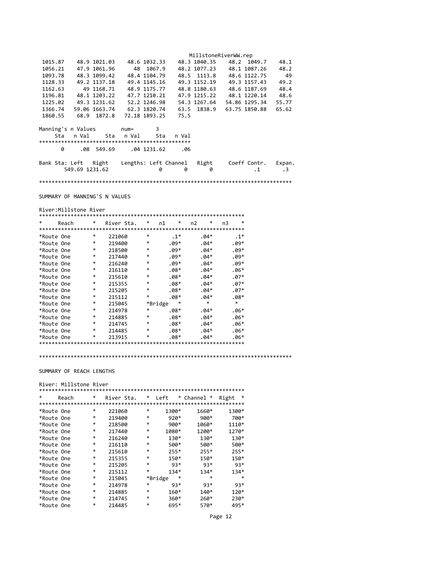|                |   |                    |               |             |               |                                          | MillstoneRiverWW.rep |               |           |
|----------------|---|--------------------|---------------|-------------|---------------|------------------------------------------|----------------------|---------------|-----------|
| 1015.87        |   |                    | 48.9 1021.03  |             | 48.6 1032.33  |                                          | 48.3 1040.35         | 48.2 1049.7   | 48.1      |
| 1056.21        |   |                    | 47.9 1061.96  | 48          | 1067.9        |                                          | 48.2 1077.23         | 48.1 1087.26  | 48.2      |
| 1093.78        |   |                    | 48.3 1099.42  |             | 48.4 1104.79  |                                          | 48.5 1113.8          | 48.6 1122.75  | 49        |
| 1128.33        |   |                    | 49.2 1137.18  |             | 49.4 1145.16  |                                          | 49.3 1152.19         | 49.3 1157.43  | 49.2      |
| 1162.63        |   |                    | 49 1168.71    |             | 48.9 1175.77  |                                          | 48.8 1180.63         | 48.6 1187.69  | 48.4      |
| 1196.81        |   |                    | 48.1 1203.22  |             | 47.7 1210.21  |                                          | 47.9 1215.22         | 48.1 1220.14  | 48.6      |
| 1225.02        |   |                    | 49.3 1231.62  |             | 52.2 1246.98  |                                          | 54.3 1267.64         | 54.86 1295.34 | 55.77     |
| 1366.74        |   |                    | 59.06 1663.74 |             | 62.3 1820.74  |                                          | 63.5 1838.9          | 63.75 1850.88 | 65.62     |
| 1860.55        |   | 68.9               | 1872.8        |             | 72.18 1893.25 | 75.5                                     |                      |               |           |
|                |   | Manning's n Values |               | $num =$     | 3             |                                          |                      |               |           |
|                |   | Sta nVal           | Sta           | n Val       | Sta           | n Val                                    |                      |               |           |
|                |   |                    |               |             |               |                                          |                      |               |           |
|                | 0 | .08                | 549.69        | .04 1231.62 |               | .06                                      |                      |               |           |
| Bank Sta: Left |   |                    | Right         |             |               | Lengths: Left Channel Right Coeff Contr. |                      |               | Expan.    |
|                |   | 549.69 1231.62     |               |             | 0             | 0                                        | 0                    | $\cdot$ 1     | $\cdot$ 3 |
|                |   |                    |               |             |               |                                          |                      |               |           |

SUMMARY OF MANNING'S N VALUES

#### River:Millstone River

| $\ast$     | Reach | *      | River Sta. | *       | n1 | ∗      | n <sub>2</sub> | *      | n3 | $\ast$ |
|------------|-------|--------|------------|---------|----|--------|----------------|--------|----|--------|
|            |       |        |            |         |    |        |                |        |    |        |
| *Route One |       | *      | 221060     | *       |    | $.1*$  |                | $.04*$ |    | $.1*$  |
| *Route One |       | *      | 219400     | *       |    | $.09*$ |                | $.04*$ |    | $.09*$ |
| *Route One |       | *      | 218500     | *       |    | $.09*$ |                | $.04*$ |    | $.09*$ |
| *Route One |       | *      | 217440     | *       |    | $.09*$ |                | $.04*$ |    | $.09*$ |
| *Route One |       | $\ast$ | 216240     | *       |    | $.09*$ |                | $.04*$ |    | $.09*$ |
| *Route One |       | $\ast$ | 216110     | *       |    | $.08*$ |                | $.04*$ |    | $.06*$ |
| *Route One |       | $\ast$ | 215610     | *       |    | $.08*$ |                | $.04*$ |    | $.07*$ |
| *Route One |       | *      | 215355     | *       |    | $.08*$ |                | $.04*$ |    | $.07*$ |
| *Route One |       | *      | 215205     | *       |    | $.08*$ |                | $.04*$ |    | $.07*$ |
| *Route One |       | *      | 215112     | *       |    | $.08*$ |                | $.04*$ |    | $.08*$ |
| *Route One |       | *      | 215045     | *Bridge |    |        |                | $\ast$ |    | $\ast$ |
| *Route One |       | *      | 214978     | *       |    | $.08*$ |                | $.04*$ |    | $.06*$ |
| *Route One |       | *      | 214885     | *       |    | $.08*$ |                | $.04*$ |    | $.06*$ |
| *Route One |       | $\ast$ | 214745     | *       |    | $.08*$ |                | $.04*$ |    | $.06*$ |
| *Route One |       | $\ast$ | 214485     | *       |    | $.08*$ |                | $.04*$ |    | $.06*$ |
| *Route One |       | *      | 213915     | *       |    | $.08*$ |                | $.04*$ |    | $.06*$ |
|            |       |        |            |         |    |        |                |        |    |        |

\*\*\*\*\*\*\*\*\*\*\*\*\*\*\*\*\*\*\*\*\*\*\*\*\*\*\*\*\*\*\*\*\*\*\*\*\*\*\*\*\*\*\*\*\*\*\*\*\*\*\*\*\*\*\*\*\*\*\*\*\*\*\*\*\*\*\*\*\*\*\*\*\*\*\*\*\*\*\*\*

SUMMARY OF REACH LENGTHS

# River: Millstone River

| $\ast$     | Reach | * |        | River Sta. | *      | Left         | * Channel * | *<br>Right  |
|------------|-------|---|--------|------------|--------|--------------|-------------|-------------|
|            |       |   |        |            |        |              |             |             |
| *Route One |       | * | 221060 |            | *      | 1300*        | 1660*       | 1300*       |
| *Route One |       | * | 219400 |            | $\ast$ | $920*$       | $900*$      | 700*        |
| *Route One |       | * | 218500 |            | $\ast$ | $900*$       | $1060*$     | 1110*       |
| *Route One |       | * | 217440 |            | $\ast$ | 1080*        | 1200*       | 1270*       |
| *Route One |       | * | 216240 |            | $\ast$ | 130*         | 130*        | 130*        |
| *Route One |       | * | 216110 |            | $\ast$ | 500*         | 500*        | 500*        |
| *Route One |       | * | 215610 |            | $\ast$ | $255*$       | $255*$      | $255*$      |
| *Route One |       | * | 215355 |            | $\ast$ | 150*         | 150*        | 150*        |
| *Route One |       | * | 215205 |            | $\ast$ | 93*          | 93*         | 93*         |
| *Route One |       | * | 215112 |            | $\ast$ | $134*$       | 134*        | $134*$      |
| *Route One |       | * | 215045 |            |        | *<br>*Bridge |             | $\ast$<br>* |
| *Route One |       | * | 214978 |            | $\ast$ | 93*          | 93*         | 93*         |
| *Route One |       | * | 214885 |            | $\ast$ | $160*$       | $140*$      | 120*        |
| *Route One |       | * | 214745 |            | $\ast$ | $360*$       | $260*$      | 230*        |
| *Route One |       | * | 214485 |            | $\ast$ | 695*         | 570*        | 495*        |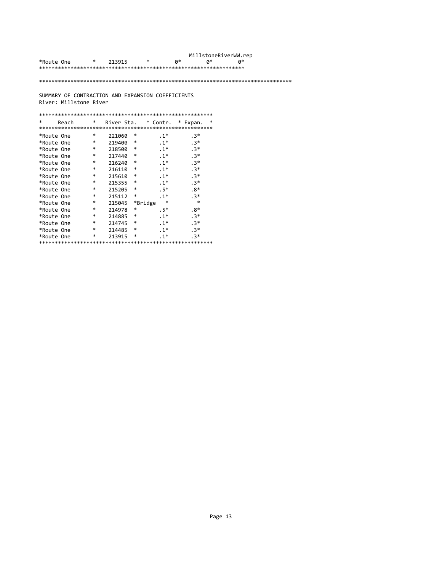|            |   |        |   |    | MillstoneRiverWW.rep |    |
|------------|---|--------|---|----|----------------------|----|
| *Route One | * | 213915 | ∗ | a* | a*                   | a* |
|            |   |        |   |    |                      |    |

### \*\*\*\*\*\*\*\*\*\*\*\*\*\*\*\*\*\*\*\*\*\*\*\*\*\*\*\*\*\*\*\*\*\*\*\*\*\*\*\*\*\*\*\*\*\*\*\*\*\*\*\*\*\*\*\*\*\*\*\*\*\*\*\*\*\*\*\*\*\*\*\*\*\*\*\*\*\*\*\*

SUMMARY OF CONTRACTION AND EXPANSION COEFFICIENTS River: Millstone River

| $\ast$     | Reach | *      |        |         | River Sta. * Contr. * Expan. | $\ast$ |
|------------|-------|--------|--------|---------|------------------------------|--------|
|            |       |        |        |         |                              |        |
| *Route One |       | *      | 221060 | *       | $.1*$                        | $.3*$  |
| *Route One |       | *      | 219400 | *       | $.1*$                        | $.3*$  |
| *Route One |       | *      | 218500 | $\ast$  | $.1*$                        | $.3*$  |
| *Route One |       | *      | 217440 | $\ast$  | $.1*$                        | $.3*$  |
| *Route One |       | $\ast$ | 216240 | $\ast$  | $.1*$                        | $.3*$  |
| *Route One |       | *      | 216110 | $\ast$  | $.1*$                        | $.3*$  |
| *Route One |       | $\ast$ | 215610 | $\ast$  | $.1*$                        | $.3*$  |
| *Route One |       | *      | 215355 | $\ast$  | $.1*$                        | $.3*$  |
| *Route One |       | $\ast$ | 215205 | $\ast$  | $.5*$                        | $.8*$  |
| *Route One |       | *      | 215112 | $\ast$  | $.1*$                        | $.3*$  |
| *Route One |       | *      | 215045 | *Bridge | $\ast$                       | $\ast$ |
| *Route One |       | *      | 214978 | $\ast$  | $.5*$                        | $.8*$  |
| *Route One |       | *      | 214885 | $\ast$  | $.1*$                        | $.3*$  |
| *Route One |       | *      | 214745 | $\ast$  | $.1*$                        | $.3*$  |
| *Route One |       | *      | 214485 | $\ast$  | $.1*$                        | $.3*$  |
| *Route One |       | *      | 213915 | $\ast$  | $.1*$                        | $.3*$  |
|            |       |        |        |         |                              |        |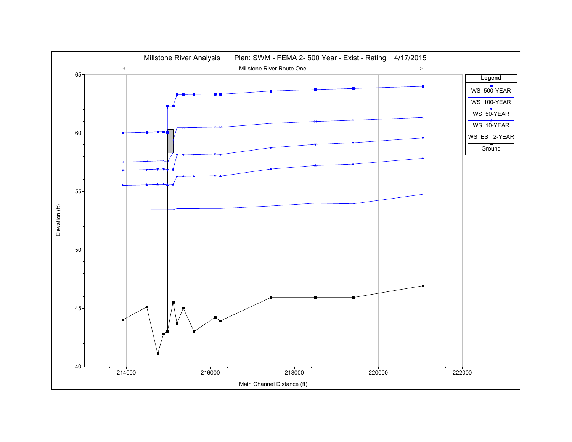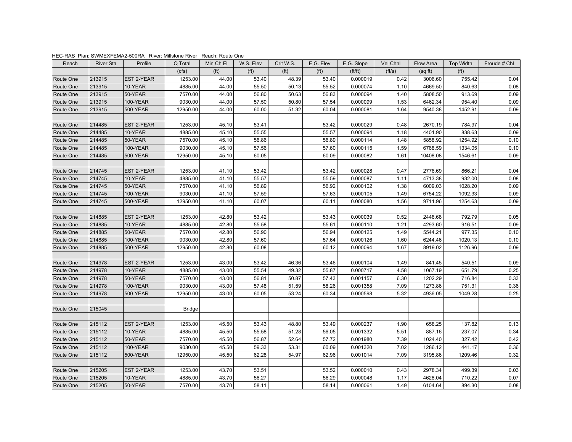| HEC-RAS Plan: SWMEXFEMA2-500RA River: Millstone River Reach: Route One |  |
|------------------------------------------------------------------------|--|
|------------------------------------------------------------------------|--|

| Reach     | <b>River Sta</b> | Profile           | Q Total       | Min Ch El         | W.S. Elev         | Crit W.S.         | E.G. Elev         | E.G. Slope | Vel Chnl     | Flow Area | <b>Top Width</b>  | Froude # Chl |
|-----------|------------------|-------------------|---------------|-------------------|-------------------|-------------------|-------------------|------------|--------------|-----------|-------------------|--------------|
|           |                  |                   | (cfs)         | (f <sup>t</sup> ) | (f <sup>t</sup> ) | (f <sup>t</sup> ) | (f <sup>t</sup> ) | ft/ft)     | (ft/s)       | (sqft)    | (f <sup>t</sup> ) |              |
| Route One | 213915           | EST 2-YEAR        | 1253.00       | 44.00             | 53.40             | 48.39             | 53.40             | 0.000019   | 0.42         | 3006.60   | 755.42            | 0.04         |
| Route One | 213915           | 10-YEAR           | 4885.00       | 44.00             | 55.50             | 50.13             | 55.52             | 0.000074   | 1.10         | 4669.50   | 840.63            | 0.08         |
| Route One | 213915           | 50-YEAR           | 7570.00       | 44.00             | 56.80             | 50.63             | 56.83             | 0.000094   | 1.40         | 5808.50   | 913.69            | 0.09         |
| Route One | 213915           | 100-YEAR          | 9030.00       | 44.00             | 57.50             | 50.80             | 57.54             | 0.000099   | 1.53         | 6462.34   | 954.40            | 0.09         |
| Route One | 213915           | 500-YEAR          | 12950.00      | 44.00             | 60.00             | 51.32             | 60.04             | 0.000081   | 1.64         | 9540.38   | 1452.91           | 0.09         |
| Route One | 214485           | EST 2-YEAR        | 1253.00       | 45.10             | 53.41             |                   | 53.42             | 0.000029   | 0.48         | 2670.19   | 784.97            | 0.04         |
| Route One | 214485           | 10-YEAR           | 4885.00       | 45.10             | 55.55             |                   | 55.57             | 0.000094   | 1.18         | 4401.90   | 838.63            | 0.09         |
| Route One | 214485           | 50-YEAR           | 7570.00       | 45.10             | 56.86             |                   | 56.89             | 0.000114   | 1.48         | 5858.92   | 1254.92           | 0.10         |
| Route One | 214485           | <b>100-YEAR</b>   | 9030.00       | 45.10             | 57.56             |                   | 57.60             | 0.000115   | 1.59         | 6768.59   | 1334.05           | 0.10         |
| Route One | 214485           | 500-YEAR          | 12950.00      | 45.10             | 60.05             |                   | 60.09             | 0.000082   | 1.61         | 10408.08  | 1546.61           | 0.09         |
| Route One | 214745           | EST 2-YEAR        | 1253.00       | 41.10             | 53.42             |                   | 53.42             | 0.000028   | 0.47         | 2778.69   | 866.21            | 0.04         |
| Route One | 214745           | 10-YEAR           | 4885.00       | 41.10             | 55.57             |                   | 55.59             | 0.000087   | 1.11         | 4713.38   | 932.00            | 0.08         |
| Route One | 214745           | 50-YEAR           | 7570.00       | 41.10             | 56.89             |                   | 56.92             | 0.000102   | 1.38         | 6009.03   | 1028.20           | 0.09         |
| Route One | 214745           | 100-YEAR          | 9030.00       | 41.10             | 57.59             |                   | 57.63             | 0.000105   | 1.49         | 6754.22   | 1092.33           | 0.09         |
| Route One | 214745           | 500-YEAR          | 12950.00      | 41.10             | 60.07             |                   | 60.11             | 0.000080   | 1.56         | 9711.96   | 1254.63           | 0.09         |
|           |                  |                   |               |                   |                   |                   |                   |            |              |           |                   |              |
| Route One | 214885           | <b>EST 2-YEAR</b> | 1253.00       | 42.80             | 53.42             |                   | 53.43             | 0.000039   | 0.52         | 2448.68   | 792.79            | 0.05         |
| Route One | 214885           | 10-YEAR           | 4885.00       | 42.80             | 55.58             |                   | 55.61             | 0.000110   | 1.21         | 4293.60   | 916.51            | 0.09         |
| Route One | 214885           | 50-YEAR           | 7570.00       | 42.80             | 56.90             |                   | 56.94             | 0.000125   | 1.49         | 5544.21   | 977.35            | 0.10         |
| Route One | 214885           | 100-YEAR          | 9030.00       | 42.80             | 57.60             |                   | 57.64             | 0.000126   | 1.60         | 6244.46   | 1020.13           | 0.10         |
| Route One | 214885           | 500-YEAR          | 12950.00      | 42.80             | 60.08             |                   | 60.12             | 0.000094   | 1.67         | 8919.02   | 1126.96           | 0.09         |
|           |                  |                   |               |                   |                   |                   |                   |            |              |           |                   |              |
| Route One | 214978           | <b>EST 2-YEAR</b> | 1253.00       | 43.00             | 53.42             | 46.36             | 53.46             | 0.000104   | 1.49         | 841.45    | 540.51            | 0.09         |
| Route One | 214978           | 10-YEAR           | 4885.00       | 43.00             | 55.54             | 49.32             | 55.87             | 0.000717   | 4.58         | 1067.19   | 651.79            | 0.25         |
| Route One | 214978           | 50-YEAR           | 7570.00       | 43.00             | 56.81             | 50.87             | 57.43             | 0.001157   | 6.30         | 1202.29   | 716.84            | 0.33         |
| Route One | 214978           | 100-YEAR          | 9030.00       | 43.00<br>43.00    | 57.48<br>60.05    | 51.59<br>53.24    | 58.26<br>60.34    | 0.001358   | 7.09<br>5.32 | 1273.86   | 751.31<br>1049.28 | 0.36<br>0.25 |
| Route One | 214978           | 500-YEAR          | 12950.00      |                   |                   |                   |                   | 0.000598   |              | 4936.05   |                   |              |
| Route One | 215045           |                   | <b>Bridge</b> |                   |                   |                   |                   |            |              |           |                   |              |
| Route One | 215112           | <b>EST 2-YEAR</b> | 1253.00       | 45.50             | 53.43             | 48.80             | 53.49             | 0.000237   | 1.90         | 658.25    | 137.82            | 0.13         |
| Route One | 215112           | 10-YEAR           | 4885.00       | 45.50             | 55.58             | 51.28             | 56.05             | 0.001332   | 5.51         | 887.16    | 237.07            | 0.34         |
| Route One | 215112           | 50-YEAR           | 7570.00       | 45.50             | 56.87             | 52.64             | 57.72             | 0.001980   | 7.39         | 1024.40   | 327.42            | 0.42         |
| Route One | 215112           | 100-YEAR          | 9030.00       | 45.50             | 59.33             | 53.31             | 60.09             | 0.001320   | 7.02         | 1286.12   | 441.17            | 0.36         |
| Route One | 215112           | 500-YEAR          | 12950.00      | 45.50             | 62.28             | 54.97             | 62.96             | 0.001014   | 7.09         | 3195.86   | 1209.46           | 0.32         |
|           |                  |                   |               |                   |                   |                   |                   |            |              |           |                   |              |
| Route One | 215205           | EST 2-YEAR        | 1253.00       | 43.70             | 53.51             |                   | 53.52             | 0.000010   | 0.43         | 2978.34   | 499.39            | 0.03         |
| Route One | 215205           | 10-YEAR           | 4885.00       | 43.70             | 56.27             |                   | 56.29             | 0.000048   | 1.17         | 4628.04   | 710.22            | 0.07         |
| Route One | 215205           | 50-YEAR           | 7570.00       | 43.70             | 58.11             |                   | 58.14             | 0.000061   | 1.49         | 6104.64   | 894.30            | 0.08         |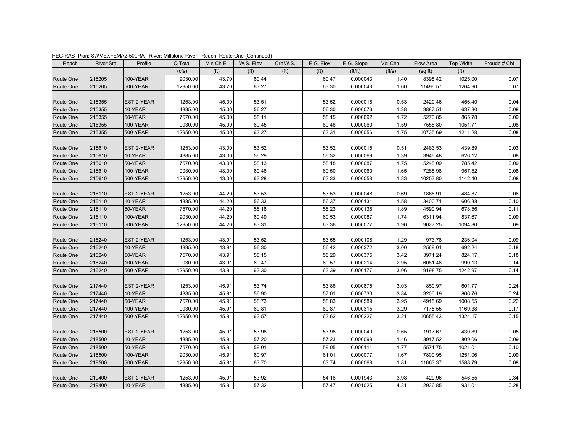| Reach     | <b>River Sta</b> | Profile         | Q Total  | Min Ch El         | W.S. Elev         | Crit W.S.         | E.G. Elev         | E.G. Slope | Vel Chnl | Flow Area | Top Width         | Froude # Chl |
|-----------|------------------|-----------------|----------|-------------------|-------------------|-------------------|-------------------|------------|----------|-----------|-------------------|--------------|
|           |                  |                 | (cfs)    | (f <sup>t</sup> ) | (f <sup>t</sup> ) | (f <sup>t</sup> ) | (f <sup>t</sup> ) | ft/ft)     | (ft/s)   | (sqft)    | (f <sup>t</sup> ) |              |
| Route One | 215205           | 100-YEAR        | 9030.00  | 43.70             | 60.44             |                   | 60.47             | 0.000043   | 1.40     | 8395.42   | 1025.00           | 0.07         |
| Route One | 215205           | 500-YEAR        | 12950.00 | 43.70             | 63.27             |                   | 63.30             | 0.000043   | 1.60     | 11496.57  | 1264.90           | 0.07         |
|           |                  |                 |          |                   |                   |                   |                   |            |          |           |                   |              |
| Route One | 215355           | EST 2-YEAR      | 1253.00  | 45.00             | 53.51             |                   | 53.52             | 0.000018   | 0.53     | 2420.46   | 456.40            | 0.04         |
| Route One | 215355           | 10-YEAR         | 4885.00  | 45.00             | 56.27             |                   | 56.30             | 0.000076   | 1.38     | 3887.51   | 637.30            | 0.08         |
| Route One | 215355           | 50-YEAR         | 7570.00  | 45.00             | 58.11             |                   | 58.15             | 0.000092   | 1.72     | 5270.85   | 865.78            | 0.09         |
| Route One | 215355           | 100-YEAR        | 9030.00  | 45.00             | 60.45             |                   | 60.48             | 0.000060   | 1.59     | 7558.80   | 1051.71           | 0.08         |
| Route One | 215355           | 500-YEAR        | 12950.00 | 45.00             | 63.27             |                   | 63.31             | 0.000056   | 1.75     | 10735.69  | 1211.28           | 0.08         |
|           |                  |                 |          |                   |                   |                   |                   |            |          |           |                   |              |
| Route One | 215610           | EST 2-YEAR      | 1253.00  | 43.00             | 53.52             |                   | 53.52             | 0.000015   | 0.51     | 2483.53   | 439.89            | 0.03         |
| Route One | 215610           | 10-YEAR         | 4885.00  | 43.00             | 56.29             |                   | 56.32             | 0.000069   | 1.39     | 3946.48   | 626.12            | 0.08         |
| Route One | 215610           | 50-YEAR         | 7570.00  | 43.00             | 58.13             |                   | 58.18             | 0.000087   | 1.75     | 5248.09   | 785.42            | 0.09         |
| Route One | 215610           | <b>100-YEAR</b> | 9030.00  | 43.00             | 60.46             |                   | 60.50             | 0.000060   | 1.65     | 7288.98   | 957.52            | 0.08         |
| Route One | 215610           | 500-YEAR        | 12950.00 | 43.00             | 63.28             |                   | 63.33             | 0.000058   | 1.83     | 10253.80  | 1142.40           | 0.08         |
|           |                  |                 |          |                   |                   |                   |                   |            |          |           |                   |              |
| Route One | 216110           | EST 2-YEAR      | 1253.00  | 44.20             | 53.53             |                   | 53.53             | 0.000048   | 0.69     | 1868.91   | 484.87            | 0.06         |
| Route One | 216110           | 10-YEAR         | 4885.00  | 44.20             | 56.33             |                   | 56.37             | 0.000131   | 1.58     | 3400.71   | 606.38            | 0.10         |
| Route One | 216110           | 50-YEAR         | 7570.00  | 44.20             | 58.18             |                   | 58.23             | 0.000138   | 1.89     | 4590.94   | 678.56            | 0.11         |
| Route One | 216110           | 100-YEAR        | 9030.00  | 44.20             | 60.49             |                   | 60.53             | 0.000087   | 1.74     | 6311.94   | 837.67            | 0.09         |
| Route One | 216110           | 500-YEAR        | 12950.00 | 44.20             | 63.31             |                   | 63.36             | 0.000077   | 1.90     | 9027.25   | 1094.80           | 0.09         |
|           |                  |                 |          |                   |                   |                   |                   |            |          |           |                   |              |
| Route One | 216240           | EST 2-YEAR      | 1253.00  | 43.91             | 53.52             |                   | 53.55             | 0.000108   | 1.29     | 973.78    | 236.04            | 0.09         |
| Route One | 216240           | 10-YEAR         | 4885.00  | 43.91             | 56.30             |                   | 56.42             | 0.000372   | 3.00     | 2569.01   | 692.24            | 0.18         |
| Route One | 216240           | 50-YEAR         | 7570.00  | 43.91             | 58.15             |                   | 58.29             | 0.000375   | 3.42     | 3971.24   | 824.17            | 0.18         |
| Route One | 216240           | 100-YEAR        | 9030.00  | 43.91             | 60.47             |                   | 60.57             | 0.000214   | 2.95     | 6081.48   | 990.13            | 0.14         |
| Route One | 216240           | 500-YEAR        | 12950.00 | 43.91             | 63.30             |                   | 63.39             | 0.000177   | 3.06     | 9198.75   | 1242.97           | 0.14         |
|           |                  |                 |          |                   |                   |                   |                   |            |          |           |                   |              |
| Route One | 217440           | EST 2-YEAR      | 1253.00  | 45.91             | 53.74             |                   | 53.86             | 0.000875   | 3.03     | 850.97    | 601.77            | 0.24         |
| Route One | 217440           | 10-YEAR         | 4885.00  | 45.91             | 56.90             |                   | 57.01             | 0.000733   | 3.84     | 3200.19   | 866.76            | 0.24         |
| Route One | 217440           | 50-YEAR         | 7570.00  | 45.91             | 58.73             |                   | 58.83             | 0.000589   | 3.95     | 4915.69   | 1008.55           | 0.22         |
| Route One | 217440           | 100-YEAR        | 9030.00  | 45.91             | 60.81             |                   | 60.87             | 0.000315   | 3.29     | 7175.55   | 1169.38           | 0.17         |
| Route One | 217440           | 500-YEAR        | 12950.00 | 45.91             | 63.57             |                   | 63.62             | 0.000227   | 3.21     | 10655.43  | 1324.17           | 0.15         |
| Route One | 218500           | EST 2-YEAR      | 1253.00  | 45.91             | 53.98             |                   | 53.98             | 0.000040   | 0.65     | 1917.67   | 430.89            | 0.05         |
| Route One | 218500           | 10-YEAR         | 4885.00  | 45.91             | 57.20             |                   | 57.23             | 0.000099   | 1.46     | 3917.52   | 809.06            | 0.09         |
| Route One | 218500           | 50-YEAR         | 7570.00  | 45.91             | 59.01             |                   | 59.05             | 0.000111   | 1.77     | 5571.75   | 1021.01           | 0.10         |
| Route One | 218500           | 100-YEAR        | 9030.00  | 45.91             | 60.97             |                   | 61.01             | 0.000077   | 1.67     | 7800.95   | 1251.06           | 0.09         |
| Route One | 218500           | 500-YEAR        | 12950.00 | 45.91             | 63.70             |                   | 63.74             | 0.000068   | 1.81     | 11663.37  | 1588.79           | 0.08         |
|           |                  |                 |          |                   |                   |                   |                   |            |          |           |                   |              |
| Route One | 219400           | EST 2-YEAR      | 1253.00  | 45.91             | 53.92             |                   | 54.16             | 0.001943   | 3.98     | 429.96    | 546.55            | 0.34         |
| Route One | 219400           | 10-YEAR         | 4885.00  | 45.91             | 57.32             |                   | 57.47             | 0.001025   | 4.31     | 2936.85   | 931.01            | 0.28         |

HEC-RAS Plan: SWMEXFEMA2-500RA River: Millstone River Reach: Route One (Continued)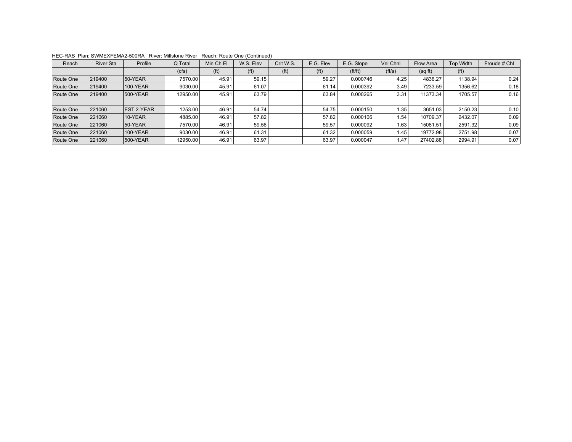| Reach     | <b>River Sta</b> | Profile           | Q Total  | Min Ch El         | W.S. Elev         | Crit W.S.         | E.G. Elev         | E.G. Slope | Vel Chnl | Flow Area | <b>Top Width</b>  | Froude # Chl |
|-----------|------------------|-------------------|----------|-------------------|-------------------|-------------------|-------------------|------------|----------|-----------|-------------------|--------------|
|           |                  |                   | (cfs)    | (f <sup>t</sup> ) | (f <sup>t</sup> ) | (f <sup>t</sup> ) | (f <sup>t</sup> ) | ft/ft)     | (f t/s)  | (sqft)    | (f <sup>t</sup> ) |              |
| Route One | 219400           | $50-YEAR$         | 7570.00  | 45.91             | 59.15             |                   | 59.27             | 0.000746   | 4.25     | 4836.27   | 1138.94           | 0.24         |
| Route One | 219400           | 100-YEAR          | 9030.00  | 45.91             | 61.07             |                   | 61.14             | 0.000392   | 3.49     | 7233.59   | 1356.62           | 0.18         |
| Route One | 219400           | 500-YEAR          | 12950.00 | 45.91             | 63.79             |                   | 63.84             | 0.000265   | 3.31     | 11373.34  | 1705.57           | 0.16         |
|           |                  |                   |          |                   |                   |                   |                   |            |          |           |                   |              |
| Route One | 221060           | <b>EST 2-YEAR</b> | 1253.00  | 46.91             | 54.74             |                   | 54.75             | 0.000150   | 1.35     | 3651.03   | 2150.23           | 0.10         |
| Route One | 221060           | 10-YEAR           | 4885.00  | 46.91             | 57.82             |                   | 57.82             | 0.000106   | 1.54     | 10709.37  | 2432.07           | 0.09         |
| Route One | 221060           | 50-YEAR           | 7570.00  | 46.91             | 59.56             |                   | 59.57             | 0.000092   | 1.63     | 15081.51  | 2591.32           | 0.09         |
| Route One | 221060           | 100-YEAR          | 9030.00  | 46.91             | 61.31             |                   | 61.32             | 0.000059   | 1.45     | 19772.98  | 2751.98           | 0.07         |
| Route One | 221060           | 500-YEAR          | 12950.00 | 46.91             | 63.97             |                   | 63.97             | 0.000047   | 1.47     | 27402.88  | 2994.91           | 0.07         |

HEC-RAS Plan: SWMEXFEMA2-500RA River: Millstone River Reach: Route One (Continued)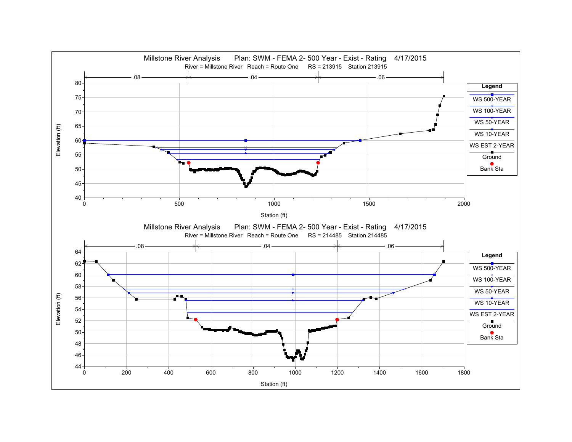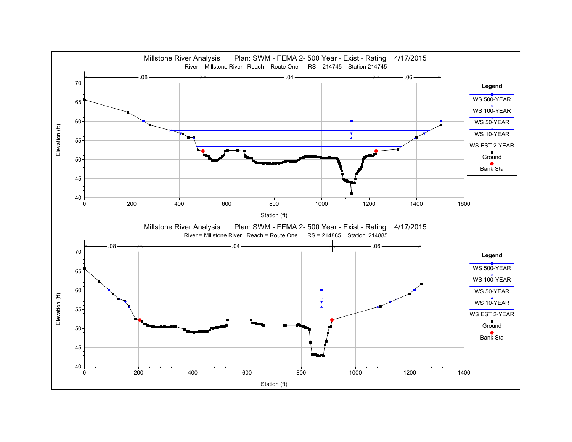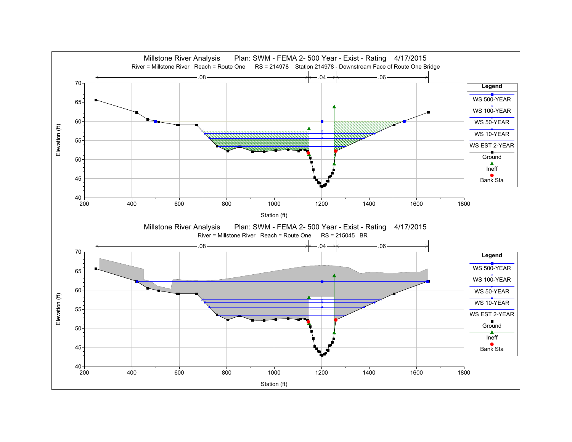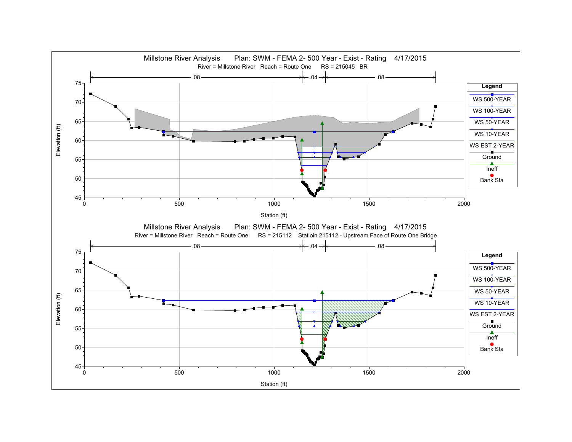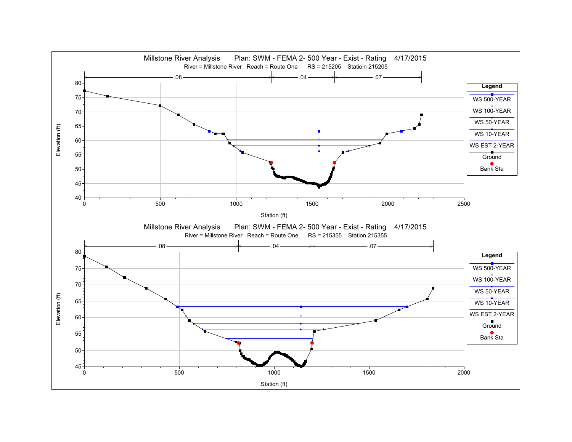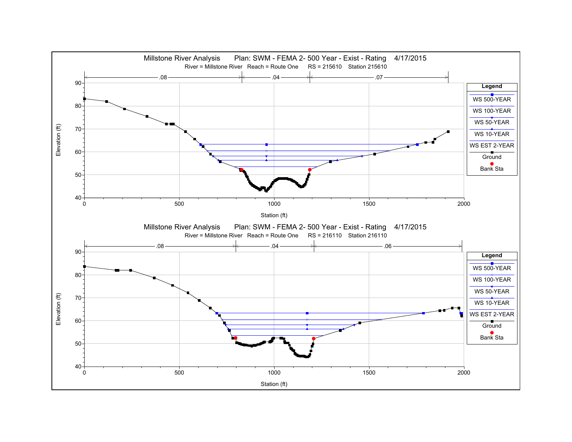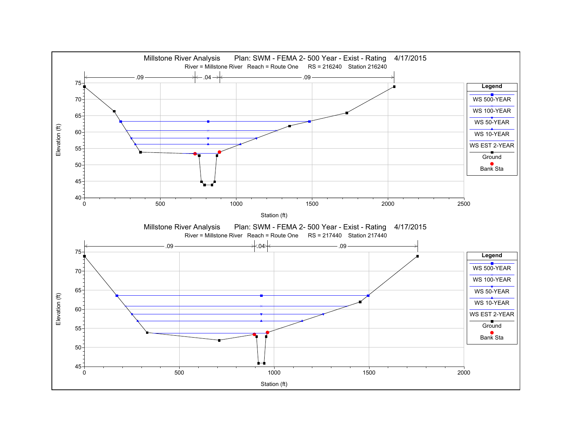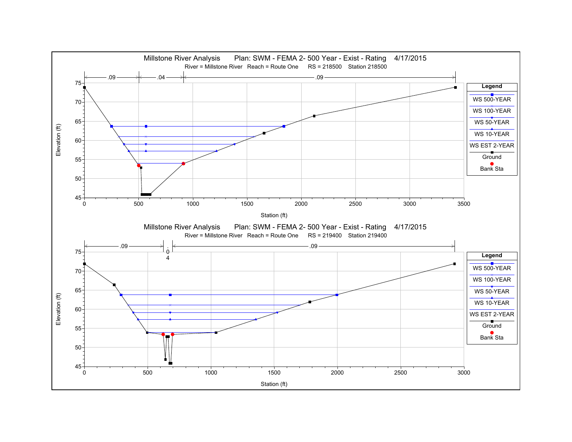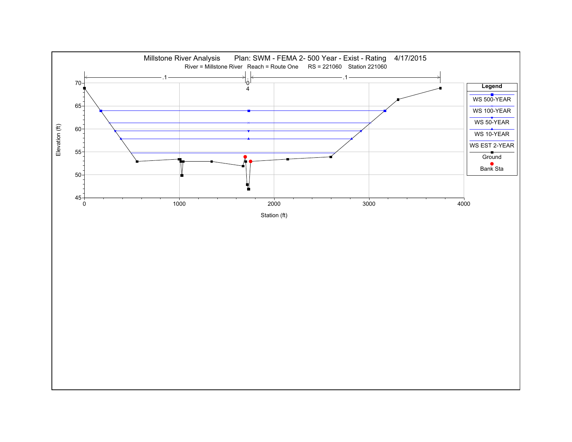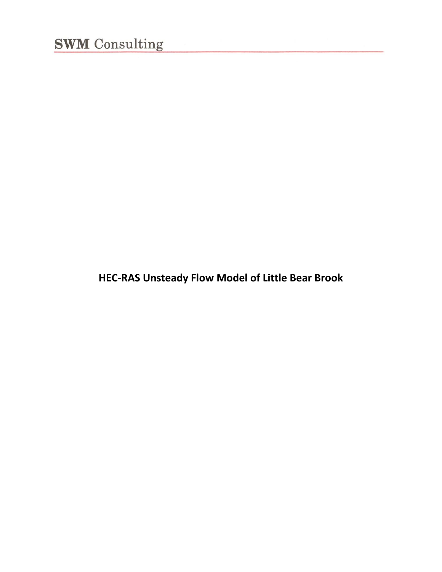**HEC‐RAS Unsteady Flow Model of Little Bear Brook**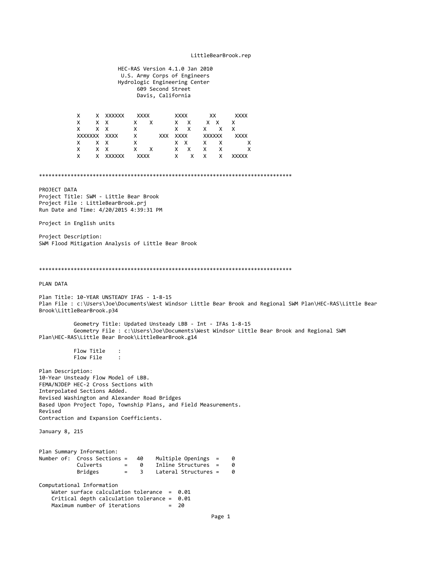#### LittleBearBrook.rep

 HEC‐RAS Version 4.1.0 Jan 2010 U.S. Army Corps of Engineers Hydrologic Engineering Center 609 Second Street Davis, California X X XXXXXX XXXX XXXX XX XXXX X X X X X X X X X X X X X X X X X X X XXXXXXX XXXX X XXX XXXX XXXXXX XXXX X X X X X X X X X X X X X X X X X X X X X XXXXXX XXXX X X X X XXXXX \*\*\*\*\*\*\*\*\*\*\*\*\*\*\*\*\*\*\*\*\*\*\*\*\*\*\*\*\*\*\*\*\*\*\*\*\*\*\*\*\*\*\*\*\*\*\*\*\*\*\*\*\*\*\*\*\*\*\*\*\*\*\*\*\*\*\*\*\*\*\*\*\*\*\*\*\*\*\*\* PROJECT DATA Project Title: SWM ‐ Little Bear Brook Project File : LittleBearBrook.prj Run Date and Time: 4/20/2015 4:39:31 PM Project in English units Project Description: SWM Flood Mitigation Analysis of Little Bear Brook \*\*\*\*\*\*\*\*\*\*\*\*\*\*\*\*\*\*\*\*\*\*\*\*\*\*\*\*\*\*\*\*\*\*\*\*\*\*\*\*\*\*\*\*\*\*\*\*\*\*\*\*\*\*\*\*\*\*\*\*\*\*\*\*\*\*\*\*\*\*\*\*\*\*\*\*\*\*\*\* PLAN DATA Plan Title: 10‐YEAR UNSTEADY IFAS ‐ 1‐8‐15 Plan File : c:\Users\Joe\Documents\West Windsor Little Bear Brook and Regional SWM Plan\HEC-RAS\Little Bear Brook\LittleBearBrook.p34 Geometry Title: Updated Unsteady LBB ‐ Int ‐ IFAs 1‐8‐15 Geometry File : c:\Users\Joe\Documents\West Windsor Little Bear Brook and Regional SWM Plan\HEC‐RAS\Little Bear Brook\LittleBearBrook.g14 Flow Title : Flow File : Plan Description: 10‐Year Unsteady Flow Model of LBB. FEMA/NJDEP HEC‐2 Cross Sections with Interpolated Sections Added. Revised Washington and Alexander Road Bridges Based Upon Project Topo, Township Plans, and Field Measurements. Revised Contraction and Expansion Coefficients. January 8, 215 Plan Summary Information: Number of: Cross Sections = 40 Multiple Openings = 0  $= 0$  Inline Structures =  $0$  Bridges = 3 Lateral Structures = 0 Computational Information Water surface calculation tolerance =  $0.01$  Critical depth calculation tolerance = 0.01  $Maximum number of iterations =  $20$$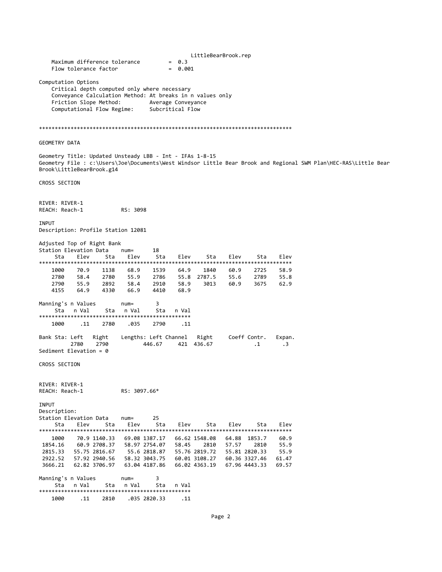|                                                                                       |                              | Maximum difference tolerance<br>Flow tolerance factor |                                                                                                           |                                        | $= 0.3$<br>$= 0.001$         | LittleBearBrook.rep                             |                      |                                                 |                        |                                                                                                                 |  |
|---------------------------------------------------------------------------------------|------------------------------|-------------------------------------------------------|-----------------------------------------------------------------------------------------------------------|----------------------------------------|------------------------------|-------------------------------------------------|----------------------|-------------------------------------------------|------------------------|-----------------------------------------------------------------------------------------------------------------|--|
| Computation Options                                                                   |                              | Friction Slope Method:<br>Computational Flow Regime:  | Critical depth computed only where necessary<br>Conveyance Calculation Method: At breaks in n values only | Average Conveyance<br>Subcritical Flow |                              |                                                 |                      |                                                 |                        |                                                                                                                 |  |
|                                                                                       |                              |                                                       |                                                                                                           |                                        |                              |                                                 |                      |                                                 |                        |                                                                                                                 |  |
| <b>GEOMETRY DATA</b>                                                                  |                              |                                                       |                                                                                                           |                                        |                              |                                                 |                      |                                                 |                        |                                                                                                                 |  |
| Geometry Title: Updated Unsteady LBB - Int - IFAs 1-8-15<br>Brook\LittleBearBrook.g14 |                              |                                                       |                                                                                                           |                                        |                              |                                                 |                      |                                                 |                        | Geometry File : c:\Users\Joe\Documents\West Windsor Little Bear Brook and Regional SWM Plan\HEC-RAS\Little Bear |  |
| CROSS SECTION                                                                         |                              |                                                       |                                                                                                           |                                        |                              |                                                 |                      |                                                 |                        |                                                                                                                 |  |
| RIVER: RIVER-1<br>REACH: Reach-1                                                      |                              |                                                       | RS: 3098                                                                                                  |                                        |                              |                                                 |                      |                                                 |                        |                                                                                                                 |  |
| INPUT<br>Description: Profile Station 12081                                           |                              |                                                       |                                                                                                           |                                        |                              |                                                 |                      |                                                 |                        |                                                                                                                 |  |
| Adjusted Top of Right Bank<br>Station Elevation Data<br>Sta                           | Elev                         | Sta                                                   | $num =$<br>Elev                                                                                           | 18<br>Sta                              | Elev                         | Sta                                             | Elev                 | Sta                                             | Elev                   |                                                                                                                 |  |
| 1000<br>2780<br>2790<br>4155                                                          | 70.9<br>58.4<br>55.9<br>64.9 | 1138<br>2780<br>2892<br>4330                          | 68.9<br>55.9<br>58.4<br>66.9                                                                              | 1539<br>2786<br>2910<br>4410           | 64.9<br>55.8<br>58.9<br>68.9 | 1840<br>2787.5<br>3013                          | 60.9<br>55.6<br>60.9 | 2725<br>2789<br>3675                            | 58.9<br>55.8<br>62.9   |                                                                                                                 |  |
| Manning's n Values<br>Sta                                                             | n Val                        | Sta                                                   | $num =$<br>n Val                                                                                          | 3<br>Sta                               | n Val                        |                                                 |                      |                                                 |                        |                                                                                                                 |  |
| 1000                                                                                  | .11                          | 2780                                                  | .035                                                                                                      | 2790                                   | . 11                         |                                                 |                      |                                                 |                        |                                                                                                                 |  |
| Bank Sta: Left<br>Sediment Elevation = $\theta$                                       | 2780                         | Right<br>2790                                         | Lengths: Left Channel                                                                                     | 446.67                                 |                              | Right<br>421 436.67                             |                      | Coeff Contr.<br>$\cdot$ 1                       | Expan.<br>$\cdot$ 3    |                                                                                                                 |  |
| CROSS SECTION                                                                         |                              |                                                       |                                                                                                           |                                        |                              |                                                 |                      |                                                 |                        |                                                                                                                 |  |
| RIVER: RIVER-1<br>REACH: Reach-1                                                      |                              |                                                       | RS: 3097.66*                                                                                              |                                        |                              |                                                 |                      |                                                 |                        |                                                                                                                 |  |
| INPUT<br>Description:<br>Station Elevation Data<br>Sta                                | Elev                         | Sta                                                   | $num =$<br>Elev                                                                                           | 25<br>Sta                              | Elev                         | Sta                                             | Elev                 | Sta                                             | Elev                   |                                                                                                                 |  |
| 1000                                                                                  |                              | 70.9 1140.33                                          | 69.08 1387.17                                                                                             |                                        |                              | 66.62 1548.08                                   |                      | 64.88 1853.7                                    | 60.9                   |                                                                                                                 |  |
| 1854.16                                                                               |                              | 60.9 2708.37                                          | 58.97 2754.07                                                                                             |                                        | 58.45                        | 2810                                            | 57.57                | 2810                                            | 55.9                   |                                                                                                                 |  |
| 2815.33<br>2922.52<br>3666.21                                                         |                              | 55.75 2816.67<br>57.92 2940.56<br>62.82 3706.97       | 55.6 2818.87<br>58.32 3043.75<br>63.04 4187.86                                                            |                                        |                              | 55.76 2819.72<br>60.01 3108.27<br>66.02 4363.19 |                      | 55.81 2820.33<br>60.36 3327.46<br>67.96 4443.33 | 55.9<br>61.47<br>69.57 |                                                                                                                 |  |
| Manning's n Values<br>Sta                                                             | n Val                        | Sta                                                   | $num =$<br>n Val                                                                                          | 3<br>Sta                               | n Val                        |                                                 |                      |                                                 |                        |                                                                                                                 |  |
| 1000                                                                                  | .11                          | 2810                                                  |                                                                                                           | .035 2820.33                           | .11                          |                                                 |                      |                                                 |                        |                                                                                                                 |  |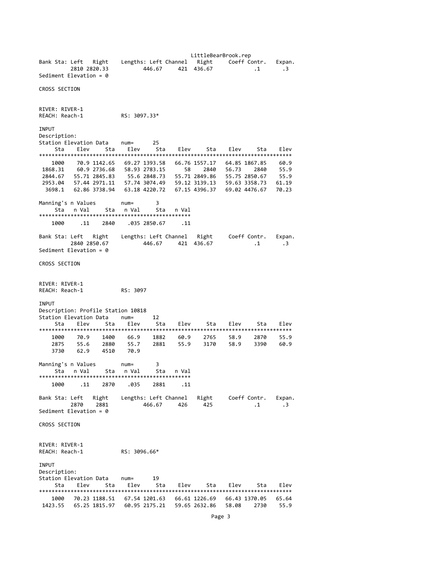LittleBearBrook.rep Bank Sta: Left Right Lengths: Left Channel Right Coeff Contr. Expan. 2810 2820.33 446.67 421 436.67 .1 .3 Sediment Elevation = 0 CROSS SECTION RIVER: RIVER‐1 REACH: Reach‐1 RS: 3097.33\* INPUT Description:<br>Station Elevation Data num= Station Elevation Data num= 25 Sta Elev Sta Elev Sta Elev Sta Elev Sta Elev \*\*\*\*\*\*\*\*\*\*\*\*\*\*\*\*\*\*\*\*\*\*\*\*\*\*\*\*\*\*\*\*\*\*\*\*\*\*\*\*\*\*\*\*\*\*\*\*\*\*\*\*\*\*\*\*\*\*\*\*\*\*\*\*\*\*\*\*\*\*\*\*\*\*\*\*\*\*\*\* 1000 70.9 1142.65 69.27 1393.58 66.76 1557.17 64.85 1867.85 60.9 1868.31 60.9 2736.68 58.93 2783.15 58 2840 56.73 2840 55.9 2844.67 55.71 2845.83 55.6 2848.73 55.71 2849.86 55.75 2850.67 55.9 2953.04 57.44 2971.11 57.74 3074.49 59.12 3139.13 59.63 3358.73 61.19 3698.1 62.86 3738.94 63.18 4220.72 67.15 4396.37 69.02 4476.67 70.23 Manning's n Values num= 3 Sta n Val Sta n Val Sta n Val \*\*\*\*\*\*\*\*\*\*\*\*\*\*\*\*\*\*\*\*\*\*\*\*\*\*\*\*\*\*\*\*\*\*\*\*\*\*\*\*\*\*\*\*\*\*\*\* 1000 .11 2840 .035 2850.67 .11 Bank Sta: Left Right Lengths: Left Channel Right Coeff Contr. Expan. 2840 2850.67 446.67 421 436.67 .1 .3 Sediment Elevation = 0 CROSS SECTION RIVER: RIVER‐1 REACH: Reach‐1 RS: 3097 INPUT Description: Profile Station 10818 Station Elevation Data num= 12 Sta Elev Sta Elev Sta Elev Sta Elev Sta Elev \*\*\*\*\*\*\*\*\*\*\*\*\*\*\*\*\*\*\*\*\*\*\*\*\*\*\*\*\*\*\*\*\*\*\*\*\*\*\*\*\*\*\*\*\*\*\*\*\*\*\*\*\*\*\*\*\*\*\*\*\*\*\*\*\*\*\*\*\*\*\*\*\*\*\*\*\*\*\*\* 1000 70.9 1400 66.9 1882 60.9 2765 58.9 2870 55.9 2875 55.6 2880 55.7 2881 55.9 3170 58.9 3390 60.9 3730 62.9 4510 70.9 Manning's n Values num= 3 Sta nVal Sta nVal Sta nVal \*\*\*\*\*\*\*\*\*\*\*\*\*\*\*\*\*\*\*\*\*\*\*\*\*\*\*\*\*\*\*\*\*\*\*\*\*\*\*\*\*\*\*\*\*\*\*\* 1000 .11 2870 .035 2881 .11 Bank Sta: Left Right Lengths: Left Channel Right Coeff Contr. Expan. 2870 2881 466.67 426 425 .1 .3 Sediment Elevation = 0 CROSS SECTION RIVER: RIVER‐1 REACH: Reach‐1 RS: 3096.66\* INPUT Description: Station Elevation Data num= 19 Sta Elev Sta Elev Sta Elev Sta Elev Sta Elev \*\*\*\*\*\*\*\*\*\*\*\*\*\*\*\*\*\*\*\*\*\*\*\*\*\*\*\*\*\*\*\*\*\*\*\*\*\*\*\*\*\*\*\*\*\*\*\*\*\*\*\*\*\*\*\*\*\*\*\*\*\*\*\*\*\*\*\*\*\*\*\*\*\*\*\*\*\*\*\* 1000 70.23 1188.51 67.54 1201.63 66.61 1226.69 66.43 1370.05 65.64 1423.55 65.25 1815.97 60.95 2175.21 59.65 2632.86 58.08 2730 55.9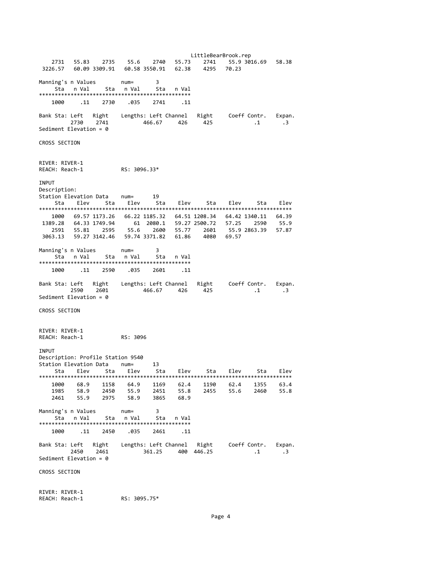LittleBearBrook.rep 2731 55.83 2735 55.6 2740 55.73 2741 55.9 3016.69 58.38 3226.57 60.09 3309.91 60.58 3550.91 62.38 Manning's n Values num= 3 Sta n Val Sta n Val Sta n Val \*\*\*\*\*\*\*\*\*\*\*\*\*\*\*\*\*\*\*\*\*\*\*\*\*\*\*\*\*\*\*\*\*\*\*\*\*\*\*\*\*\*\*\*\*\*\*\* 1000 .11 2730 .035 2741 .11 Bank Sta: Left Right Lengths: Left Channel Right Coeff Contr. Expan.  $\, 1 \, 3$ Sediment Elevation = 0 CROSS SECTION RIVER: RIVER‐1 REACH: Reach‐1 RS: 3096.33\* INPUT Description: Station Elevation Data num= 19 Sta Elev Sta Elev Sta Elev Sta Elev Sta Elev \*\*\*\*\*\*\*\*\*\*\*\*\*\*\*\*\*\*\*\*\*\*\*\*\*\*\*\*\*\*\*\*\*\*\*\*\*\*\*\*\*\*\*\*\*\*\*\*\*\*\*\*\*\*\*\*\*\*\*\*\*\*\*\*\*\*\*\*\*\*\*\*\*\*\*\*\*\*\*\* 1000 69.57 1173.26 66.22 1185.32 64.51 1208.34 64.42 1340.11 64.39 1389.28 64.33 1749.94 61 2080.1 59.27 2500.72 57.25 2590 55.9 2591 55.81 2595 55.6 2600 55.77 2601 55.9 2863.39 57.87 3063.13 59.27 3142.46 59.74 3371.82 61.86 4080 69.57 Manning's n Values num= 3 Sta n Val Sta n Val Sta n Val \*\*\*\*\*\*\*\*\*\*\*\*\*\*\*\*\*\*\*\*\*\*\*\*\*\*\*\*\*\*\*\*\*\*\*\*\*\*\*\*\*\*\*\*\*\*\*\* 1000 .11 2590 .035 2601 .11 Bank Sta: Left Right Lengths: Left Channel Right Coeff Contr. Expan. 2590 2601 466.67 426 425 .1 .3 Sediment Elevation = 0 CROSS SECTION RIVER: RIVER‐1 REACH: Reach‐1 RS: 3096 INPUT Description: Profile Station 9540 Station Elevation Data num= 13 Sta Elev Sta Elev Sta Elev Sta Elev Sta Elev \*\*\*\*\*\*\*\*\*\*\*\*\*\*\*\*\*\*\*\*\*\*\*\*\*\*\*\*\*\*\*\*\*\*\*\*\*\*\*\*\*\*\*\*\*\*\*\*\*\*\*\*\*\*\*\*\*\*\*\*\*\*\*\*\*\*\*\*\*\*\*\*\*\*\*\*\*\*\*\* 1000 68.9 1158 64.9 1169 62.4 1190 62.4 1355 63.4 1985 58.9 2450 55.9 2451 55.8 2455 55.6 2460 55.8 2461 55.9 2975 58.9 3865 68.9 Manning's n Values num= 3 Sta n Val \*\*\*\*\*\*\*\*\*\*\*\*\*\*\*\*\*\*\*\*\*\*\*\*\*\*\*\*\*\*\*\*\*\*\*\*\*\*\*\*\*\*\*\*\*\*\*\* 1000 .11 2450 .035 2461 .11 Bank Sta: Left Right Lengths: Left Channel Right Coeff Contr. Expan. 2450 2461 361.25 400 446.25 .1 .3 Sediment Elevation = 0 CROSS SECTION RIVER: RIVER‐1

REACH: Reach‐1 RS: 3095.75\*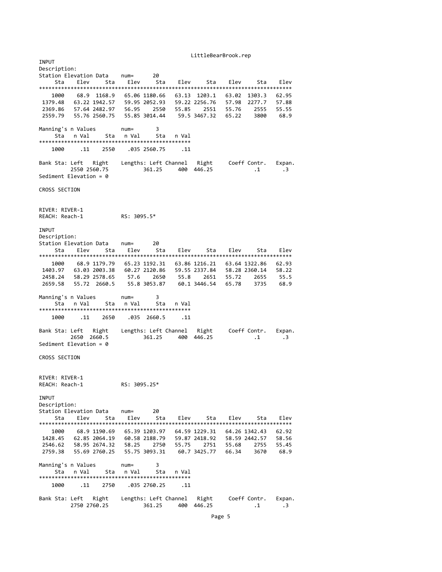LittleBearBrook.rep **TNPUT** Description: Station Elevation Data num= 20 Sta Elev Sta Elev Sta Elev Sta Elev Sta Elev \*\*\*\*\*\*\*\*\*\*\*\*\*\*\*\*\*\*\*\*\*\*\*\*\*\*\*\*\*\*\*\*\*\*\*\*\*\*\*\*\*\*\*\*\*\*\*\*\*\*\*\*\*\*\*\*\*\*\*\*\*\*\*\*\*\*\*\*\*\*\*\*\*\*\*\*\*\*\*\* 1000 68.9 1168.9 65.06 1180.66 63.13 1203.1 63.02 1303.3 62.95 1379.48 63.22 1942.57 59.95 2052.93 59.22 2256.76 57.98 2277.7 57.88 2369.86 57.64 2482.97 56.95 2550 55.85 2551 55.76 2555 55.55 2559.79 55.76 2560.75 55.85 3014.44 59.5 3467.32 65.22 3800 68.9 Manning's n Values num= 3 Sta n Val Sta n Val Sta n Val \*\*\*\*\*\*\*\*\*\*\*\*\*\*\*\*\*\*\*\*\*\*\*\*\*\*\*\*\*\*\*\*\*\*\*\*\*\*\*\*\*\*\*\*\*\*\*\* 1000 .11 2550 .035 2560.75 .11 Bank Sta: Left Right Lengths: Left Channel Right Coeff Contr. Expan. 2550 2560.75 361.25 400 446.25 .1 .3 Sediment Elevation = 0 CROSS SECTION RIVER: RIVER‐1 REACH: Reach‐1 RS: 3095.5\* **TNPUT** Description: Station Elevation Data num= 20 Sta Elev Sta Elev Sta Elev Sta Elev Sta Elev \*\*\*\*\*\*\*\*\*\*\*\*\*\*\*\*\*\*\*\*\*\*\*\*\*\*\*\*\*\*\*\*\*\*\*\*\*\*\*\*\*\*\*\*\*\*\*\*\*\*\*\*\*\*\*\*\*\*\*\*\*\*\*\*\*\*\*\*\*\*\*\*\*\*\*\*\*\*\*\* 1000 68.9 1179.79 65.23 1192.31 63.86 1216.21 63.64 1322.86 62.93 1403.97 63.03 2003.38 60.27 2120.86 59.55 2337.84 58.28 2360.14 58.22 2458.24 58.29 2578.65 57.6 2650 55.8 2651 55.72 2655 55.5 2659.58 55.72 2660.5 55.8 3053.87 60.1 3446.54 65.78 3735 68.9 Manning's n Values num= 3 Sta n Val Sta n Val Sta n Val \*\*\*\*\*\*\*\*\*\*\*\*\*\*\*\*\*\*\*\*\*\*\*\*\*\*\*\*\*\*\*\*\*\*\*\*\*\*\*\*\*\*\*\*\*\*\*\* 1000 .11 2650 .035 2660.5 .11 Bank Sta: Left Right Lengths: Left Channel Right Coeff Contr. Expan.  $361.25$   $400$   $446.25$   $1$   $3$ Sediment Elevation = 0 CROSS SECTION RIVER: RIVER‐1 REACH: Reach‐1 RS: 3095.25\* INPUT Description: Station Elevation Data num= 20 Sta Elev Sta Elev Sta Elev Sta Elev Sta Elev \*\*\*\*\*\*\*\*\*\*\*\*\*\*\*\*\*\*\*\*\*\*\*\*\*\*\*\*\*\*\*\*\*\*\*\*\*\*\*\*\*\*\*\*\*\*\*\*\*\*\*\*\*\*\*\*\*\*\*\*\*\*\*\*\*\*\*\*\*\*\*\*\*\*\*\*\*\*\*\* 1000 68.9 1190.69 65.39 1203.97 64.59 1229.31 64.26 1342.43 62.92 1428.45 62.85 2064.19 60.58 2188.79 59.87 2418.92 58.59 2442.57 58.56 2546.62 58.95 2674.32 58.25 2750 55.75 2751 55.68 2755 55.45<br>2759.38 55.69 2760.25 55.75 3093.31 60.7 3425.77 66.34 3670 68.9 2759.38 55.69 2760.25 55.75 3093.31 Manning's n Values num= 3 Sta n Val Sta n Val Sta n Val \*\*\*\*\*\*\*\*\*\*\*\*\*\*\*\*\*\*\*\*\*\*\*\*\*\*\*\*\*\*\*\*\*\*\*\*\*\*\*\*\*\*\*\*\*\*\*\* 1000 .11 2750 .035 2760.25 .11 Bank Sta: Left Right Lengths: Left Channel Right Coeff Contr. Expan. 2750 2760.25 361.25 400 446.25 .1 .3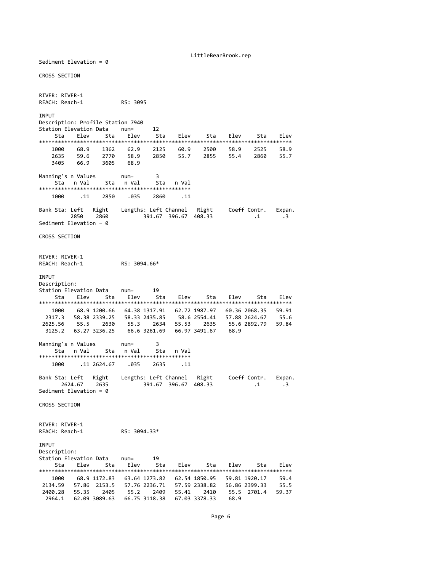LittleBearBrook.rep

CROSS SECTION RIVER: RIVER‐1 REACH: Reach‐1 RS: 3095 **TNPLIT** Description: Profile Station 7940 Station Elevation Data num= 12 Sta Elev Sta Elev Sta Elev Sta Elev Sta Elev \*\*\*\*\*\*\*\*\*\*\*\*\*\*\*\*\*\*\*\*\*\*\*\*\*\*\*\*\*\*\*\*\*\*\*\*\*\*\*\*\*\*\*\*\*\*\*\*\*\*\*\*\*\*\*\*\*\*\*\*\*\*\*\*\*\*\*\*\*\*\*\*\*\*\*\*\*\*\*\* 1000 68.9 1362 62.9 2125 60.9 2500 58.9 2525 58.9 2635 59.6 2770 58.9 2850 55.7 2855 55.4 2860 55.7 1000 68.9 1362 62.9<br>2635 59.6 2770 58.9<br>3405 66.9 3605 68.9 Manning's n Values num= 3 Sta n Val Sta n Val Sta n Val \*\*\*\*\*\*\*\*\*\*\*\*\*\*\*\*\*\*\*\*\*\*\*\*\*\*\*\*\*\*\*\*\*\*\*\*\*\*\*\*\*\*\*\*\*\*\*\* 1000 .11 2850 .035 2860 .11 Bank Sta: Left Right Lengths: Left Channel Right Coeff Contr. Expan.<br>2850 2860 391.67 396.67 408.33 .1 .3  $391.67$   $396.67$   $408.33$   $1$   $1$   $3$ Sediment Elevation = 0 CROSS SECTION RIVER: RIVER‐1 REACH: Reach‐1 RS: 3094.66\* INPUT Description: Station Elevation Data num= 19 Sta Elev Sta Elev Sta Elev Sta Elev Sta Elev \*\*\*\*\*\*\*\*\*\*\*\*\*\*\*\*\*\*\*\*\*\*\*\*\*\*\*\*\*\*\*\*\*\*\*\*\*\*\*\*\*\*\*\*\*\*\*\*\*\*\*\*\*\*\*\*\*\*\*\*\*\*\*\*\*\*\*\*\*\*\*\*\*\*\*\*\*\*\*\* 1000 68.9 1200.66 64.38 1317.91 62.72 1987.97 60.36 2068.35 59.91<br>2317.3 58.38 2339.25 58.33 2435.85 58.6 2554.41 57.88 2624.67 55.6<br>625.56 55.5 2630 55.3 2317.3 58.38 2339.25 58.33 2435.85 58.6 2554.41 57.88 2624.67 55.6 2625.56 55.5 2630 55.3 2634 55.53 2635 55.6 2892.79 59.84 3125.2 63.27 3236.25 66.6 3261.69 66.97 3491.67 68.9 Manning's n Values num= 3 Sta n Val Sta n Val Sta n Val \*\*\*\*\*\*\*\*\*\*\*\*\*\*\*\*\*\*\*\*\*\*\*\*\*\*\*\*\*\*\*\*\*\*\*\*\*\*\*\*\*\*\*\*\*\*\*\* 1000 .11 2624.67 .035 2635 .11 Bank Sta: Left Right Lengths: Left Channel Right Coeff Contr. Expan. 2624.67 2635 391.67 396.67 408.33 .1 .3 Sediment Elevation = 0 CROSS SECTION RIVER: RIVER‐1 REACH: Reach‐1 RS: 3094.33\* INPUT Description: Station Elevation Data num= 19 Sta Elev Sta Elev Sta Elev Sta Elev Sta Elev \*\*\*\*\*\*\*\*\*\*\*\*\*\*\*\*\*\*\*\*\*\*\*\*\*\*\*\*\*\*\*\*\*\*\*\*\*\*\*\*\*\*\*\*\*\*\*\*\*\*\*\*\*\*\*\*\*\*\*\*\*\*\*\*\*\*\*\*\*\*\*\*\*\*\*\*\*\*\*\* 1000 68.9 1172.83 63.64 1273.82 62.54 1850.95 59.81 1920.17 59.4 2134.59 57.86 2153.5 57.76 2236.71 57.59 2338.82 56.86 2399.33 55.5 2400.28 55.35 2405 55.2 2409 55.41 2410 55.5 2701.4 59.37 2964.1 62.09 3089.63 66.75 3118.38 67.03 3378.33 68.9

Sediment Elevation = 0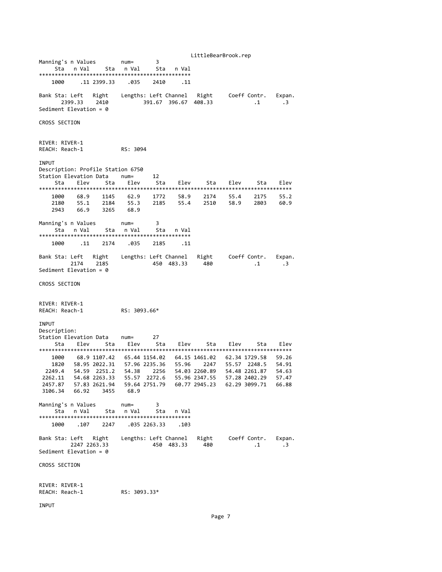LittleBearBrook.rep Manning's n Values num= 3 Sta n Val Sta n Val Sta n Val \*\*\*\*\*\*\*\*\*\*\*\*\*\*\*\*\*\*\*\*\*\*\*\*\*\*\*\*\*\*\*\*\*\*\*\*\*\*\*\*\*\*\*\*\*\*\*\* 1000 .11 2399.33 .035 2410 .11 Bank Sta: Left Right Lengths: Left Channel Right Coeff Contr. Expan. 2399.33 2410 391.67 396.67 408.33 .1 .3 Sediment Elevation = 0 CROSS SECTION RIVER: RIVER‐1 REACH: Reach‐1 RS: 3094 INPUT Description: Profile Station 6750 Station Elevation Data num= 12 Sta Elev Sta Elev Sta Elev Sta Elev Sta Elev \*\*\*\*\*\*\*\*\*\*\*\*\*\*\*\*\*\*\*\*\*\*\*\*\*\*\*\*\*\*\*\*\*\*\*\*\*\*\*\*\*\*\*\*\*\*\*\*\*\*\*\*\*\*\*\*\*\*\*\*\*\*\*\*\*\*\*\*\*\*\*\*\*\*\*\*\*\*\*\* 1000 68.9 1145 62.9 1772 58.9 2174 55.4 2175 55.2 2180 55.1 2184 55.3 2185 55.4 2510 58.9 2803 60.9 2180 55.1 2184 55.3<br>2943 66.9 3265 68.9 Manning's n Values num= 3 Sta n Val Sta n Val Sta n Val \*\*\*\*\*\*\*\*\*\*\*\*\*\*\*\*\*\*\*\*\*\*\*\*\*\*\*\*\*\*\*\*\*\*\*\*\*\*\*\*\*\*\*\*\*\*\*\* 1000 .11 2174 .035 2185 .11 Bank Sta: Left Right Lengths: Left Channel Right Coeff Contr. Expan. 2174 2185 450 483.33 480 .1 .3 Sediment Elevation = 0 CROSS SECTION RIVER: RIVER‐1 REACH: Reach‐1 RS: 3093.66\* INPUT Description: Station Elevation Data num= 27 Sta Elev Sta Elev Sta Elev Sta Elev Sta Elev \*\*\*\*\*\*\*\*\*\*\*\*\*\*\*\*\*\*\*\*\*\*\*\*\*\*\*\*\*\*\*\*\*\*\*\*\*\*\*\*\*\*\*\*\*\*\*\*\*\*\*\*\*\*\*\*\*\*\*\*\*\*\*\*\*\*\*\*\*\*\*\*\*\*\*\*\*\*\*\* 1000 68.9 1107.42 65.44 1154.02 64.15 1461.02 62.34 1729.58 59.26 1820 58.95 2022.31 57.96 2235.36 55.96 2247 55.57 2248.5 54.91 2249.4 54.59 2251.2 54.38 2256 54.03 2260.89 54.48 2261.87 54.63 2262.11 54.68 2263.33 55.57 2272.6 55.96 2347.55 57.28 2402.29 57.47 2457.87 57.83 2621.94 59.64 2751.79 60.77 2945.23 62.29 3099.71 66.88 3106.34 66.92 3455 68.9 Manning's n Values num= 3 Sta n Val Sta n Val Sta n Val \*\*\*\*\*\*\*\*\*\*\*\*\*\*\*\*\*\*\*\*\*\*\*\*\*\*\*\*\*\*\*\*\*\*\*\*\*\*\*\*\*\*\*\*\*\*\*\* 1000 .107 2247 .035 2263.33 .103 Bank Sta: Left Right Lengths: Left Channel Right Coeff Contr. Expan. 2247 2263.33 450 483.33 480 .1 .3 Sediment Elevation = 0 CROSS SECTION RIVER: RIVER‐1 REACH: Reach‐1 RS: 3093.33\*

INPUT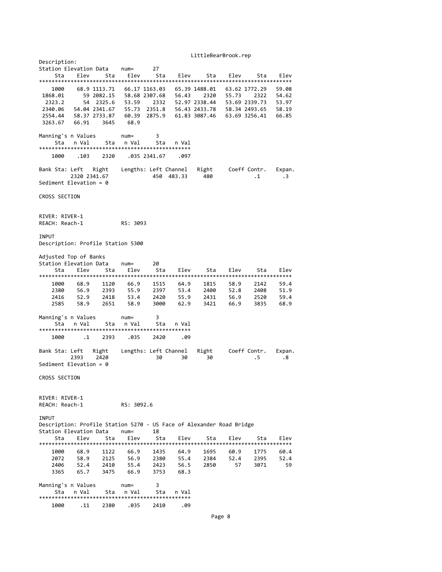LittleBearBrook.rep

| Description:                                                         |                            |              |              |                                |              |                       |                                |              |                  |
|----------------------------------------------------------------------|----------------------------|--------------|--------------|--------------------------------|--------------|-----------------------|--------------------------------|--------------|------------------|
| Station Elevation Data                                               |                            |              | $num =$      | 27                             |              |                       |                                |              |                  |
| Sta                                                                  | Elev                       | Sta          | Elev         | Sta                            | Elev         | Sta                   | Elev                           | Sta          | Elev             |
|                                                                      |                            |              |              |                                |              |                       |                                |              |                  |
| 1000<br>1868.01                                                      | 68.9 1113.71<br>59 2082.15 |              |              | 66.17 1163.03<br>58.68 2307.68 | 56.43        | 65.39 1488.01<br>2320 | 63.62 1772.29<br>55.73         | 2322         | 59.08            |
| 2323.2                                                               | 54                         | 2325.6       | 53.59        | 2332                           |              | 52.97 2338.44         | 53.69 2339.73                  |              | 54.62            |
|                                                                      | 54.04 2341.67              |              |              |                                |              | 56.43 2433.78         |                                |              | 53.97            |
| 2340.06                                                              |                            |              |              | 55.73 2351.8<br>60.39 2875.9   |              | 61.83 3087.46         | 58.34 2493.65<br>63.69 3256.41 |              | 58.19            |
| 2554.44<br>3263.67                                                   | 58.37 2733.87<br>66.91     | 3645         | 68.9         |                                |              |                       |                                |              | 66.85            |
|                                                                      |                            |              |              |                                |              |                       |                                |              |                  |
| Manning's n Values                                                   |                            |              | $num =$      | 3                              |              |                       |                                |              |                  |
| Sta                                                                  | n Val                      | Sta          | n Val        | Sta                            | n Val        |                       |                                |              |                  |
|                                                                      |                            |              |              |                                |              |                       |                                |              |                  |
| 1000                                                                 | .103                       | 2320         |              | .035 2341.67                   | .097         |                       |                                |              |                  |
|                                                                      |                            |              |              |                                |              |                       |                                |              |                  |
| Bank Sta: Left                                                       | Right                      |              |              | Lengths: Left Channel          |              | Right                 | Coeff Contr.                   |              | Expan.           |
|                                                                      | 2320 2341.67               |              |              | 450 483.33                     |              | 480                   |                                | $\cdot$ 1    | $\cdot$ 3        |
| Sediment Elevation = $0$                                             |                            |              |              |                                |              |                       |                                |              |                  |
|                                                                      |                            |              |              |                                |              |                       |                                |              |                  |
| CROSS SECTION                                                        |                            |              |              |                                |              |                       |                                |              |                  |
|                                                                      |                            |              |              |                                |              |                       |                                |              |                  |
|                                                                      |                            |              |              |                                |              |                       |                                |              |                  |
| RIVER: RIVER-1                                                       |                            |              |              |                                |              |                       |                                |              |                  |
| REACH: Reach-1                                                       |                            |              | RS: 3093     |                                |              |                       |                                |              |                  |
|                                                                      |                            |              |              |                                |              |                       |                                |              |                  |
| <b>INPUT</b>                                                         |                            |              |              |                                |              |                       |                                |              |                  |
| Description: Profile Station 5300                                    |                            |              |              |                                |              |                       |                                |              |                  |
|                                                                      |                            |              |              |                                |              |                       |                                |              |                  |
| Adjusted Top of Banks                                                |                            |              |              |                                |              |                       |                                |              |                  |
| Station Elevation Data                                               |                            |              | $num =$      | 20                             |              |                       |                                |              |                  |
| Sta                                                                  | Elev                       | Sta          | Elev         | Sta                            | Elev         | Sta                   | Elev                           | Sta          | Elev             |
|                                                                      |                            |              |              |                                |              |                       |                                |              |                  |
| 1000                                                                 | 68.9                       | 1120         | 66.9         | 1515                           | 64.9         | 1815                  | 58.9                           | 2142         | 59.4             |
| 2380                                                                 | 56.9<br>52.9               | 2393         | 55.9         | 2397                           | 53.4         | 2400                  | 52.8                           | 2408         | 51.9             |
| 2416<br>2585                                                         | 58.9                       | 2418<br>2651 | 53.4<br>58.9 | 2420<br>3000                   | 55.9<br>62.9 | 2431<br>3421          | 56.9<br>66.9                   | 2520<br>3835 | 59.4<br>68.9     |
|                                                                      |                            |              |              |                                |              |                       |                                |              |                  |
| Manning's n Values                                                   |                            |              | $num =$      | 3                              |              |                       |                                |              |                  |
| Sta                                                                  | n Val                      | Sta          | n Val        | Sta                            | n Val        |                       |                                |              |                  |
|                                                                      |                            |              |              |                                |              |                       |                                |              |                  |
| 1000                                                                 | $\cdot$ 1                  | 2393         | .035         | 2420                           | .09          |                       |                                |              |                  |
|                                                                      |                            |              |              |                                |              |                       |                                |              |                  |
| Bank Sta: Left                                                       | Right                      |              |              | Lengths: Left Channel          |              | Right                 | Coeff Contr.                   |              | Expan.           |
| 2393                                                                 | 2420                       |              |              | 30                             | 30           | 30                    |                                | . 5          | .8               |
| Sediment Elevation = $\theta$                                        |                            |              |              |                                |              |                       |                                |              |                  |
|                                                                      |                            |              |              |                                |              |                       |                                |              |                  |
| CROSS SECTION                                                        |                            |              |              |                                |              |                       |                                |              |                  |
|                                                                      |                            |              |              |                                |              |                       |                                |              |                  |
|                                                                      |                            |              |              |                                |              |                       |                                |              |                  |
| RIVER: RIVER-1                                                       |                            |              |              |                                |              |                       |                                |              |                  |
| REACH: Reach-1                                                       |                            |              | RS: 3092.6   |                                |              |                       |                                |              |                  |
|                                                                      |                            |              |              |                                |              |                       |                                |              |                  |
| <b>INPUT</b>                                                         |                            |              |              |                                |              |                       |                                |              |                  |
| Description: Profile Station 5270 - US Face of Alexander Road Bridge |                            |              |              |                                |              |                       |                                |              |                  |
| Station Elevation Data                                               |                            |              | $num =$      | 18                             |              |                       |                                |              | F <sub>1ev</sub> |
| Sta                                                                  | Elev                       | Sta          | Elev         | Sta                            | Elev         | Sta                   | Elev                           | Sta          |                  |
| 1000                                                                 | 68.9                       | 1122         | 66.9         | 1435                           | 64.9         | 1695                  | 60.9                           | 1775         | 60.4             |
| 2072                                                                 | 58.9                       | 2125         | 56.9         | 2380                           | 55.4         | 2384                  | 52.4                           | 2395         | 52.4             |
| 2406                                                                 | 52.4                       | 2410         | 55.4         | 2423                           | 56.5         | 2850                  | 57                             | 3071         | 59               |
| 3365                                                                 | 65.7                       | 3475         | 66.9         | 3753                           | 68.3         |                       |                                |              |                  |
|                                                                      |                            |              |              |                                |              |                       |                                |              |                  |
| Manning's n Values                                                   |                            |              | $num =$      | 3                              |              |                       |                                |              |                  |
| Sta                                                                  | n Val                      | Sta          | n Val        | Sta                            | n Val        |                       |                                |              |                  |
|                                                                      |                            |              |              |                                |              |                       |                                |              |                  |
| 1000                                                                 | .11                        | 2380         | .035         | 2410                           | .09          |                       |                                |              |                  |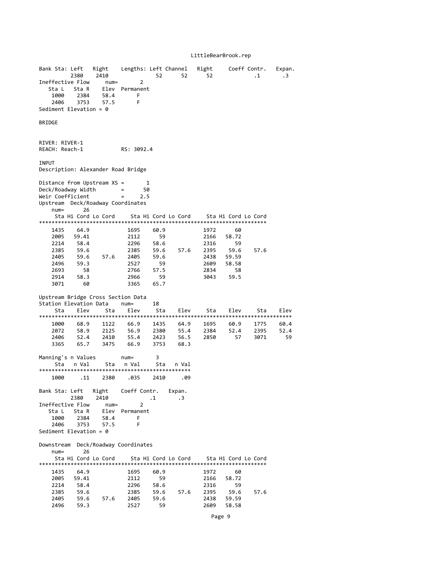## LittleBearBrook.rep

|                                    | Bank Sta: Left<br>2380 | Right<br>2410       |                                    | 52           | Lengths: Left Channel<br>52 | Right<br>52  |                     | Coeff Contr.<br>$\cdot$ 1 | Expan.<br>$\cdot$ 3 |
|------------------------------------|------------------------|---------------------|------------------------------------|--------------|-----------------------------|--------------|---------------------|---------------------------|---------------------|
| Ineffective Flow                   |                        | $num =$             | 2                                  |              |                             |              |                     |                           |                     |
| Sta L                              | Sta R                  | Elev                | Permanent                          |              |                             |              |                     |                           |                     |
| 1000                               | 2384                   | 58.4                | F                                  |              |                             |              |                     |                           |                     |
| 2406                               | 3753                   | 57.5                | F                                  |              |                             |              |                     |                           |                     |
| Sediment Elevation = $\theta$      |                        |                     |                                    |              |                             |              |                     |                           |                     |
| <b>BRIDGE</b>                      |                        |                     |                                    |              |                             |              |                     |                           |                     |
|                                    |                        |                     |                                    |              |                             |              |                     |                           |                     |
|                                    |                        |                     |                                    |              |                             |              |                     |                           |                     |
| RIVER: RIVER-1                     |                        |                     |                                    |              |                             |              |                     |                           |                     |
| REACH: Reach-1                     |                        |                     | RS: 3092.4                         |              |                             |              |                     |                           |                     |
| INPUT                              |                        |                     |                                    |              |                             |              |                     |                           |                     |
| Description: Alexander Road Bridge |                        |                     |                                    |              |                             |              |                     |                           |                     |
|                                    |                        |                     |                                    |              |                             |              |                     |                           |                     |
| Distance from Upstream XS =        |                        |                     | 1                                  |              |                             |              |                     |                           |                     |
| Deck/Roadway Width                 |                        |                     | 50<br>$\equiv$                     |              |                             |              |                     |                           |                     |
| Weir Coefficient                   |                        |                     | 2.5<br>$=$                         |              |                             |              |                     |                           |                     |
| Upstream Deck/Roadway Coordinates  |                        |                     |                                    |              |                             |              |                     |                           |                     |
| $num =$                            | 26                     |                     |                                    |              |                             |              |                     |                           |                     |
|                                    |                        | Sta Hi Cord Lo Cord |                                    |              | Sta Hi Cord Lo Cord         |              | Sta Hi Cord Lo Cord |                           |                     |
|                                    |                        |                     |                                    |              |                             |              |                     |                           |                     |
| 1435                               | 64.9                   |                     | 1695                               | 60.9         |                             | 1972         | 60                  |                           |                     |
| 2005<br>2214                       | 59.41<br>58.4          |                     | 2112<br>2296                       | 59<br>58.6   |                             | 2166<br>2316 | 58.72<br>59         |                           |                     |
| 2385                               | 59.6                   |                     | 2385                               | 59.6         | 57.6                        | 2395         | 59.6                | 57.6                      |                     |
| 2405                               | 59.6                   | 57.6                | 2405                               | 59.6         |                             | 2438         | 59.59               |                           |                     |
| 2496                               | 59.3                   |                     | 2527                               | 59           |                             | 2609         | 58.58               |                           |                     |
| 2693                               | 58                     |                     | 2766                               | 57.5         |                             | 2834         | 58                  |                           |                     |
| 2914                               | 58.3                   |                     | 2966                               | 59           |                             | 3043         | 59.5                |                           |                     |
| 3071                               | 60                     |                     | 3365                               | 65.7         |                             |              |                     |                           |                     |
|                                    |                        |                     |                                    |              |                             |              |                     |                           |                     |
|                                    |                        |                     | Upstream Bridge Cross Section Data |              |                             |              |                     |                           |                     |
| Station Elevation Data             |                        |                     | $num =$                            | 18           |                             |              |                     |                           |                     |
| Sta                                | Elev                   | Sta                 | Elev                               | Sta          | Elev                        | Sta          | Elev                | Sta                       | Elev                |
| 1000                               |                        |                     |                                    |              | 64.9                        |              |                     |                           |                     |
|                                    |                        |                     |                                    |              |                             |              |                     |                           |                     |
|                                    | 68.9                   | 1122                | 66.9                               | 1435         |                             | 1695         | 60.9                | 1775                      | 60.4                |
| 2072                               | 58.9                   | 2125                | 56.9                               | 2380         | 55.4                        | 2384         | 52.4                | 2395                      | 52.4<br>59          |
| 2406<br>3365                       | 52.4<br>65.7           | 2410<br>3475        | 55.4<br>66.9                       | 2423<br>3753 | 56.5<br>68.3                | 2850         | 57                  | 3071                      |                     |
|                                    |                        |                     |                                    |              |                             |              |                     |                           |                     |
| Manning's n Values                 |                        |                     | $num =$                            | 3            |                             |              |                     |                           |                     |
| Sta                                | n Val                  | Sta                 | n Val                              | Sta          | n Val                       |              |                     |                           |                     |
|                                    |                        |                     |                                    |              |                             |              |                     |                           |                     |
| 1000                               | .11                    | 2380                | .035                               | 2410         | .09                         |              |                     |                           |                     |
|                                    |                        |                     |                                    |              |                             |              |                     |                           |                     |
|                                    |                        |                     | Bank Sta: Left Right Coeff Contr.  |              | Expan.                      |              |                     |                           |                     |
|                                    | 2380                   | 2410                | 2                                  | $\cdot$ 1    | $\cdot$ 3                   |              |                     |                           |                     |
| Ineffective Flow<br>Sta L          |                        | $num =$<br>Elev     | Permanent                          |              |                             |              |                     |                           |                     |
| 1000                               | Sta R<br>2384          | 58.4                | F                                  |              |                             |              |                     |                           |                     |
| 2406                               | 3753                   | 57.5                | F                                  |              |                             |              |                     |                           |                     |
| Sediment Elevation = $\theta$      |                        |                     |                                    |              |                             |              |                     |                           |                     |
|                                    |                        |                     |                                    |              |                             |              |                     |                           |                     |
| Downstream                         |                        |                     | Deck/Roadway Coordinates           |              |                             |              |                     |                           |                     |
| $num =$                            | 26                     |                     |                                    |              |                             |              |                     |                           |                     |
|                                    |                        | Sta Hi Cord Lo Cord |                                    |              | Sta Hi Cord Lo Cord         |              | Sta Hi Cord Lo Cord |                           |                     |
| 1435                               |                        |                     | 1695                               | 60.9         |                             | 1972         | 60                  |                           |                     |
| 2005                               | 64.9<br>59.41          |                     | 2112                               | 59           |                             | 2166         | 58.72               |                           |                     |
| 2214                               | 58.4                   |                     | 2296                               | 58.6         |                             | 2316         | 59                  |                           |                     |
| 2385                               | 59.6                   |                     | 2385                               | 59.6         | 57.6                        | 2395         | 59.6                | 57.6                      |                     |
| 2405<br>2496                       | 59.6<br>59.3           | 57.6                | 2405<br>2527                       | 59.6<br>59   |                             | 2438<br>2609 | 59.59<br>58.58      |                           |                     |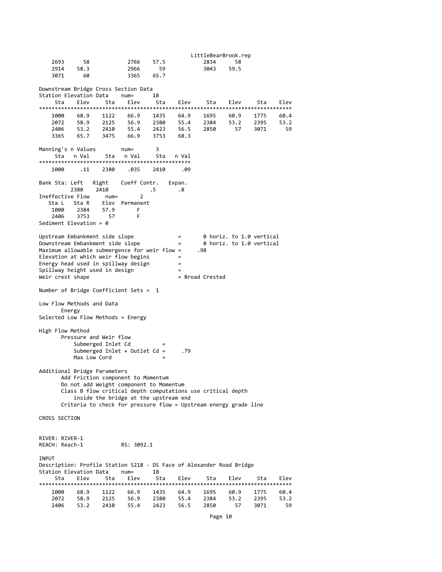LittleBearBrook.rep 2693 58 2766 57.5 2834 58 2914 58.3 2966 59 3043 59.5 3071 60 3365 65.7 Downstream Bridge Cross Section Data Station Elevation Data num= Sta Elev Sta Elev Sta Elev Sta Elev Sta Elev \*\*\*\*\*\*\*\*\*\*\*\*\*\*\*\*\*\*\*\*\*\*\*\*\*\*\*\*\*\*\*\*\*\*\*\*\*\*\*\*\*\*\*\*\*\*\*\*\*\*\*\*\*\*\*\*\*\*\*\*\*\*\*\*\*\*\*\*\*\*\*\*\*\*\*\*\*\*\*\* 1000 68.9 1122 66.9 1435 64.9 1695 60.9 1775 60.4 2072 58.9 2125 56.9 2380 55.4 2384 53.2 2395 53.2 2406 53.2 2410 55.4 2423 56.5 2850 57 3071 59 3365 65.7 3475 66.9 3753 68.3 Manning's n Values num= 3 Sta n Val Sta n Val Sta n Val \*\*\*\*\*\*\*\*\*\*\*\*\*\*\*\*\*\*\*\*\*\*\*\*\*\*\*\*\*\*\*\*\*\*\*\*\*\*\*\*\*\*\*\*\*\*\*\* 1000 .11 2380 .035 2410 .09 Bank Sta: Left Right Coeff Contr. Expan. 2380 2410 .5 .8 Ineffective Flow num= 2 Sta L Sta R Elev Permanent<br>1000 2384 57.9 F 1000 2384 57.9 F 2406 3753 Sediment Elevation = 0 Upstream Embankment side slope = 0 horiz. to 1.0 vertical Downstream Embankment side slope  $=$   $\theta$  horiz. to 1.0 vertical Maximum allowable submergence for weir flow =  $\cdot$  .98 Maximum allowable submergence for weir flow  $=$ Elevation at which weir flow begins = Energy head used in spillway design  $=$  $Spillway$  height used in design  $=$   $=$  Broad Crested Weir crest shape Number of Bridge Coefficient Sets = 1 Low Flow Methods and Data Energy Selected Low Flow Methods = Energy High Flow Method Pressure and Weir flow Submerged Inlet Cd  $=$  Submerged Inlet + Outlet Cd = .79 Submerged Inlet + Outlet  $Cd =$ Max Low Cord Additional Bridge Parameters Add Friction component to Momentum Do not add Weight component to Momentum Class B flow critical depth computations use critical depth inside the bridge at the upstream end Criteria to check for pressure flow = Upstream energy grade line CROSS SECTION RIVER: RIVER‐1 REACH: Reach‐1 RS: 3092.1 **TNPUT** Description: Profile Station 5218 ‐ DS Face of Alexander Road Bridge Station Elevation Data num= 18 Sta Elev Sta Elev Sta Elev Sta Elev Sta Elev \*\*\*\*\*\*\*\*\*\*\*\*\*\*\*\*\*\*\*\*\*\*\*\*\*\*\*\*\*\*\*\*\*\*\*\*\*\*\*\*\*\*\*\*\*\*\*\*\*\*\*\*\*\*\*\*\*\*\*\*\*\*\*\*\*\*\*\*\*\*\*\*\*\*\*\*\*\*\*\* 1000 68.9 1122 66.9 1435 64.9 1695 60.9 1775 60.4 2072 58.9 2125 56.9 2380 55.4 2384 53.2 2395 53.2 2406 53.2 2410 55.4 2423 56.5 2850 57 3071 59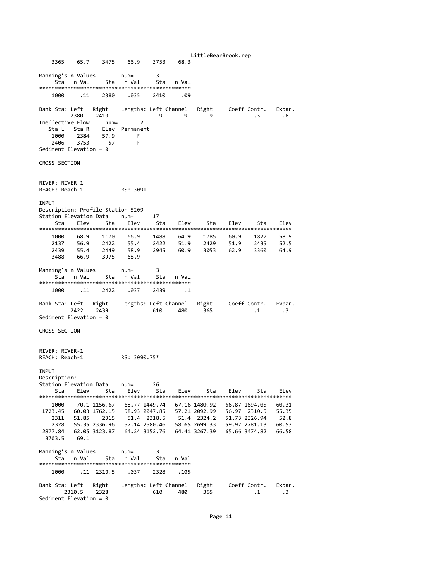LittleBearBrook.rep 3365 65.7 3475 66.9 3753 68.3 Manning's n Values num= 3 Sta n Val Sta n Val Sta n Val \*\*\*\*\*\*\*\*\*\*\*\*\*\*\*\*\*\*\*\*\*\*\*\*\*\*\*\*\*\*\*\*\*\*\*\*\*\*\*\*\*\*\*\*\*\*\*\* 1000 .11 2380 .035 2410 .09 Bank Sta: Left Right Lengths: Left Channel Right Coeff Contr. Expan. 2380 2410 9 9 9 .5 .8 Ineffective Flow num= 2 Sta L Sta R Elev Permanent 1000 2384 57.9 F 2406 3753 57 F Sediment Elevation = 0 CROSS SECTION RIVER: RIVER‐1 REACH: Reach‐1 RS: 3091 INPUT Description: Profile Station 5209 Station Elevation Data num= 17 Sta Elev Sta Elev Sta Elev Sta Elev Sta Elev \*\*\*\*\*\*\*\*\*\*\*\*\*\*\*\*\*\*\*\*\*\*\*\*\*\*\*\*\*\*\*\*\*\*\*\*\*\*\*\*\*\*\*\*\*\*\*\*\*\*\*\*\*\*\*\*\*\*\*\*\*\*\*\*\*\*\*\*\*\*\*\*\*\*\*\*\*\*\*\* 1000 68.9 1170 66.9 1488 64.9 1785 60.9 1827 58.9 2137 56.9 2422 55.4 2422 51.9 2429 51.9 2435 52.5 2439 55.4 2449 58.9 2945 60.9 3053 62.9 3360 64.9 3488 66.9 3975 68.9 Manning's n Values num= 3 Sta n Val Sta n Val Sta n Val \*\*\*\*\*\*\*\*\*\*\*\*\*\*\*\*\*\*\*\*\*\*\*\*\*\*\*\*\*\*\*\*\*\*\*\*\*\*\*\*\*\*\*\*\*\*\*\* 1000 .11 2422 .037 2439 .1 Bank Sta: Left Right Lengths: Left Channel Right Coeff Contr. Expan. 2422 2439 610 480 365 .1 .3 Sediment Elevation = 0 CROSS SECTION RIVER: RIVER‐1 REACH: Reach‐1 RS: 3090.75\* INPUT Description: Station Elevation Data num= 26 Sta Elev Sta Elev Sta Elev Sta Elev Sta Elev \*\*\*\*\*\*\*\*\*\*\*\*\*\*\*\*\*\*\*\*\*\*\*\*\*\*\*\*\*\*\*\*\*\*\*\*\*\*\*\*\*\*\*\*\*\*\*\*\*\*\*\*\*\*\*\*\*\*\*\*\*\*\*\*\*\*\*\*\*\*\*\*\*\*\*\*\*\*\*\* 1000 70.1 1156.67 68.77 1449.74 67.16 1480.92 66.87 1694.05 60.31 1723.45 60.03 1762.15 58.93 2047.85 57.21 2092.99 56.97 2310.5 55.35 2311 51.85 2315 51.4 2318.5 51.4 2324.2 51.73 2326.94 52.8 2328 55.35 2336.96 57.14 2580.46 58.65 2699.33 59.92 2781.13 60.53 2877.84 62.05 3123.87 64.24 3152.76 64.41 3267.39 65.66 3474.82 66.58 3703.5 69.1 Manning's n Values (num= 3<br>
Sta in Val is sta in Val is sta in Val Sta n Val Sta n Val Sta n Val \*\*\*\*\*\*\*\*\*\*\*\*\*\*\*\*\*\*\*\*\*\*\*\*\*\*\*\*\*\*\*\*\*\*\*\*\*\*\*\*\*\*\*\*\*\*\*\* 1000 .11 2310.5 .037 2328 .105 Bank Sta: Left Right Lengths: Left Channel Right Coeff Contr. Expan. 2310.5 2328 610 480 365 .1 .3 Sediment Elevation = 0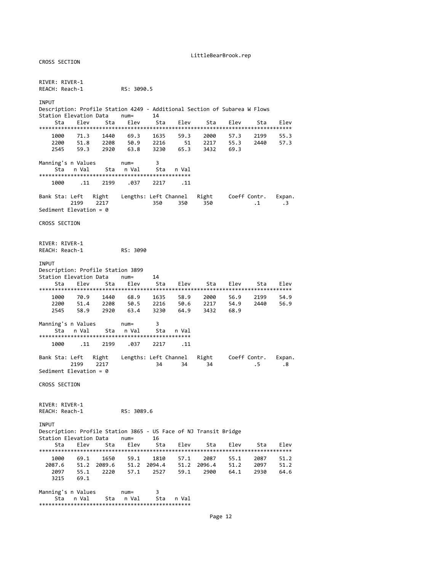#### LittleBearBrook.rep

RIVER: RIVER‐1 REACH: Reach‐1 RS: 3090.5 INPUT Description: Profile Station 4249 - Additional Section of Subarea W Flows<br>Station Elevation Data num= 14 Station Elevation Data num= 14 Sta Elev Sta Elev Sta Elev Sta Elev Sta Elev \*\*\*\*\*\*\*\*\*\*\*\*\*\*\*\*\*\*\*\*\*\*\*\*\*\*\*\*\*\*\*\*\*\*\*\*\*\*\*\*\*\*\*\*\*\*\*\*\*\*\*\*\*\*\*\*\*\*\*\*\*\*\*\*\*\*\*\*\*\*\*\*\*\*\*\*\*\*\*\* 1635 59.3 2000 57.3 2199 55.3<br>2216 51 2217 55.3 2440 57.3 2200 51.8 2208 50.9 2216 51 2217 55.3 2440 57.3 2545 59.3 2920 63.8 3230 65.3 3432 69.3 Manning's n Values num= 3 Sta n Val Sta n Val Sta n Val \*\*\*\*\*\*\*\*\*\*\*\*\*\*\*\*\*\*\*\*\*\*\*\*\*\*\*\*\*\*\*\*\*\*\*\*\*\*\*\*\*\*\*\*\*\*\*\* 1000 .11 2199 .037 2217 .11 Bank Sta: Left Right Lengths: Left Channel Right Coeff Contr. Expan.<br>2199 2217 230 350 350 350 350 350 219 2350 2350 2310 350 Sediment Elevation = 0 CROSS SECTION RIVER: RIVER-1<br>REACH: Reach-1 RS: 3090 INPUT Description: Profile Station 3899 Station Elevation Data num= 14 Sta Elev Sta Elev Sta Elev Sta Elev Sta Elev \*\*\*\*\*\*\*\*\*\*\*\*\*\*\*\*\*\*\*\*\*\*\*\*\*\*\*\*\*\*\*\*\*\*\*\*\*\*\*\*\*\*\*\*\*\*\*\*\*\*\*\*\*\*\*\*\*\*\*\*\*\*\*\*\*\*\*\*\*\*\*\*\*\*\*\*\*\*\*\* 1635 58.9 2000 56.9 2199 54.9<br>2216 50.6 2217 54.9 2440 56.9 2200 51.4 2208 50.5 2216 50.6 2217 54.9<br>2545 58.9 2920 63.4 3230 64.9 3432 68.9 58.9 2920 63.4 Manning's n Values num= 3 Sta n Val Sta n Val Sta n Val \*\*\*\*\*\*\*\*\*\*\*\*\*\*\*\*\*\*\*\*\*\*\*\*\*\*\*\*\*\*\*\*\*\*\*\*\*\*\*\*\*\*\*\*\*\*\*\* 1000 .11 2199 .037 2217 .11 Bank Sta: Left Right Lengths: Left Channel Right Coeff Contr. Expan. 2199 2217 34 34 34 .5 .8 Sediment Elevation = 0 CROSS SECTION RIVER: RIVER‐1 REACH: Reach‐1 RS: 3089.6 **TNPUT** Description: Profile Station 3865 ‐ US Face of NJ Transit Bridge Station Elevation Data num= 16 Sta Elev Sta Elev Sta Elev Sta Elev Sta Elev \*\*\*\*\*\*\*\*\*\*\*\*\*\*\*\*\*\*\*\*\*\*\*\*\*\*\*\*\*\*\*\*\*\*\*\*\*\*\*\*\*\*\*\*\*\*\*\*\*\*\*\*\*\*\*\*\*\*\*\*\*\*\*\*\*\*\*\*\*\*\*\*\*\*\*\*\*\*\*\* 1000 69.1 1650 59.1 1810 57.1 2087 55.1 2087 51.2 2087.6 51.2 2089.6 51.2 2094.4 51.2 2096.4 51.2 2097 51.2 2097 55.1 2220 57.1 2527 59.1 2900 64.1 2930 64.6 3215 69.1 Manning's n Values num= 3 Sta n Val Sta n Val Sta n Val \*\*\*\*\*\*\*\*\*\*\*\*\*\*\*\*\*\*\*\*\*\*\*\*\*\*\*\*\*\*\*\*\*\*\*\*\*\*\*\*\*\*\*\*\*\*\*\*

CROSS SECTION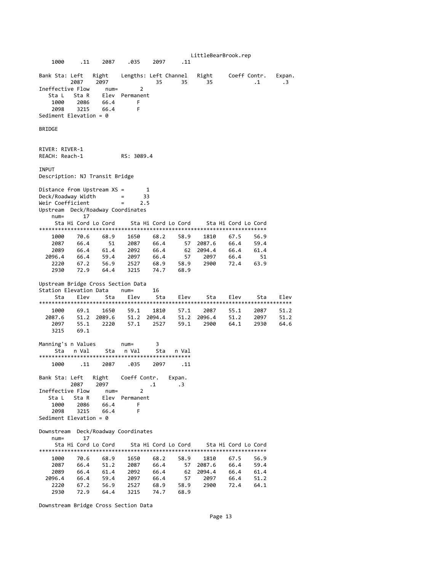LittleBearBrook.rep 1000 .11 2087 .035 2097 .11 Bank Sta: Left Right Lengths: Left Channel Right Coeff Contr. Expan. 2087 2097 35 35 35 .1 .3 Ineffective Flow num= 2 Sta L Sta R Elev Permanent 1000 2086 66.4 F 2098 3215 66.4 F Sediment Elevation = 0 BRIDGE RIVER: RIVER-1<br>REACH: Reach-1 RS: 3089.4 INPUT Description: NJ Transit Bridge Distance from Upstream XS = 1 Deck/Roadway Width = 33 Weir Coefficient = 2.5 Upstream Deck/Roadway Coordinates num= 17<br>Sta Hi Cord Lo Cord Sta Hi Cord Lo Cord Sta Hi Cord Lo Cord \*\*\*\*\*\*\*\*\*\*\*\*\*\*\*\*\*\*\*\*\*\*\*\*\*\*\*\*\*\*\*\*\*\*\*\*\*\*\*\*\*\*\*\*\*\*\*\*\*\*\*\*\*\*\*\*\*\*\*\*\*\*\*\*\*\*\*\*\*\*\*\* 1000 70.6 68.9 1650 68.2 58.9 1810 67.5 56.9 2087 66.4 51 2087 66.4 57 2087.6 66.4 59.4 2089 66.4 61.4 2092 66.4 62 2094.4 66.4 61.4 2096.4 66.4 59.4 2097 66.4 57 2097 66.4 51 2220 67.2 56.9 2527 68.9 58.9 2900 72.4 63.9 2930 72.9 64.4 3215 74.7 68.9 Upstream Bridge Cross Section Data Station Elevation Data num= 16 Sta Elev Sta Elev Sta Elev Sta Elev Sta Elev \*\*\*\*\*\*\*\*\*\*\*\*\*\*\*\*\*\*\*\*\*\*\*\*\*\*\*\*\*\*\*\*\*\*\*\*\*\*\*\*\*\*\*\*\*\*\*\*\*\*\*\*\*\*\*\*\*\*\*\*\*\*\*\*\*\*\*\*\*\*\*\*\*\*\*\*\*\*\*\* 1000 69.1 1650 59.1 1810 57.1 2087 55.1 2087 51.2<br>2087.6 51.2 2089.6 51.2 2094.4 51.2 2096.4 51.2 2097 51.2<br>2097 55.1 2220 57.1 2527 59.1 2900 64.1 2087.6 51.2 2089.6 51.2 2094.4 51.2 2096.4 51.2 2097 51.2 2097 55.1 2220 57.1 2527 59.1 2900 64.1 2930 64.6  $3215$  69.1 Manning's n Values num= 3 Sta n Val Sta n Val Sta n Val \*\*\*\*\*\*\*\*\*\*\*\*\*\*\*\*\*\*\*\*\*\*\*\*\*\*\*\*\*\*\*\*\*\*\*\*\*\*\*\*\*\*\*\*\*\*\*\* 1000 .11 2087 .035 2097 .11 Bank Sta: Left Right Coeff Contr. Expan. 2087 2097 .1 .3 Ineffective Flow num= 2 Sta L Sta R Elev Permanent 1000 2086 66.4 F 2098 3215 66.4 F Sediment Elevation = 0 Downstream Deck/Roadway Coordinates num= 17<br>Sta Hi Cord Lo Cord Sta Hi Cord Lo Cord Sta Hi Cord Lo Cord Sta Hi Cord Lo Cord \*\*\*\*\*\*\*\*\*\*\*\*\*\*\*\*\*\*\*\*\*\*\*\*\*\*\*\*\*\*\*\*\*\*\*\*\*\*\*\*\*\*\*\*\*\*\*\*\*\*\*\*\*\*\*\*\*\*\*\*\*\*\*\*\*\*\*\*\*\*\*\* 1000 70.6 68.9 1650 68.2 58.9 1810 67.5 56.9 2087 66.4 51.2 2087 66.4 57 2087.6 66.4 59.4 2089 66.4 61.4 2092 66.4 62 2094.4 66.4 61.4 2096.4 66.4 59.4 2097 66.4 57 2097 66.4 51.2 2220 67.2 56.9 2527 68.9 58.9 2900 72.4 64.1 2930 72.9 64.4 3215 74.7 68.9

Downstream Bridge Cross Section Data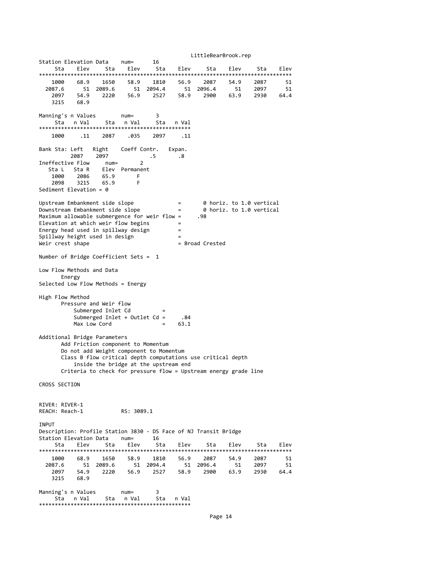LittleBearBrook.rep Station Elevation Data num= 16 Sta Elev Sta Elev Sta Elev Sta Elev Sta Elev \*\*\*\*\*\*\*\*\*\*\*\*\*\*\*\*\*\*\*\*\*\*\*\*\*\*\*\*\*\*\*\*\*\*\*\*\*\*\*\*\*\*\*\*\*\*\*\*\*\*\*\*\*\*\*\*\*\*\*\*\*\*\*\*\*\*\*\*\*\*\*\*\*\*\*\*\*\*\*\* 1000 68.9 1650 58.9 1810 56.9 2087 54.9 2087 51 2087.6 51 2089.6 51 2094.4 51 2096.4 51 2097 51 2097 54.9 2220 56.9 2527 58.9 2900 63.9 2930 64.4 3215 68.9 Manning's n Values num= 3<br>Sta in Val 5ta in Val 5ta in Val Sta n Val Sta n Val \*\*\*\*\*\*\*\*\*\*\*\*\*\*\*\*\*\*\*\*\*\*\*\*\*\*\*\*\*\*\*\*\*\*\*\*\*\*\*\*\*\*\*\*\*\*\*\* 1000 .11 2087 .035 2097 .11 Bank Sta: Left Right Coeff Contr. Expan. 2087 2097 .5 .8 Ineffective Flow num= 2 Sta L Sta R Elev Permanent 1000 2086 65.9 F 2098 3215 65.9 F Sediment Elevation = 0 Upstream Embankment side slope  $\begin{array}{ccc} \text{Upstream} & = & 0 \text{ horiz. to } 1.0 \text{ vertical} \\ \text{Downstream} & = & 0 \text{ horiz. to } 1.0 \text{ vertical} \end{array}$ Downstream Embankment side slope = 0 horiz. to 1.0 vertical Maximum allowable submergence for weir flow = .98 Elevation at which weir flow begins  $=$ Energy head used in spillway design  $=$ Spillway height used in design Weir crest shape = Broad Crested Number of Bridge Coefficient Sets = 1 Low Flow Methods and Data Energy Selected Low Flow Methods = Energy High Flow Method Pressure and Weir flow Submerged Inlet Cd  $=$ <br>Submerged Inlet + Outlet Cd =  $\overline{84}$ Submerged Inlet + Outlet  $Cd =$  $Max Low Cord$  =  $63.1$ Additional Bridge Parameters Add Friction component to Momentum Do not add Weight component to Momentum Class B flow critical depth computations use critical depth inside the bridge at the upstream end Criteria to check for pressure flow = Upstream energy grade line CROSS SECTION RIVER: RIVER‐1 REACH: Reach‐1 RS: 3089.1 INPUT Description: Profile Station 3830 ‐ DS Face of NJ Transit Bridge Station Elevation Data num= 16 Sta Elev Sta Elev Sta Elev Sta Elev Sta Elev \*\*\*\*\*\*\*\*\*\*\*\*\*\*\*\*\*\*\*\*\*\*\*\*\*\*\*\*\*\*\*\*\*\*\*\*\*\*\*\*\*\*\*\*\*\*\*\*\*\*\*\*\*\*\*\*\*\*\*\*\*\*\*\*\*\*\*\*\*\*\*\*\*\*\*\*\*\*\*\* 1000 68.9 1650 58.9 1810 56.9 2087 54.9 2087 51 2087.6 51 2089.6 51 2094.4 51 2096.4 51 2097 51 2097 54.9 2220 56.9 2527 58.9 3215 68.9 Manning's n Values num= 3 Sta n Val Sta n Val Sta n Val \*\*\*\*\*\*\*\*\*\*\*\*\*\*\*\*\*\*\*\*\*\*\*\*\*\*\*\*\*\*\*\*\*\*\*\*\*\*\*\*\*\*\*\*\*\*\*\*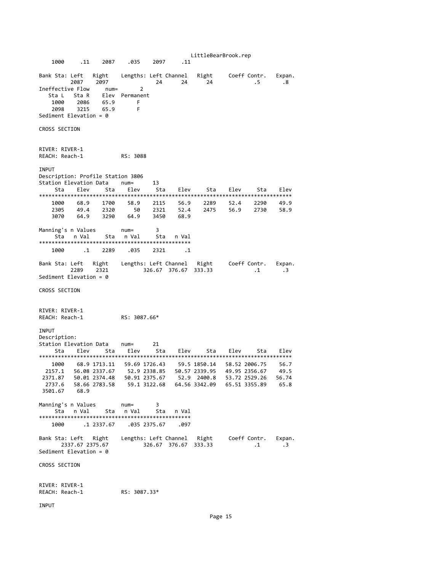LittleBearBrook.rep 1000 .11 2087 .035 2097 .11 Bank Sta: Left Right Lengths: Left Channel Right Coeff Contr. Expan. 2087 2097 24 24 24 .5 .8 Ineffective Flow num= 2 Sta L Sta R Elev Permanent 1000 2086 65.9 F 2098 3215 65.9 F Sediment Elevation = 0 CROSS SECTION RIVER: RIVER‐1 REACH: Reach‐1 RS: 3088 INPUT Description: Profile Station 3806 Station Elevation Data num= 13 Sta Elev Sta Elev Sta Elev Sta Elev Sta Elev \*\*\*\*\*\*\*\*\*\*\*\*\*\*\*\*\*\*\*\*\*\*\*\*\*\*\*\*\*\*\*\*\*\*\*\*\*\*\*\*\*\*\*\*\*\*\*\*\*\*\*\*\*\*\*\*\*\*\*\*\*\*\*\*\*\*\*\*\*\*\*\*\*\*\*\*\*\*\*\* 1000 68.9 1700 58.9 2115 56.9 2289 52.4 2290 49.9 2305 49.4 2320 50 2321 52.4 2475 56.9 2730 58.9 1000 68.9 1700 58.9 2115 56.9<br>2305 49.4 2320 50 2321 52.4<br>3070 64.9 3290 64.9 3450 68.9 Manning's n Values num= 3 Sta n Val Sta n Val Sta n Val \*\*\*\*\*\*\*\*\*\*\*\*\*\*\*\*\*\*\*\*\*\*\*\*\*\*\*\*\*\*\*\*\*\*\*\*\*\*\*\*\*\*\*\*\*\*\*\* 1000 .1 2289 .035 2321 .1 Bank Sta: Left Right Lengths: Left Channel Right Coeff Contr. Expan. 2289 2321 326.67 376.67 333.33 .1 .3 Sediment Elevation = 0 CROSS SECTION RIVER: RIVER‐1 REACH: Reach‐1 RS: 3087.66\* INPUT Description:<br>Station Elevation Data num= Station Elevation Data num= 21 Sta Elev Sta Elev Sta Elev Sta Elev Sta Elev \*\*\*\*\*\*\*\*\*\*\*\*\*\*\*\*\*\*\*\*\*\*\*\*\*\*\*\*\*\*\*\*\*\*\*\*\*\*\*\*\*\*\*\*\*\*\*\*\*\*\*\*\*\*\*\*\*\*\*\*\*\*\*\*\*\*\*\*\*\*\*\*\*\*\*\*\*\*\*\* 1000 68.9 1713.11 59.69 1726.43 59.5 1850.14 58.52 2006.75 56.7 2157.1 56.08 2337.67 52.9 2338.85 50.57 2339.95 49.95 2356.67 49.5 2371.87 50.01 2374.48 50.91 2375.67 52.9 2400.8 53.72 2529.26 56.74 2737.6 58.66 2783.58 59.1 3122.68 64.56 3342.09 65.51 3355.89 65.8 3501.67 68.9 Manning's n Values num= 3 Sta n Val Sta n Val Sta n Val \*\*\*\*\*\*\*\*\*\*\*\*\*\*\*\*\*\*\*\*\*\*\*\*\*\*\*\*\*\*\*\*\*\*\*\*\*\*\*\*\*\*\*\*\*\*\*\* 1000 .1 2337.67 .035 2375.67 .097 Bank Sta: Left Right Lengths: Left Channel Right Coeff Contr. Expan. 2337.67 2375.67 326.67 376.67 333.33 .1 .3 Sediment Elevation = 0 CROSS SECTION RIVER: RIVER-1<br>REACH: Reach-1  $RS: 3087.33*$ 

INPUT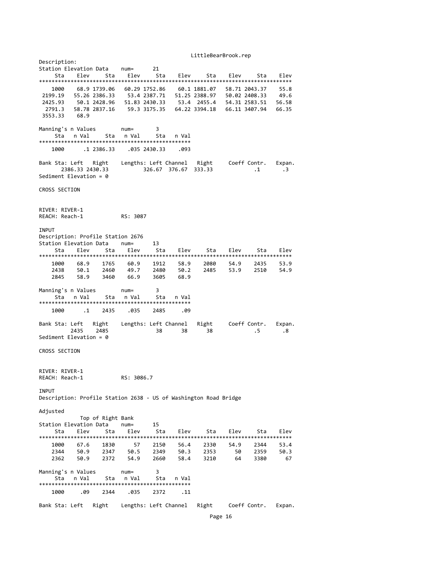#### LittleBearBrook.rep

Description: Station Elevation Data num= Sta Elev Sta Elev Sta Elev Sta Elev Sta Elev \*\*\*\*\*\*\*\*\*\*\*\*\*\*\*\*\*\*\*\*\*\*\*\*\*\*\*\*\*\*\*\*\*\*\*\*\*\*\*\*\*\*\*\*\*\*\*\*\*\*\*\*\*\*\*\*\*\*\*\*\*\*\*\*\*\*\*\*\*\*\*\*\*\*\*\*\*\*\*\* 100.29 1752.86 60.1 1881.07 58.71 2043.37 55.8<br>53.4 2387.71 51.25 2388.97 50.02 2408.33 49.6 2199.19 55.26 2386.33 2425.93 50.1 2428.96 51.83 2430.33 53.4 2455.4 54.31 2583.51 56.58 2791.3 58.78 2837.16 59.3 3175.35 64.22 3394.18 66.11 3407.94 66.35 3553.33 68.9 Manning's n Values num= 3 Sta n Val Sta n Val Sta n Val \*\*\*\*\*\*\*\*\*\*\*\*\*\*\*\*\*\*\*\*\*\*\*\*\*\*\*\*\*\*\*\*\*\*\*\*\*\*\*\*\*\*\*\*\*\*\*\* 1000 .1 2386.33 .035 2430.33 .093 Bank Sta: Left Right Lengths: Left Channel Right Coeff Contr. Expan. 2386.33 2430.33 326.67 376.67 333.33 .1 .3 Sediment Elevation = 0 CROSS SECTION RIVER: RIVER‐1 REACH: Reach‐1 RS: 3087 **TNPUT** Description: Profile Station 2676 Station Elevation Data num= 13 Sta Elev Sta Elev Sta Elev Sta Elev Sta Elev \*\*\*\*\*\*\*\*\*\*\*\*\*\*\*\*\*\*\*\*\*\*\*\*\*\*\*\*\*\*\*\*\*\*\*\*\*\*\*\*\*\*\*\*\*\*\*\*\*\*\*\*\*\*\*\*\*\*\*\*\*\*\*\*\*\*\*\*\*\*\*\*\*\*\*\*\*\*\*\* 1000 68.9 1765 60.9 1912 58.9 2080 54.9 2435 53.9 2438 50.1 2460 49.7 2480 50.2 2485 53.9 2510 54.9 1000 68.9 1765 60.9 1912 58.9<br>2438 50.1 2460 49.7 2480 50.2<br>2845 58.9 3460 66.9 3605 68.9 Manning's n Values num= 3 Sta n Val Sta n Val \*\*\*\*\*\*\*\*\*\*\*\*\*\*\*\*\*\*\*\*\*\*\*\*\*\*\*\*\*\*\*\*\*\*\*\*\*\*\*\*\*\*\*\*\*\*\*\* 1000 .1 2435 .035 2485 .09 Bank Sta: Left Right Lengths: Left Channel Right Coeff Contr. Expan. 2435 2485 38 38 38 .5 .8 Sediment Elevation = 0 CROSS SECTION RIVER: RIVER‐1 REACH: Reach‐1 RS: 3086.7 **TNPUT** Description: Profile Station 2638 ‐ US of Washington Road Bridge Adjusted Top of Right Bank Station Elevation Data num= 15 Sta Elev Sta Elev Sta Elev Sta Elev Sta Elev \*\*\*\*\*\*\*\*\*\*\*\*\*\*\*\*\*\*\*\*\*\*\*\*\*\*\*\*\*\*\*\*\*\*\*\*\*\*\*\*\*\*\*\*\*\*\*\*\*\*\*\*\*\*\*\*\*\*\*\*\*\*\*\*\*\*\*\*\*\*\*\*\*\*\*\*\*\*\*\* 1000 67.6 1830 57 2150 56.4 2330 54.9 2344 53.4 2344 50.9 2347 50.5 2349 50.3 2353 50 2359 50.3 2362 50.9 2372 54.9 2660 58.4 3210 64 3380 67 Manning's n Values num= 3 Sta nVal Sta nVal Sta nVal \*\*\*\*\*\*\*\*\*\*\*\*\*\*\*\*\*\*\*\*\*\*\*\*\*\*\*\*\*\*\*\*\*\*\*\*\*\*\*\*\*\*\*\*\*\*\*\* 1000 .09 2344 .035 2372 .11 Bank Sta: Left Right Lengths: Left Channel Right Coeff Contr. Expan.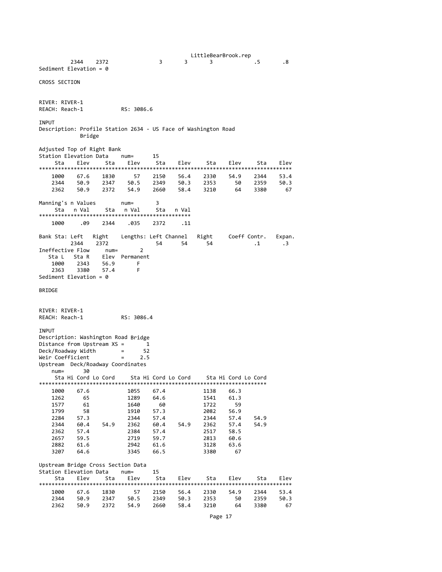LittleBearBrook.rep<br>3. 5 2344 2372 3 3 3 .5 .8 Sediment Elevation = 0 CROSS SECTION RIVER: RIVER‐1 REACH: Reach‐1 RS: 3086.6 **TNPUT** Description: Profile Station 2634 ‐ US Face of Washington Road Bridge Adjusted Top of Right Bank Station Elevation Data num= 15 Sta Elev Sta Elev Sta Elev Sta Elev Sta Elev \*\*\*\*\*\*\*\*\*\*\*\*\*\*\*\*\*\*\*\*\*\*\*\*\*\*\*\*\*\*\*\*\*\*\*\*\*\*\*\*\*\*\*\*\*\*\*\*\*\*\*\*\*\*\*\*\*\*\*\*\*\*\*\*\*\*\*\*\*\*\*\*\*\*\*\*\*\*\*\* 1000 67.6 1830 57 2150 56.4 2330 54.9 2344 53.4 2344 50.9 2347 50.5 2349 50.3 2353 50 2359 50.3 2362 50.9 2372 54.9 2660 58.4 3210 64 3380 67 Manning's n Values num= 3 Sta n Val Sta n Val Sta n Val \*\*\*\*\*\*\*\*\*\*\*\*\*\*\*\*\*\*\*\*\*\*\*\*\*\*\*\*\*\*\*\*\*\*\*\*\*\*\*\*\*\*\*\*\*\*\*\* 1000 .09 2344 .035 2372 .11 Bank Sta: Left Right Lengths: Left Channel Right Coeff Contr. Expan. 2344 2372 54 54 54 .1 .3  $\begin{array}{ccc}\n\text{L344} & \text{L372} \\
\text{Ineffective Flow} & \text{num} = 2\n\end{array}$ Sta L Sta R Elev Permanent 1000 2343 56.9 F 2363 3380 57.4 F Sediment Elevation = 0 BRIDGE RIVER: RIVER‐1 REACH: Reach‐1 RS: 3086.4 **TNPUT** Description: Washington Road Bridge Distance from Upstream XS = 1 Deck/Roadway Width = 52 Weir Coefficient = 2.5 Upstream Deck/Roadway Coordinates num= 30 Sta Hi Cord Lo Cord Sta Hi Cord Lo Cord Sta Hi Cord Lo Cord \*\*\*\*\*\*\*\*\*\*\*\*\*\*\*\*\*\*\*\*\*\*\*\*\*\*\*\*\*\*\*\*\*\*\*\*\*\*\*\*\*\*\*\*\*\*\*\*\*\*\*\*\*\*\*\*\*\*\*\*\*\*\*\*\*\*\*\*\*\*\*\* 1000 67.6 10005 67.4 1138 66.3<br>1000 65 1289 64.6 11341 61.3 1262 65 1289 64.6 1541 61.3 1577 61 1640 60 1722 59 1799 58 1910 57.3 2082 56.9 2284 57.3 2344 57.4 2344 57.4 54.9 2344 60.4 54.9 2362 60.4 54.9 2362 57.4 54.9<br>2362 57.4 2384 57.4 2517 58.5 2362 57.4 2384 57.4 2517 58.5 2657 59.5 2719 59.7 2813 60.6 2882 61.6 2942 61.6 3128 63.6 3207 64.6 3345 66.5 3380 67 Upstream Bridge Cross Section Data Station Elevation Data num= 15 Sta Elev Sta Elev Sta Elev Sta Elev Sta Elev \*\*\*\*\*\*\*\*\*\*\*\*\*\*\*\*\*\*\*\*\*\*\*\*\*\*\*\*\*\*\*\*\*\*\*\*\*\*\*\*\*\*\*\*\*\*\*\*\*\*\*\*\*\*\*\*\*\*\*\*\*\*\*\*\*\*\*\*\*\*\*\*\*\*\*\*\*\*\*\* 1000 67.6 1830 57 2150 56.4 2330 54.9 2344 53.4 2344 50.9 2347 50.5 2349 50.3 2353 50 2359 50.3<br>2362 50.9 2372 54.9 2660 58.4 3210 64 3380 67 2362 50.9 2372 54.9 2660 58.4 3210 64 3380 67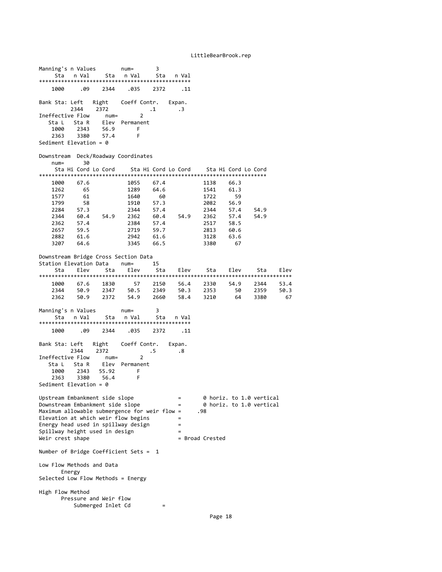| Manning's n Values<br>Sta                                                         | n Val                  | Sta           | $num =$<br>n Val         | 3<br>Sta     | n Val               |                 |                     |                          |      |
|-----------------------------------------------------------------------------------|------------------------|---------------|--------------------------|--------------|---------------------|-----------------|---------------------|--------------------------|------|
| 1000                                                                              | .09                    | 2344          | .035                     | 2372         | .11                 |                 |                     |                          |      |
| Bank Sta: Left                                                                    | 2344                   | 2372          | Right Coeff Contr.       | $\cdot$ 1    | Expan.<br>$\cdot$ 3 |                 |                     |                          |      |
| Ineffective Flow                                                                  |                        | num=          | 2                        |              |                     |                 |                     |                          |      |
| Sta L Sta R<br>1000                                                               | 2343                   | Elev<br>56.9  | Permanent<br>F           |              |                     |                 |                     |                          |      |
| 2363                                                                              | 3380                   | 57.4          | F                        |              |                     |                 |                     |                          |      |
| Sediment Elevation = $0$                                                          |                        |               |                          |              |                     |                 |                     |                          |      |
| Downstream<br>$num =$                                                             | 30                     |               | Deck/Roadway Coordinates |              |                     |                 |                     |                          |      |
|                                                                                   | Sta Hi Cord Lo Cord    |               |                          |              | Sta Hi Cord Lo Cord |                 | Sta Hi Cord Lo Cord |                          |      |
| 1000                                                                              | 67.6                   |               | 1055                     | 67.4         |                     | 1138            | 66.3                |                          |      |
| 1262                                                                              | 65                     |               | 1289                     | 64.6         |                     | 1541            | 61.3                |                          |      |
| 1577<br>1799                                                                      | 61<br>58               |               | 1640<br>1910             | 60<br>57.3   |                     | 1722<br>2082    | 59<br>56.9          |                          |      |
| 2284                                                                              | 57.3                   |               | 2344                     | 57.4         |                     | 2344            | 57.4                | 54.9                     |      |
| 2344                                                                              | 60.4                   | 54.9          | 2362                     | 60.4         | 54.9                | 2362            | 57.4                | 54.9                     |      |
| 2362                                                                              | 57.4                   |               | 2384                     | 57.4         |                     | 2517            | 58.5                |                          |      |
| 2657                                                                              | 59.5                   |               | 2719                     | 59.7         |                     | 2813            | 60.6                |                          |      |
| 2882<br>3207                                                                      | 61.6<br>64.6           |               | 2942<br>3345             | 61.6<br>66.5 |                     | 3128<br>3380    | 63.6<br>67          |                          |      |
|                                                                                   |                        |               |                          |              |                     |                 |                     |                          |      |
| Downstream Bridge Cross Section Data                                              |                        |               |                          |              |                     |                 |                     |                          |      |
| Station Elevation Data<br>Sta                                                     | Elev                   | Sta           | $num =$<br>Elev          | 15<br>Sta    | Elev                | Sta             | Elev                | Sta                      | Elev |
|                                                                                   |                        |               |                          |              |                     |                 |                     |                          |      |
| 1000                                                                              | 67.6                   | 1830          | 57                       | 2150         | 56.4                | 2330            | 54.9                | 2344                     | 53.4 |
| 2344                                                                              | 50.9                   | 2347          | 50.5                     | 2349         | 50.3                | 2353            | 50                  | 2359                     | 50.3 |
| 2362                                                                              | 50.9                   | 2372          | 54.9                     | 2660         | 58.4                | 3210            | 64                  | 3380                     | 67   |
| Manning's n Values                                                                |                        |               | $num =$                  | 3            |                     |                 |                     |                          |      |
|                                                                                   | Sta nVal               | Sta           | n Val                    | Sta          | n Val               |                 |                     |                          |      |
| 1000                                                                              | .09                    | 2344          | .035                     | 2372         | . 11                |                 |                     |                          |      |
| Bank Sta: Left                                                                    |                        | Right         | Coeff Contr.             |              | Expan.              |                 |                     |                          |      |
|                                                                                   | 2344                   | 2372          |                          | .5           | $\cdot$ 8           |                 |                     |                          |      |
| Ineffective Flow                                                                  |                        | $num =$       | 2                        |              |                     |                 |                     |                          |      |
| Sta L                                                                             | Sta R                  | Elev          | Permanent                |              |                     |                 |                     |                          |      |
| 1000<br>2363                                                                      | 2343<br>3380           | 55.92<br>56.4 | F<br>F                   |              |                     |                 |                     |                          |      |
| Sediment Elevation = $0$                                                          |                        |               |                          |              |                     |                 |                     |                          |      |
|                                                                                   |                        |               |                          |              |                     |                 |                     |                          |      |
| Upstream Embankment side slope                                                    |                        |               |                          |              | $=$                 |                 |                     | 0 horiz. to 1.0 vertical |      |
| Downstream Embankment side slope<br>Maximum allowable submergence for weir flow = |                        |               |                          |              | $=$                 | .98             |                     | 0 horiz. to 1.0 vertical |      |
| Elevation at which weir flow begins                                               |                        |               |                          |              | $=$                 |                 |                     |                          |      |
| Energy head used in spillway design                                               |                        |               |                          |              | $=$                 |                 |                     |                          |      |
| Spillway height used in design                                                    |                        |               |                          |              | $=$                 |                 |                     |                          |      |
| Weir crest shape                                                                  |                        |               |                          |              |                     | = Broad Crested |                     |                          |      |
| Number of Bridge Coefficient Sets = $1$                                           |                        |               |                          |              |                     |                 |                     |                          |      |
| Low Flow Methods and Data                                                         |                        |               |                          |              |                     |                 |                     |                          |      |
| Energy<br>Selected Low Flow Methods = Energy                                      |                        |               |                          |              |                     |                 |                     |                          |      |
| High Flow Method                                                                  |                        |               |                          |              |                     |                 |                     |                          |      |
|                                                                                   | Pressure and Weir flow |               |                          |              |                     |                 |                     |                          |      |
|                                                                                   | Submerged Inlet Cd     |               |                          | $=$          |                     |                 |                     |                          |      |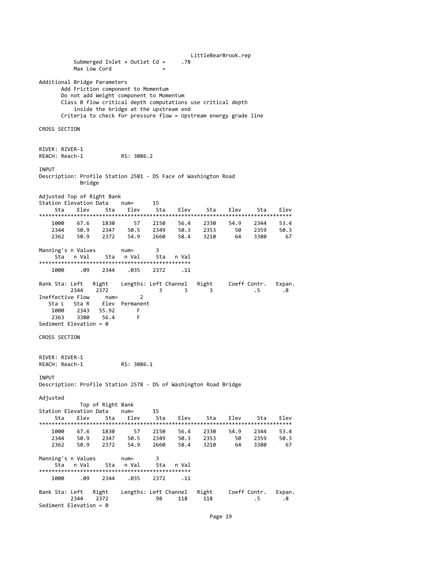LittleBearBrook.rep Submerged Inlet + Outlet Cd = .78 Max Low Cord Additional Bridge Parameters Add Friction component to Momentum Do not add Weight component to Momentum Class B flow critical depth computations use critical depth inside the bridge at the upstream end Criteria to check for pressure flow = Upstream energy grade line CROSS SECTION RIVER: RIVER‐1 REACH: Reach‐1 RS: 3086.2 INPUT Description: Profile Station 2581 ‐ DS Face of Washington Road Bridge Adjusted Top of Right Bank Station Elevation Data num= 15 Sta Elev Sta Elev Sta Elev Sta Elev Sta Elev \*\*\*\*\*\*\*\*\*\*\*\*\*\*\*\*\*\*\*\*\*\*\*\*\*\*\*\*\*\*\*\*\*\*\*\*\*\*\*\*\*\*\*\*\*\*\*\*\*\*\*\*\*\*\*\*\*\*\*\*\*\*\*\*\*\*\*\*\*\*\*\*\*\*\*\*\*\*\*\* 1000 67.6 1830 57 2150 56.4 2330 54.9 2344 53.4 2344 50.9 2347 50.5 2349 50.3 2353 50 2359 50.3 2362 50.9 2372 54.9 2660 58.4 3210 64 3380 67 Manning's n Values num= 3 Sta n Val \*\*\*\*\*\*\*\*\*\*\*\*\*\*\*\*\*\*\*\*\*\*\*\*\*\*\*\*\*\*\*\*\*\*\*\*\*\*\*\*\*\*\*\*\*\*\*\* 1000 .09 2344 .035 2372 .11 Bank Sta: Left Right Lengths: Left Channel Right Coeff Contr. Expan.<br>2344 2372 3 3 .5 .8 2344 2372 3 3 3 .5 .8 Ineffective Flow Sta L Sta R Elev Permanent<br>1000 2343 55.92 F 1000 2343 55.92 F  $56.4$ Sediment Elevation = 0 CROSS SECTION RIVER: RIVER‐1 REACH: Reach‐1 RS: 3086.1 **TNPUT** Description: Profile Station 2578 ‐ DS of Washington Road Bridge Adjusted Top of Right Bank Station Elevation Data num= 15 Sta Elev Sta Elev Sta Elev Sta Elev Sta Elev \*\*\*\*\*\*\*\*\*\*\*\*\*\*\*\*\*\*\*\*\*\*\*\*\*\*\*\*\*\*\*\*\*\*\*\*\*\*\*\*\*\*\*\*\*\*\*\*\*\*\*\*\*\*\*\*\*\*\*\*\*\*\*\*\*\*\*\*\*\*\*\*\*\*\*\*\*\*\*\* 1000 67.6 1830 57 2150 56.4 2330 54.9 2344 53.4 2344 50.9 2347 50.5 2349 50.3 2353 50 2359 50.3 2311 5013 2317 5013 5013 2353 5013 5013 5013<br>2362 50.9 2372 54.9 2660 58.4 3210 64 3380 67 Manning's n Values num= 3 Sta n Val Sta n Val Sta n Val \*\*\*\*\*\*\*\*\*\*\*\*\*\*\*\*\*\*\*\*\*\*\*\*\*\*\*\*\*\*\*\*\*\*\*\*\*\*\*\*\*\*\*\*\*\*\*\* 1000 .09 2344 .035 2372 .11 Bank Sta: Left Right Lengths: Left Channel Right Coeff Contr. Expan. 2344 2372 98 118 118 .5 .8 Sediment Elevation = 0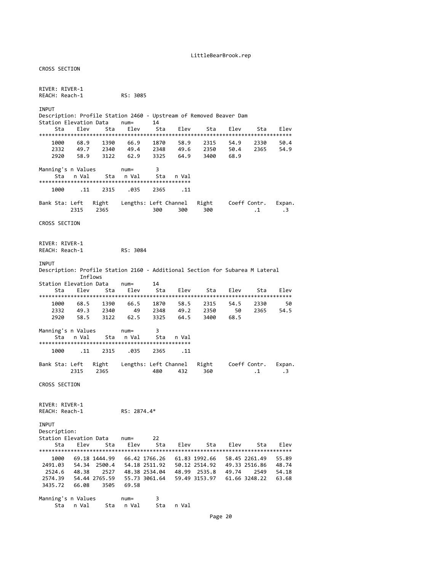CROSS SECTION RIVER: RIVER-1<br>REACH: Reach-1 RS: 3085 INPUT Description: Profile Station 2460 - Upstream of Removed Beaver Dam<br>Station Elevation Data num= 14 Station Elevation Data num= Sta Elev Sta Elev Sta Elev Sta Elev Sta Elev \*\*\*\*\*\*\*\*\*\*\*\*\*\*\*\*\*\*\*\*\*\*\*\*\*\*\*\*\*\*\*\*\*\*\*\*\*\*\*\*\*\*\*\*\*\*\*\*\*\*\*\*\*\*\*\*\*\*\*\*\*\*\*\*\*\*\*\*\*\*\*\*\*\*\*\*\*\*\*\* 1000 68.9 1390 66.9 1870 58.9 2315 54.9 2330 50.4 2332 49.7 2340 49.4 2348 49.6 2350 50.4 2365 54.9 2920 58.9 3122 62.9 3325 64.9 3400 68.9 Manning's n Values num= 3 Sta n-Val Sta n-Val Sta n-Val \*\*\*\*\*\*\*\*\*\*\*\*\*\*\*\*\*\*\*\*\*\*\*\*\*\*\*\*\*\*\*\*\*\*\*\*\*\*\*\*\*\*\*\*\*\*\*\* 1000 .11 2315 .035 2365 .11 Bank Sta: Left Right Lengths: Left Channel Right Coeff Contr. Expan.<br>2315 2365 200 300 300 300 300  $1 \t3$ CROSS SECTION RIVER: RIVER-1<br>REACH: Reach-1 RS: 3084 INPUT Description: Profile Station 2160 ‐ Additional Section for Subarea M Lateral Inflows Station Elevation Data num= 14 Sta Elev Sta Elev Sta Elev Elev Sta Elev Elev \*\*\*\*\*\*\*\*\*\*\*\*\*\*\*\*\*\*\*\*\*\*\*\*\*\*\*\*\*\*\*\*\*\*\*\*\*\*\*\*\*\*\*\*\*\*\*\*\*\*\*\*\*\*\*\*\*\*\*\*\*\*\*\*\*\*\*\*\*\*\*\*\*\*\*\*\*\*\*\* 1000 68.5 1390 66.5 1870 58.5 2315 54.5 2330 50 2332 49.3 2340 49 2348 49.2 2350 50<br>2920 58.5 3122 62.5 3325 64.5 3400 68.5 2920 58.5 3122 62.5 3325 64.5 3400 68.5 Manning's n Values num= 3 Sta n Val Sta n Val Sta n Val \*\*\*\*\*\*\*\*\*\*\*\*\*\*\*\*\*\*\*\*\*\*\*\*\*\*\*\*\*\*\*\*\*\*\*\*\*\*\*\*\*\*\*\*\*\*\*\* 1000 .11 2315 .035 2365 .11 Bank Sta: Left Right Lengths: Left Channel Right Coeff Contr. Expan. 480 432 360 41 43 CROSS SECTION RIVER: RIVER‐1 REACH: Reach‐1 RS: 2874.4\* INPUT Description: Station Elevation Data num= 22 Sta Elev Sta Elev Sta Elev Sta Elev Sta Elev \*\*\*\*\*\*\*\*\*\*\*\*\*\*\*\*\*\*\*\*\*\*\*\*\*\*\*\*\*\*\*\*\*\*\*\*\*\*\*\*\*\*\*\*\*\*\*\*\*\*\*\*\*\*\*\*\*\*\*\*\*\*\*\*\*\*\*\*\*\*\*\*\*\*\*\*\*\*\*\* 1000 69.18 1444.99 66.42 1766.26 61.83 1992.66 58.45 2261.49 55.89 2491.03 54.34 2500.4 54.18 2511.92 50.12 2514.92 49.33 2516.86 48.74 2524.6 48.38 2527 48.38 2534.04 48.99 2535.8 49.74 2549 54.18 2574.39 54.44 2765.59 55.73 3061.64 59.49 3153.97 61.66 3248.22 63.68 3435.72 66.08 3505 69.58 Manning's n Values num= 3 Sta n Val Sta n Val Sta n Val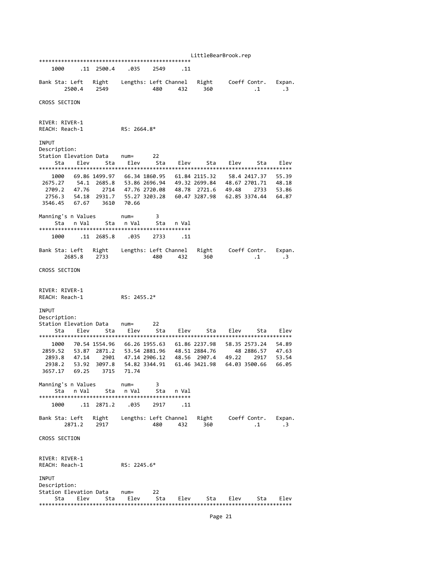LittleBearBrook.rep \*\*\*\*\*\*\*\*\*\*\*\*\*\*\*\*\*\*\*\*\*\*\*\*\*\*\*\*\*\*\*\*\*\*\*\*\*\*\*\*\*\*\*\*\*\*\*\* 1000 .11 2500.4 .035 2549 .11 Bank Sta: Left Right Lengths: Left Channel Right Coeff Contr. Expan. 2500.4 2549 480 432 360 .1 .3 CROSS SECTION RIVER: RIVER‐1 REACH: Reach‐1 RS: 2664.8\* INPUT Description:<br>Station Elevation Data Station Elevation Data num= 22 Sta Elev Sta Elev Sta Elev Sta Elev Sta Elev \*\*\*\*\*\*\*\*\*\*\*\*\*\*\*\*\*\*\*\*\*\*\*\*\*\*\*\*\*\*\*\*\*\*\*\*\*\*\*\*\*\*\*\*\*\*\*\*\*\*\*\*\*\*\*\*\*\*\*\*\*\*\*\*\*\*\*\*\*\*\*\*\*\*\*\*\*\*\*\* 1000 69.86 1499.97 66.34 1860.95 61.84 2115.32 58.4 2417.37 55.39 2675.27 54.1 2685.8 53.86 2696.94 49.32 2699.84 48.67 2701.71 48.18 2709.2 47.76 2714 47.76 2720.08 48.78 2721.6 49.48 2733 53.86 2756.3 54.18 2931.7 55.27 3203.28 60.47 3287.98 62.85 3374.44 64.87 3546.45 67.67 3610 70.66 Manning's n Values num= 3 Sta n Val Sta n Val Sta n Val \*\*\*\*\*\*\*\*\*\*\*\*\*\*\*\*\*\*\*\*\*\*\*\*\*\*\*\*\*\*\*\*\*\*\*\*\*\*\*\*\*\*\*\*\*\*\*\* 1000 .11 2685.8 .035 2733 .11 Bank Sta: Left Right Lengths: Left Channel Right Coeff Contr. Expan. 480 432 360 CROSS SECTION RIVER: RIVER-1<br>REACH: Reach-1  $RS: 2455.2*$ INPUT Description: Station Elevation Data num= 22 Sta Elev Sta Elev Sta Elev Sta Elev Sta Elev \*\*\*\*\*\*\*\*\*\*\*\*\*\*\*\*\*\*\*\*\*\*\*\*\*\*\*\*\*\*\*\*\*\*\*\*\*\*\*\*\*\*\*\*\*\*\*\*\*\*\*\*\*\*\*\*\*\*\*\*\*\*\*\*\*\*\*\*\*\*\*\*\*\*\*\*\*\*\*\* 1000 70.54 1554.96 66.26 1955.63 61.86 2237.98 58.35 2573.24 54.89 2859.52 53.87 2871.2 53.54 2881.96 48.51 2884.76 48 2886.57 47.63 2893.8 47.14 2901 47.14 2906.12 48.56 2907.4 49.22 2917 53.54 2938.2 53.92 3097.8 54.82 3344.91 61.46 3421.98 64.03 3500.66 66.05 3657.17 69.25 3715 71.74 Manning's n Values num= 3 Sta n Val Sta n Val Sta n Val \*\*\*\*\*\*\*\*\*\*\*\*\*\*\*\*\*\*\*\*\*\*\*\*\*\*\*\*\*\*\*\*\*\*\*\*\*\*\*\*\*\*\*\*\*\*\*\* 1000 .11 2871.2 .035 2917 .11 Bank Sta: Left Right Lengths: Left Channel Right Coeff Contr. Expan. 480 432 360 41 43 CROSS SECTION RIVER: RIVER-1<br>REACH: Reach-1  $RS: 2245.6*$ INPUT Description: Station Elevation Data num= 22 Sta Elev Sta Elev Sta Elev Sta Elev Sta Elev \*\*\*\*\*\*\*\*\*\*\*\*\*\*\*\*\*\*\*\*\*\*\*\*\*\*\*\*\*\*\*\*\*\*\*\*\*\*\*\*\*\*\*\*\*\*\*\*\*\*\*\*\*\*\*\*\*\*\*\*\*\*\*\*\*\*\*\*\*\*\*\*\*\*\*\*\*\*\*\*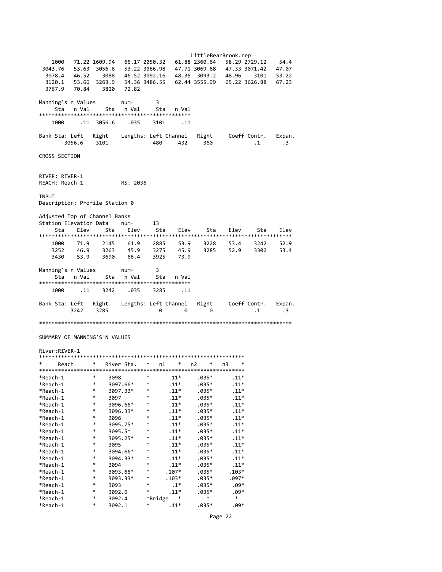LittleBearBrook.rep 1000 71.22 1609.94 66.17 2050.32 61.88 2360.64 58.29 2729.12 54.4 3043.76 53.63 3056.6 53.22 3066.98 47.71 3069.68 47.33 3071.42 47.07 3078.4 46.52 3088 46.52 3092.16 48.35 3093.2 48.96 3101 53.22 3120.1 53.66 3263.9 54.36 3486.55 62.44 3555.99 65.22 3626.88 67.23 3767.9 70.84 3820 72.82 Manning's n Values num= 3 Sta n Val Sta n Val Sta n Val \*\*\*\*\*\*\*\*\*\*\*\*\*\*\*\*\*\*\*\*\*\*\*\*\*\*\*\*\*\*\*\*\*\*\*\*\*\*\*\*\*\*\*\*\*\*\*\* 1000 .11 3056.6 .035 3101 .11 Bank Sta: Left Right Lengths: Left Channel Right Coeff Contr. Expan. 3056.6 3101 480 432 360 .1 .3 CROSS SECTION RIVER: RIVER‐1 REACH: Reach‐1 RS: 2036 INPUT Description: Profile Station 0 Adjusted Top of Channel Banks<br>Station Elevation Data num= Station Elevation Data num= 13 Sta Elev Sta Elev Sta Elev Sta Elev Sta Elev \*\*\*\*\*\*\*\*\*\*\*\*\*\*\*\*\*\*\*\*\*\*\*\*\*\*\*\*\*\*\*\*\*\*\*\*\*\*\*\*\*\*\*\*\*\*\*\*\*\*\*\*\*\*\*\*\*\*\*\*\*\*\*\*\*\*\*\*\*\*\*\*\*\*\*\*\*\*\*\* 1000 71.9 2145 61.9 2885 53.9 3228 53.4 3242 52.9 3252 46.9 3263 45.9 3275 45.9 3285 52.9 3302 53.4 3430 53.9 3690 66.4 Manning's n Values num= 3 Sta n Val Sta n Val Sta n Val \*\*\*\*\*\*\*\*\*\*\*\*\*\*\*\*\*\*\*\*\*\*\*\*\*\*\*\*\*\*\*\*\*\*\*\*\*\*\*\*\*\*\*\*\*\*\*\* 1000 .11 3242 .035 3285 .11 Bank Sta: Left Right Lengths: Left Channel Right Coeff Contr. Expan.  $3242$   $3285$  0 0 0 0 1 3 \*\*\*\*\*\*\*\*\*\*\*\*\*\*\*\*\*\*\*\*\*\*\*\*\*\*\*\*\*\*\*\*\*\*\*\*\*\*\*\*\*\*\*\*\*\*\*\*\*\*\*\*\*\*\*\*\*\*\*\*\*\*\*\*\*\*\*\*\*\*\*\*\*\*\*\*\*\*\*\* SUMMARY OF MANNING'S N VALUES

#### River:RIVER‐1

| *<br>Reach | * | River Sta. | $\ast$ | n1      | *      | n2      | *<br>n3 | *       |  |  |  |
|------------|---|------------|--------|---------|--------|---------|---------|---------|--|--|--|
|            |   |            |        |         |        |         |         |         |  |  |  |
| *Reach-1   | * | 3098       | *      | $.11*$  |        | .035*   |         | $.11*$  |  |  |  |
| *Reach-1   | * | 3097.66*   | *      | $.11*$  |        | $.035*$ |         | $.11*$  |  |  |  |
| *Reach-1   | * | 3097.33*   | *      | $.11*$  |        | $.035*$ |         | $.11*$  |  |  |  |
| *Reach-1   | * | 3097       | *      | $.11*$  |        | $.035*$ |         | $.11*$  |  |  |  |
| *Reach-1   | * | 3096.66*   | $\ast$ | $.11*$  |        | $.035*$ |         | $.11*$  |  |  |  |
| *Reach-1   | * | 3096.33*   | *      |         | $.11*$ | $.035*$ |         | $.11*$  |  |  |  |
| *Reach-1   | * | 3096       | $\ast$ | $.11*$  |        | $.035*$ |         | $.11*$  |  |  |  |
| *Reach-1   | * | 3095.75*   | *      | $.11*$  |        | $.035*$ |         | $.11*$  |  |  |  |
| *Reach-1   | * | 3095.5*    | *      | $.11*$  |        | $.035*$ |         | $.11*$  |  |  |  |
| *Reach-1   | * | 3095.25*   | *      | $.11*$  |        | $.035*$ |         | $.11*$  |  |  |  |
| *Reach-1   | * | 3095       | $\ast$ | $.11*$  |        | $.035*$ |         | $.11*$  |  |  |  |
| *Reach-1   | * | 3094.66*   | *      | $.11*$  |        | $.035*$ |         | $.11*$  |  |  |  |
| *Reach-1   | * | 3094.33*   | $\ast$ | $.11*$  |        | $.035*$ |         | $.11*$  |  |  |  |
| *Reach-1   | * | 3094       | $\ast$ | $.11*$  |        | $.035*$ |         | $.11*$  |  |  |  |
| *Reach-1   | * | 3093.66*   | *      | $.107*$ |        | $.035*$ |         | $.103*$ |  |  |  |
| *Reach-1   | * | 3093.33*   | *      | $.103*$ |        | $.035*$ |         | $.097*$ |  |  |  |
| *Reach-1   | * | 3093       | $\ast$ |         | $.1*$  | $.035*$ |         | $.09*$  |  |  |  |
| *Reach-1   | * | 3092.6     | *      |         | $.11*$ | $.035*$ |         | .09*    |  |  |  |
| *Reach-1   | * | 3092.4     |        | *Bridge |        | $\ast$  |         | $\ast$  |  |  |  |
| *Reach-1   | * | 3092.1     | *      | $.11*$  |        | .035*   |         | .09*    |  |  |  |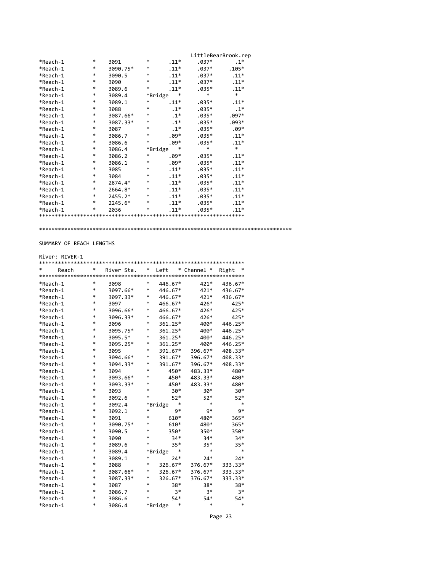|          |   |          |         |        | LittleBearBrook.rep |         |
|----------|---|----------|---------|--------|---------------------|---------|
| *Reach-1 | * | 3091     | *       | $.11*$ | $.037*$             | $.1*$   |
| *Reach-1 | * | 3090.75* | $\ast$  | $.11*$ | $.037*$             | $.105*$ |
| *Reach-1 | * | 3090.5   | $\ast$  | $.11*$ | $.037*$             | $.11*$  |
| *Reach-1 | * | 3090     | $\ast$  | $.11*$ | $.037*$             | $.11*$  |
| *Reach-1 | * | 3089.6   | $\ast$  | $.11*$ | $.035*$             | $.11*$  |
| *Reach-1 | * | 3089.4   | *Bridge | *      | $\ast$              | $\ast$  |
| *Reach-1 | * | 3089.1   | *       | $.11*$ | $.035*$             | $.11*$  |
| *Reach-1 | * | 3088     | $\ast$  | $.1*$  | $.035*$             | $.1*$   |
| *Reach-1 | * | 3087.66* | *       | $.1*$  | $.035*$             | $.097*$ |
| *Reach-1 | * | 3087.33* | $\ast$  | $.1*$  | $.035*$             | $.093*$ |
| *Reach-1 | * | 3087     | $\ast$  | $.1*$  | $.035*$             | $.09*$  |
| *Reach-1 | * | 3086.7   | $\ast$  | $.09*$ | $.035*$             | $.11*$  |
| *Reach-1 | * | 3086.6   | $\ast$  | $.09*$ | $.035*$             | $.11*$  |
| *Reach-1 | * | 3086.4   | *Bridge | *      | $\ast$              | $\ast$  |
| *Reach-1 | * | 3086.2   | *       | $.09*$ | $.035*$             | $.11*$  |
| *Reach-1 | * | 3086.1   | $\ast$  | $.09*$ | $.035*$             | $.11*$  |
| *Reach-1 | * | 3085     | *       | $.11*$ | $.035*$             | $.11*$  |
| *Reach-1 | * | 3084     | $\ast$  | $.11*$ | $.035*$             | $.11*$  |
| *Reach-1 | * | 2874.4*  | *       | $.11*$ | $.035*$             | $.11*$  |
| *Reach-1 | * | 2664.8*  | $\ast$  | $.11*$ | $.035*$             | $.11*$  |
| *Reach-1 | * | 2455.2*  | $\ast$  | $.11*$ | $.035*$             | $.11*$  |
| *Reach-1 | * | 2245.6*  | $\ast$  | $.11*$ | $.035*$             | $.11*$  |
| *Reach-1 | * | 2036     | *       | $.11*$ | $.035*$             | $.11*$  |
|          |   |          |         |        |                     |         |

\*\*\*\*\*\*\*\*\*\*\*\*\*\*\*\*\*\*\*\*\*\*\*\*\*\*\*\*\*\*\*\*\*\*\*\*\*\*\*\*\*\*\*\*\*\*\*\*\*\*\*\*\*\*\*\*\*\*\*\*\*\*\*\*\*\*\*\*\*\*\*\*\*\*\*\*\*\*\*\*

## SUMMARY OF REACH LENGTHS

### River: RIVER‐1

| *<br>Reach | * | River Sta. |   | * Left       | * Channel * | Right   |
|------------|---|------------|---|--------------|-------------|---------|
| *Reach-1   | * | 3098       | * | 446.67*      | $421*$      | 436.67* |
| *Reach-1   | * | 3097.66*   | * | 446.67*      | $421*$      | 436.67* |
| *Reach-1   | * | 3097.33*   | * | 446.67*      | $421*$      | 436.67* |
| *Reach-1   | * | 3097       | * | 466.67*      | 426*        | 425*    |
| *Reach-1   | * | 3096.66*   | * | 466.67*      | 426*        | $425*$  |
| *Reach-1   | * | 3096.33*   | * | 466.67*      | 426*        | $425*$  |
| *Reach-1   | * | 3096       | * | 361.25*      | 400*        | 446.25* |
| *Reach-1   | * | 3095.75*   | * | 361.25*      | 400*        | 446.25* |
| *Reach-1   | * | 3095.5*    | * | 361.25*      | 400*        | 446.25* |
| *Reach-1   | * | 3095.25*   | * | 361.25*      | 400*        | 446.25* |
| *Reach-1   | * | 3095       | * | 391.67*      | 396.67*     | 408.33* |
| *Reach-1   | * | 3094.66*   | * | 391.67*      | 396.67*     | 408.33* |
| *Reach-1   | * | 3094.33*   | * | 391.67*      | 396.67*     | 408.33* |
| *Reach-1   | * | 3094       | * | 450*         | 483.33*     | 480*    |
| *Reach-1   | * | 3093.66*   | * | 450*         | 483.33*     | 480*    |
| *Reach-1   | * | 3093.33*   | * | 450*         | 483.33*     | 480*    |
| *Reach-1   | * | 3093       | * | 30*          | 30*         | $30*$   |
| *Reach-1   | * | 3092.6     | * | 52*          | $52*$       | $52*$   |
| *Reach-1   | * | 3092.4     |   | *<br>*Bridge | $\ast$      | $\ast$  |
| *Reach-1   | * | 3092.1     | * | 9*           | 9*          | 9*      |
| *Reach-1   | * | 3091       | * | 610*         | 480*        | 365*    |
| *Reach-1   | * | 3090.75*   | * | 610*         | 480*        | $365*$  |
| *Reach-1   | * | 3090.5     | * | 350*         | 350*        | 350*    |
| *Reach-1   | * | 3090       | * | $34*$        | $34*$       | $34*$   |
| *Reach-1   | * | 3089.6     | * | $35*$        | $35*$       | $35*$   |
| *Reach-1   | * | 3089.4     |   | *<br>*Bridge | $\ast$      | $\ast$  |
| *Reach-1   | * | 3089.1     | * | $24*$        | $24*$       | $24*$   |
| *Reach-1   | * | 3088       | * | 326.67*      | 376.67*     | 333.33* |
| *Reach-1   | * | 3087.66*   | * | 326.67*      | 376.67*     | 333.33* |
| *Reach-1   | * | 3087.33*   | * | 326.67*      | 376.67*     | 333.33* |
| *Reach-1   | * | 3087       | * | 38*          | 38*         | 38*     |
| *Reach-1   | * | 3086.7     | * | 3*           | 3*          | 3*      |
| *Reach-1   | * | 3086.6     | * | $54*$        | $54*$       | 54*     |
| *Reach-1   | * | 3086.4     |   | *Bridge<br>* | *           | *       |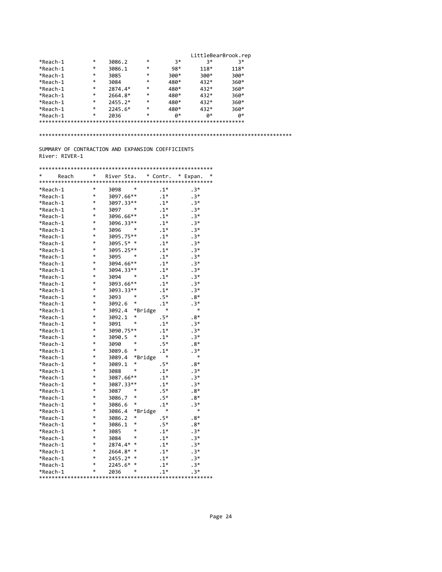|          |   |           |        |      | LittleBearBrook.rep |        |
|----------|---|-----------|--------|------|---------------------|--------|
| *Reach-1 | * | 3086.2    | *      | 3*   | 3*                  | 3*     |
| *Reach-1 | * | 3086.1    | *      | 98*  | 118*                | 118*   |
| *Reach-1 | * | 3085      | $\ast$ | 300* | $300*$              | 300*   |
| *Reach-1 | * | 3084      | $\ast$ | 480* | 432*                | 360*   |
| *Reach-1 | * | 2874.4*   | *      | 480* | 432*                | $360*$ |
| *Reach-1 | * | 2664.8*   | $\ast$ | 480* | 432*                | 360*   |
| *Reach-1 | * | $2455.2*$ | $\ast$ | 480* | 432*                | 360*   |
| *Reach-1 | * | $2245.6*$ | $\ast$ | 480* | 432*                | $360*$ |
| *Reach-1 | * | 2036      | $\ast$ | p*   | ø*                  | Ø*     |
|          |   |           |        |      |                     |        |

\*\*\*\*\*\*\*\*\*\*\*\*\*\*\*\*\*\*\*\*\*\*\*\*\*\*\*\*\*\*\*\*\*\*\*\*\*\*\*\*\*\*\*\*\*\*\*\*\*\*\*\*\*\*\*\*\*\*\*\*\*\*\*\*\*\*\*\*\*\*\*\*\*\*\*\*\*\*\*\*

SUMMARY OF CONTRACTION AND EXPANSION COEFFICIENTS River: RIVER‐1

| *<br>Reach | *      | River Sta. |         | * Contr. | *<br>* Expan. |
|------------|--------|------------|---------|----------|---------------|
|            |        |            |         |          |               |
| *Reach-1   | *      | 3098       | *       | $.1*$    | $.3*$         |
| *Reach-1   | $\ast$ | 3097.66**  |         | $.1*$    | $.3*$         |
| *Reach-1   | *      | 3097.33**  |         | $.1*$    | $.3*$         |
| *Reach-1   | *      | 3097       | $\ast$  | $.1*$    | $.3*$         |
| *Reach-1   | *      | 3096.66**  |         | $.1*$    | $.3*$         |
| *Reach-1   | *      | 3096.33**  |         | $.1*$    | $.3*$         |
| *Reach-1   | *      | 3096       | *       | $.1*$    | $.3*$         |
| *Reach-1   | *      | 3095.75**  |         | $.1*$    | $.3*$         |
| *Reach-1   | *      | 3095.5*    | $\ast$  | $.1*$    | $.3*$         |
| *Reach-1   | *      | 3095.25**  |         | $.1*$    | $.3*$         |
| *Reach-1   | *      | 3095       | *       | $.1*$    | $.3*$         |
| *Reach-1   | *      | 3094.66**  |         | $.1*$    | $.3*$         |
| *Reach-1   | *      | 3094.33**  |         | $.1*$    | $.3*$         |
| *Reach-1   | *      | 3094       | *       | $.1*$    | $.3*$         |
| *Reach-1   | *      | 3093.66**  |         | $.1*$    | $.3*$         |
| *Reach-1   | $\ast$ | 3093.33**  |         | $.1*$    | $.3*$         |
| *Reach-1   | *      | 3093       | *       | .5*      | $.8*$         |
| *Reach-1   | *      | 3092.6     | *       | $.1*$    | $.3*$         |
| *Reach-1   | *      | 3092.4     | *Bridge | $\ast$   | *             |
| *Reach-1   | *      | 3092.1     | *       | .5*      | $.8*$         |
| *Reach-1   | *      | 3091       | *       | $.1*$    | $.3*$         |
| *Reach-1   | *      | 3090.75**  |         | $.1*$    | $.3*$         |
| *Reach-1   | *      | 3090.5     | $\ast$  | $.1*$    | $.3*$         |
| *Reach-1   | *      | 3090       | *       | .5*      | $.8*$         |
| *Reach-1   | *      | 3089.6     | *       | $.1*$    | $.3*$         |
| *Reach-1   | $\ast$ | 3089.4     | *Bridge | *        | *             |
| *Reach-1   | *      | 3089.1     | *       | $.5*$    | $.8*$         |
| *Reach-1   | *      | 3088       | *       | $.1*$    | $.3*$         |
| *Reach-1   | *      | 3087.66**  |         | $.1*$    | $.3*$         |
| *Reach-1   | *      | 3087.33**  |         | $.1*$    | $.3*$         |
| *Reach-1   | *      | 3087       | *       | $.5*$    | $.8*$         |
| *Reach-1   | *      | 3086.7     | *       | .5*      | $.8*$         |
| *Reach-1   | *      | 3086.6     | *       | $.1*$    | $.3*$         |
| *Reach-1   | *      | 3086.4     | *Bridge | *        | $\ast$        |
| *Reach-1   | *      | 3086.2     | *       | $.5*$    | $.8*$         |
| *Reach-1   | *      | 3086.1     | *       | . 5*     | $.8*$         |
| *Reach-1   | *      | 3085       | *       | $.1*$    | $.3*$         |
| *Reach-1   | *      | 3084       | $\ast$  | $.1*$    | $.3*$         |
| *Reach-1   | $\ast$ | 2874.4*    | $\ast$  | $.1*$    | $.3*$         |
| *Reach-1   | *      | 2664.8*    | $\ast$  | $.1*$    | $.3*$         |
| *Reach-1   | *      | 2455.2*    | $\ast$  | $.1*$    | $.3*$         |
| *Reach-1   | *      | 2245.6*    | $\ast$  | $.1*$    | $.3*$         |
| *Reach-1   | $\ast$ | 2036       | *       | $.1*$    | $.3*$         |
|            |        |            |         |          |               |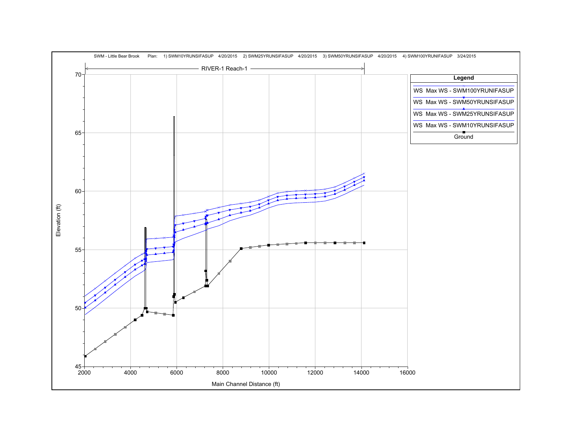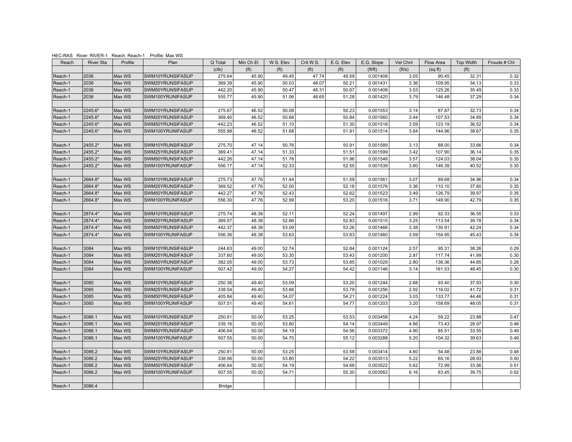|         | HEC-RAS River: RIVER-1 Reach: Reach-1 |                  | Profile: Max WS  |                  |                   |                   |                   |                   |                      |              |           |                   |              |
|---------|---------------------------------------|------------------|------------------|------------------|-------------------|-------------------|-------------------|-------------------|----------------------|--------------|-----------|-------------------|--------------|
| Reach   | <b>River Sta</b>                      | Profile          | Plan             | Q Total          | Min Ch El         | W.S. Elev         | Crit W.S.         | E.G. Elev         | E.G. Slope           | Vel Chnl     | Flow Area | <b>Top Width</b>  | Froude # Chl |
|         |                                       |                  |                  | (cfs)            | (f <sup>t</sup> ) | (f <sup>t</sup> ) | (f <sup>t</sup> ) | (f <sup>t</sup> ) | ft/ft)               | (ft/s)       | (sqft)    | (f <sup>t</sup> ) |              |
| Reach-1 | 2036                                  | Max WS           | SWM10YRUNSIFASUP | 275.64           | 45.90             | 49.45             | 47.74             | 49.59             | 0.001408             | 3.05         | 90.45     | 32.31             | 0.32         |
| Reach-1 | 2036                                  | Max WS           | SWM25YRUNSIFASUP | 369.39           | 45.90             | 50.03             | 48.07             | 50.21             | 0.001431             | 3.36         | 109.95    | 34.13             | 0.33         |
| Reach-1 | 2036                                  | Max WS           | SWM50YRUNSIFASUP | 442.20           | 45.90             | 50.47             | 48.31             | 50.67             | 0.001408             | 3.53         | 125.26    | 35.49             | 0.33         |
| Reach-1 | 2036                                  | Max WS           | SWM100YRUNIFASUP | 555.77           | 45.90             | 51.06             | 48.65             | 51.28             | 0.001420             | 3.79         | 146.48    | 37.29             | 0.34         |
|         |                                       |                  |                  |                  |                   |                   |                   |                   |                      |              |           |                   |              |
| Reach-1 | 2245.6*                               | Max WS           | SWM10YRUNSIFASUP | 275.67           | 46.52             | 50.08             |                   | 50.23             | 0.001553             | 3.14         | 87.87     | 32.73             | 0.34         |
| Reach-1 | 2245.6*                               | Max WS           | SWM25YRUNSIFASUP | 369.40           | 46.52             | 50.66             |                   | 50.84             | 0.001560             | 3.44         | 107.53    | 34.89             | 0.34         |
| Reach-1 | 2245.6*                               | Max WS           | SWM50YRUNSIFASUP | 442.23           | 46.52             | 51.10             |                   | 51.30             | 0.001518             | 3.59         | 123.19    | 36.52             | 0.34         |
| Reach-1 | 2245.6*                               | Max WS           | SWM100YRUNIFASUP | 555.98           | 46.52             | 51.68             |                   | 51.91             | 0.001514             | 3.84         | 144.96    | 38.67             | 0.35         |
|         |                                       |                  |                  |                  |                   |                   |                   |                   |                      |              |           |                   |              |
| Reach-1 | 2455.2*                               | Max WS           | SWM10YRUNSIFASUP | 275.70           | 47.14             | 50.76             |                   | 50.91             | 0.001589             | 3.13         | 88.00     | 33.66             | 0.34         |
| Reach-1 | 2455.2*                               | Max WS           | SWM25YRUNSIFASUP | 369.41           | 47.14             | 51.33             |                   | 51.51             | 0.001599             | 3.42         | 107.90    | 36.14             | 0.35         |
| Reach-1 | 2455.2*                               | Max WS           | SWM50YRUNSIFASUP | 442.26           | 47.14             | 51.76             |                   | 51.96             | 0.001548             | 3.57         | 124.03    | 38.04             | 0.35         |
| Reach-1 | 2455.2*                               | Max WS           | SWM100YRUNIFASUP | 556.17           | 47.14             | 52.33             |                   | 52.55             | 0.001539             | 3.80         | 146.39    | 40.52             | 0.35         |
|         |                                       |                  |                  |                  |                   |                   |                   |                   |                      |              |           |                   |              |
| Reach-1 | 2664.8*                               | Max WS           | SWM10YRUNSIFASUP | 275.73           | 47.76             | 51.44             |                   | 51.59             | 0.001561             | 3.07         | 89.68     | 34.96             | 0.34         |
| Reach-1 | 2664.8*                               | Max WS           | SWM25YRUNSIFASUP | 369.52           | 47.76             | 52.00             |                   | 52.18             | 0.001576             | 3.36         | 110.10    | 37.80             | 0.35         |
| Reach-1 | 2664.8*                               | Max WS           | SWM50YRUNSIFASUP | 442.27           | 47.76             | 52.43             |                   | 52.62             | 0.001523             | 3.49         | 126.79    | 39.97             | 0.35         |
| Reach-1 | 2664.8*                               | Max WS           | SWM100YRUNIFASUP | 556.30           | 47.76             | 52.99             |                   | 53.20             | 0.001516             | 3.71         | 149.90    | 42.79             | 0.35         |
|         |                                       |                  |                  |                  |                   |                   |                   |                   |                      |              |           |                   |              |
| Reach-1 | 2874.4*                               | Max WS           | SWM10YRUNSIFASUP | 275.74           | 48.38             | 52.11             |                   | 52.24             | 0.001497             | 2.99         | 92.33     | 36.55             | 0.33         |
| Reach-1 | 2874.4*                               | Max WS           | SWM25YRUNSIFASUP | 369.57           | 48.38             | 52.66             |                   | 52.83             | 0.001515             | 3.25         | 113.54    | 39.78             | 0.34         |
| Reach-1 | 2874.4*                               | Max WS           | SWM50YRUNSIFASUP | 442.37           | 48.38             | 53.09             |                   | 53.26             | 0.001466             | 3.38         | 130.91    | 42.24             | 0.34         |
| Reach-1 | 2874.4*                               | Max WS           | SWM100YRUNIFASUP | 556.36           | 48.38             | 53.63             |                   | 53.83             | 0.001460             | 3.59         | 154.95    | 45.43             | 0.34         |
|         |                                       |                  |                  |                  |                   |                   |                   |                   |                      |              |           |                   |              |
| Reach-1 | 3084                                  | Max WS           | SWM10YRUNSIFASUP | 244.63           | 49.00             | 52.74             |                   | 52.84             | 0.001124             | 2.57         | 95.31     | 38.26             | 0.29         |
| Reach-1 | 3084                                  | Max WS           | SWM25YRUNSIFASUP | 337.60           | 49.00             | 53.30             |                   | 53.43             | 0.001200             | 2.87         | 117.74    | 41.99             | 0.30         |
| Reach-1 | 3084<br>3084                          | Max WS<br>Max WS | SWM50YRUNSIFASUP | 382.05<br>507.42 | 49.00<br>49.00    | 53.73<br>54.27    |                   | 53.85<br>54.42    | 0.001029<br>0.001146 | 2.80<br>3.14 | 136.36    | 44.85<br>48.45    | 0.28<br>0.30 |
| Reach-1 |                                       |                  | SWM100YRUNIFASUP |                  |                   |                   |                   |                   |                      |              | 161.53    |                   |              |
| Reach-1 | 3085                                  | Max WS           | SWM10YRUNSIFASUP | 250.36           | 49.40             | 53.09             |                   | 53.20             | 0.001244             | 2.68         | 93.40     | 37.93             | 0.30         |
| Reach-1 | 3085                                  | Max WS           | SWM25YRUNSIFASUP | 338.54           | 49.40             | 53.66             |                   | 53.79             | 0.001256             | 2.92         | 116.02    | 41.72             | 0.31         |
| Reach-1 | 3085                                  | Max WS           | SWM50YRUNSIFASUP | 405.84           | 49.40             | 54.07             |                   | 54.21             | 0.001224             | 3.03         | 133.77    | 44.46             | 0.31         |
| Reach-1 | 3085                                  | Max WS           | SWM100YRUNIFASUP | 507.51           | 49.40             | 54.61             |                   | 54.77             | 0.001203             | 3.20         | 158.69    | 48.05             | 0.31         |
|         |                                       |                  |                  |                  |                   |                   |                   |                   |                      |              |           |                   |              |
| Reach-1 | 3086.1                                | Max WS           | SWM10YRUNSIFASUP | 250.81           | 50.00             | 53.25             |                   | 53.53             | 0.003458             | 4.24         | 59.22     | 23.88             | 0.47         |
| Reach-1 | 3086.1                                | Max WS           | SWM25YRUNSIFASUP | 339.16           | 50.00             | 53.80             |                   | 54.14             | 0.003449             | 4.66         | 73.43     | 28.97             | 0.48         |
| Reach-1 | 3086.1                                | Max WS           | SWM50YRUNSIFASUP | 406.64           | 50.00             | 54.19             |                   | 54.56             | 0.003372             | 4.90         | 85.51     | 33.55             | 0.49         |
| Reach-1 | 3086.1                                | Max WS           | SWM100YRUNIFASUP | 507.55           | 50.00             | 54.70             |                   | 55.12             | 0.003288             | 5.20         | 104.32    | 39.63             | 0.49         |
|         |                                       |                  |                  |                  |                   |                   |                   |                   |                      |              |           |                   |              |
| Reach-1 | 3086.2                                | Max WS           | SWM10YRUNSIFASUP | 250.81           | 50.00             | 53.25             |                   | 53.58             | 0.003414             | 4.60         | 54.48     | 23.88             | 0.48         |
| Reach-1 | 3086.2                                | Max WS           | SWM25YRUNSIFASUP | 338.56           | 50.00             | 53.80             |                   | 54.22             | 0.003513             | 5.22         | 65.16     | 28.93             | 0.50         |
| Reach-1 | 3086.2                                | Max WS           | SWM50YRUNSIFASUP | 406.64           | 50.00             | 54.19             |                   | 54.68             | 0.003522             | 5.62         | 72.99     | 33.56             | 0.51         |
| Reach-1 | 3086.2                                | Max WS           | SWM100YRUNIFASUP | 507.55           | 50.00             | 54.71             |                   | 55.30             | 0.003562             | 6.16         | 83.45     | 39.75             | 0.52         |
|         |                                       |                  |                  |                  |                   |                   |                   |                   |                      |              |           |                   |              |
| Reach-1 | 3086.4                                |                  |                  | <b>Bridge</b>    |                   |                   |                   |                   |                      |              |           |                   |              |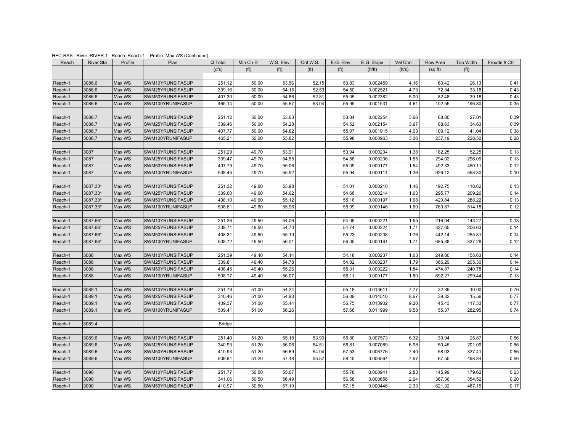| Reach   | <b>River Sta</b> | Profile          | Plan                                 | Q Total          | Min Ch El         | W.S. Elev         | Crit W.S.         | E.G. Elev         | E.G. Slope           | Vel Chnl     | Flow Area        | Top Width         | Froude # Chl |
|---------|------------------|------------------|--------------------------------------|------------------|-------------------|-------------------|-------------------|-------------------|----------------------|--------------|------------------|-------------------|--------------|
|         |                  |                  |                                      | (cfs)            | (f <sup>t</sup> ) | (f <sup>t</sup> ) | (f <sup>t</sup> ) | (f <sup>t</sup> ) | ft/ft)               | (ft/s)       | (sqft)           | (f <sup>t</sup> ) |              |
|         |                  |                  |                                      |                  |                   |                   |                   |                   |                      |              |                  |                   |              |
| Reach-1 | 3086.6           | Max WS           | SWM10YRUNSIFASUP                     | 251.12           | 50.00             | 53.56             | 52.15             | 53.83             | 0.002459             | 4.16         | 60.42            | 26.13             | 0.41         |
| Reach-1 | 3086.6           | Max WS           | SWM25YRUNSIFASUP                     | 339.16           | 50.00             | 54.15             | 52.53             | 54.50             | 0.002521             | 4.73         | 72.34            | 33.18             | 0.43         |
| Reach-1 | 3086.6           | Max WS           | SWM50YRUNSIFASUP                     | 407.30           | 50.00             | 54.66             | 52.81             | 55.05             | 0.002382             | 5.00         | 82.48            | 39.18             | 0.43         |
| Reach-1 | 3086.6           | Max WS           | SWM100YRUNIFASUP                     | 465.14           | 50.00             | 55.67             | 53.04             | 55.99             | 0.001531             | 4.61         | 102.55           | 196.80            | 0.35         |
|         |                  |                  |                                      |                  |                   |                   |                   |                   |                      |              |                  |                   |              |
| Reach-1 | 3086.7           | Max WS           | SWM10YRUNSIFASUP                     | 251.12           | 50.00             | 53.63             |                   | 53.84             | 0.002254             | 3.66         | 68.80            | 27.01             | 0.39         |
| Reach-1 | 3086.7           | Max WS           | SWM25YRUNSIFASUP                     | 339.46           | 50.00             | 54.28             |                   | 54.52             | 0.002154             | 3.97         | 88.63            | 34.63             | 0.39         |
| Reach-1 | 3086.7           | Max WS           | SWM50YRUNSIFASUP                     | 407.77           | 50.00             | 54.82             |                   | 55.07             | 0.001915             | 4.03         | 109.12           | 41.04             | 0.38         |
| Reach-1 | 3086.7           | Max WS           | SWM100YRUNIFASUP                     | 465.21           | 50.00             | 55.82             |                   | 55.98             | 0.000963             | 3.36         | 237.19           | 228.50            | 0.28         |
|         |                  |                  |                                      |                  |                   |                   |                   |                   |                      |              |                  |                   |              |
| Reach-1 | 3087             | Max WS           | SWM10YRUNSIFASUP                     | 251.29           | 49.70             | 53.91             |                   | 53.94             | 0.000204             | 1.38         | 182.25           | 52.25             | 0.13         |
| Reach-1 | 3087             | Max WS           | SWM25YRUNSIFASUP                     | 339.47           | 49.70             | 54.55             |                   | 54.58             | 0.000206             | 1.55         | 294.02           | 296.09            | 0.13         |
| Reach-1 | 3087             | Max WS           | SWM50YRUNSIFASUP                     | 407.79           | 49.70             | 55.06             |                   | 55.09             | 0.000177             | 1.54         | 492.33           | 450.11            | 0.12         |
| Reach-1 | 3087             | Max WS           | SWM100YRUNIFASUP                     | 508.45           | 49.70             | 55.92             |                   | 55.94             | 0.000111             | 1.36         | 926.12           | 558.30            | 0.10         |
|         |                  |                  |                                      |                  |                   |                   |                   |                   |                      |              |                  |                   |              |
| Reach-1 | 3087.33*         | Max WS           | SWM10YRUNSIFASUP                     | 251.32           | 49.60             | 53.98             |                   | 54.01             | 0.000210             | 1.46         | 192.75           | 118.62            | 0.13         |
| Reach-1 | 3087.33*         | Max WS           | SWM25YRUNSIFASUP                     | 339.60           | 49.60             | 54.62             |                   | 54.66             | 0.000214             | 1.63         | 295.77           | 209.26            | 0.14         |
| Reach-1 | 3087.33*         | Max WS           | SWM50YRUNSIFASUP                     | 408.10           | 49.60             | 55.12             |                   | 55.16             | 0.000197             | 1.68         | 420.84           | 288.22            | 0.13         |
| Reach-1 | 3087.33*         | Max WS           | SWM100YRUNIFASUP                     | 508.61           | 49.60             | 55.96             |                   | 55.99             | 0.000146             | 1.60         | 760.87           | 514.18            | 0.12         |
|         |                  |                  |                                      |                  |                   |                   |                   |                   |                      |              |                  |                   |              |
| Reach-1 | 3087.66*         | Max WS           | SWM10YRUNSIFASUP                     | 251.36           | 49.50             | 54.06             |                   | 54.09             | 0.000221             | 1.55         | 216.04           | 143.27            | 0.13         |
| Reach-1 | 3087.66*         | Max WS           | SWM25YRUNSIFASUP                     | 339.71           | 49.50             | 54.70             |                   | 54.74             | 0.000224             | 1.71         | 327.65           | 206.63            | 0.14         |
| Reach-1 | 3087.66*         | Max WS           | SWM50YRUNSIFASUP                     | 408.31           | 49.50             | 55.19             |                   | 55.23             | 0.000208             | 1.76         | 442.14           | 255.81            | 0.14         |
| Reach-1 | 3087.66*         | Max WS           | SWM100YRUNIFASUP                     | 508.72           | 49.50             | 56.01             |                   | 56.05             | 0.000161             | 1.71         | 685.38           | 337.28            | 0.12         |
|         |                  |                  |                                      |                  |                   |                   |                   |                   |                      |              |                  |                   |              |
| Reach-1 | 3088             | Max WS           | SWM10YRUNSIFASUP                     | 251.39           | 49.40             | 54.14             |                   | 54.18             | 0.000237             | 1.63         | 249.80           | 158.63            | 0.14         |
| Reach-1 | 3088<br>3088     | Max WS<br>Max WS | SWM25YRUNSIFASUP<br>SWM50YRUNSIFASUP | 339.81<br>408.45 | 49.40<br>49.40    | 54.78<br>55.26    |                   | 54.82<br>55.31    | 0.000237<br>0.000222 | 1.79<br>1.84 | 366.29<br>474.87 | 205.30<br>240.78  | 0.14<br>0.14 |
| Reach-1 | 3088             | Max WS           | SWM100YRUNIFASUP                     | 508.77           | 49.40             | 56.07             |                   | 56.11             | 0.000177             | 1.80         | 692.27           | 299.44            | 0.13         |
| Reach-1 |                  |                  |                                      |                  |                   |                   |                   |                   |                      |              |                  |                   |              |
| Reach-1 | 3089.1           | Max WS           | SWM10YRUNSIFASUP                     | 251.79           | 51.00             | 54.24             |                   | 55.18             | 0.013611             | 7.77         | 32.39            | 10.00             | 0.76         |
| Reach-1 | 3089.1           | Max WS           | SWM25YRUNSIFASUP                     | 340.46           | 51.00             | 54.93             |                   | 56.09             | 0.014510             | 8.67         | 39.32            | 15.56             | 0.77         |
| Reach-1 | 3089.1           | Max WS           | SWM50YRUNSIFASUP                     | 409.37           | 51.00             | 55.44             |                   | 56.75             | 0.013902             | 9.20         | 45.43            | 117.33            | 0.77         |
| Reach-1 | 3089.1           | Max WS           | SWM100YRUNIFASUP                     | 509.41           | 51.00             | 56.26             |                   | 57.68             | 0.011999             | 9.58         | 55.37            | 282.95            | 0.74         |
|         |                  |                  |                                      |                  |                   |                   |                   |                   |                      |              |                  |                   |              |
| Reach-1 | 3089.4           |                  |                                      | <b>Bridge</b>    |                   |                   |                   |                   |                      |              |                  |                   |              |
|         |                  |                  |                                      |                  |                   |                   |                   |                   |                      |              |                  |                   |              |
| Reach-1 | 3089.6           | Max WS           | SWM10YRUNSIFASUP                     | 251.40           | 51.20             | 55.18             | 53.90             | 55.80             | 0.007573             | 6.32         | 39.94            | 25.87             | 0.56         |
| Reach-1 | 3089.6           | Max WS           | SWM25YRUNSIFASUP                     | 340.93           | 51.20             | 56.06             | 54.51             | 56.81             | 0.007089             | 6.98         | 50.45            | 201.09            | 0.56         |
| Reach-1 | 3089.6           | Max WS           | SWM50YRUNSIFASUP                     | 410.93           | 51.20             | 56.69             | 54.94             | 57.53             | 0.006776             | 7.40         | 58.03            | 327.41            | 0.56         |
| Reach-1 | 3089.6           | Max WS           | SWM100YRUNIFASUP                     | 509.91           | 51.20             | 57.48             | 55.57             | 58.45             | 0.006564             | 7.97         | 67.55            | 498.84            | 0.56         |
|         |                  |                  |                                      |                  |                   |                   |                   |                   |                      |              |                  |                   |              |
| Reach-1 | 3090             | Max WS           | SWM10YRUNSIFASUP                     | 251.77           | 50.50             | 55.67             |                   | 55.78             | 0.000941             | 2.83         | 145.99           | 179.62            | 0.23         |
| Reach-1 | 3090             | Max WS           | SWM25YRUNSIFASUP                     | 341.06           | 50.50             | 56.49             |                   | 56.58             | 0.000656             | 2.64         | 367.36           | 354.52            | 0.20         |
| Reach-1 | 3090             | Max WS           | SWM50YRUNSIFASUP                     | 410.97           | 50.50             | 57.10             |                   | 57.15             | 0.000446             | 2.33         | 621.32           | 487.15            | 0.17         |

HEC-RAS River: RIVER-1 Reach: Reach-1 Profile: Max WS (Continued)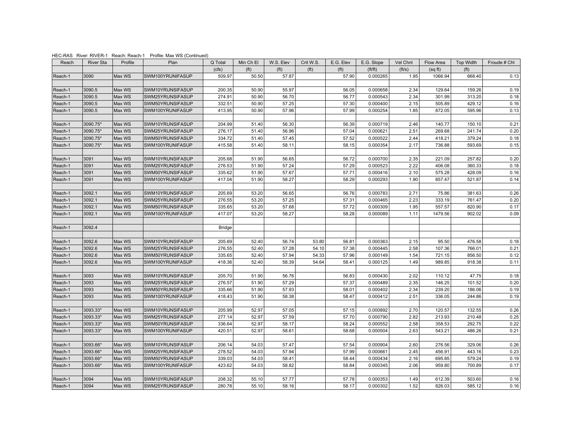| Reach   | <b>River Sta</b> | Profile | Plan             | Q Total       | Min Ch El         | W.S. Elev         | Crit W.S.         | E.G. Elev         | E.G. Slope                  | Vel Chnl | Flow Area | <b>Top Width</b>  | Froude # Chl |
|---------|------------------|---------|------------------|---------------|-------------------|-------------------|-------------------|-------------------|-----------------------------|----------|-----------|-------------------|--------------|
|         |                  |         |                  | (cfs)         | (f <sup>t</sup> ) | (f <sup>t</sup> ) | (f <sup>t</sup> ) | (f <sup>t</sup> ) | $({\text{ft}}/{\text{ft}})$ | (ft/s)   | (sqft)    | (f <sup>t</sup> ) |              |
| Reach-1 | 3090             | Max WS  | SWM100YRUNIFASUP | 509.97        | 50.50             | 57.87             |                   | 57.90             | 0.000265                    | 1.95     | 1066.94   | 668.40            | 0.13         |
|         |                  |         |                  |               |                   |                   |                   |                   |                             |          |           |                   |              |
| Reach-1 | 3090.5           | Max WS  | SWM10YRUNSIFASUP | 200.35        | 50.90             | 55.97             |                   | 56.05             | 0.000658                    | 2.34     | 129.64    | 159.26            | 0.19         |
| Reach-1 | 3090.5           | Max WS  | SWM25YRUNSIFASUP | 274.91        | 50.90             | 56.70             |                   | 56.77             | 0.000543                    | 2.34     | 301.99    | 313.20            | 0.18         |
| Reach-1 | 3090.5           | Max WS  | SWM50YRUNSIFASUP | 332.51        | 50.90             | 57.25             |                   | 57.30             | 0.000400                    | 2.15     | 505.89    | 429.12            | 0.16         |
| Reach-1 | 3090.5           | Max WS  | SWM100YRUNIFASUP | 413.95        | 50.90             | 57.96             |                   | 57.99             | 0.000254                    | 1.85     | 872.05    | 595.96            | 0.13         |
|         |                  |         |                  |               |                   |                   |                   |                   |                             |          |           |                   |              |
| Reach-1 | 3090.75*         | Max WS  | SWM10YRUNSIFASUP | 204.99        | 51.40             | 56.30             |                   | 56.39             | 0.000719                    | 2.46     | 140.77    | 150.10            | 0.21         |
| Reach-1 | 3090.75*         | Max WS  | SWM25YRUNSIFASUP | 276.17        | 51.40             | 56.96             |                   | 57.04             | 0.000621                    | 2.51     | 269.68    | 241.74            | 0.20         |
| Reach-1 | 3090.75*         | Max WS  | SWM50YRUNSIFASUP | 334.72        | 51.40             | 57.45             |                   | 57.52             | 0.000522                    | 2.44     | 418.21    | 379.24            | 0.18         |
| Reach-1 | 3090.75*         | Max WS  | SWM100YRUNIFASUP | 415.58        | 51.40             | 58.11             |                   | 58.15             | 0.000354                    | 2.17     | 736.88    | 593.69            | 0.15         |
|         |                  |         |                  |               |                   |                   |                   |                   |                             |          |           |                   |              |
| Reach-1 | 3091             | Max WS  | SWM10YRUNSIFASUP | 205.68        | 51.90             | 56.65             |                   | 56.72             | 0.000700                    | 2.35     | 221.09    | 257.82            | 0.20         |
| Reach-1 | 3091             | Max WS  | SWM25YRUNSIFASUP | 276.53        | 51.90             | 57.24             |                   | 57.29             | 0.000523                    | 2.22     | 406.08    | 360.33            | 0.18         |
| Reach-1 | 3091             | Max WS  | SWM50YRUNSIFASUP | 335.62        | 51.90             | 57.67             |                   | 57.71             | 0.000416                    | 2.10     | 575.28    | 428.09            | 0.16         |
| Reach-1 | 3091             | Max WS  | SWM100YRUNIFASUP | 417.04        | 51.90             | 58.27             |                   | 58.29             | 0.000293                    | 1.90     | 857.47    | 521.87            | 0.14         |
|         |                  |         |                  |               |                   |                   |                   |                   |                             |          |           |                   |              |
| Reach-1 | 3092.1           | Max WS  | SWM10YRUNSIFASUP | 205.69        | 53.20             | 56.65             |                   | 56.76             | 0.000783                    | 2.71     | 75.86     | 381.63            | 0.26         |
| Reach-1 | 3092.1           | Max WS  | SWM25YRUNSIFASUP | 276.55        | 53.20             | 57.25             |                   | 57.31             | 0.000465                    | 2.23     | 333.19    | 761.47            | 0.20         |
| Reach-1 | 3092.1           | Max WS  | SWM50YRUNSIFASUP | 335.65        | 53.20             | 57.68             |                   | 57.72             | 0.000309                    | 1.95     | 557.57    | 820.90            | 0.17         |
| Reach-1 | 3092.1           | Max WS  | SWM100YRUNIFASUP | 417.07        | 53.20             | 58.27             |                   | 58.28             | 0.000089                    | 1.11     | 1479.56   | 902.02            | 0.09         |
|         |                  |         |                  |               |                   |                   |                   |                   |                             |          |           |                   |              |
| Reach-1 | 3092.4           |         |                  | <b>Bridge</b> |                   |                   |                   |                   |                             |          |           |                   |              |
|         |                  |         |                  |               |                   |                   |                   |                   |                             |          |           |                   |              |
| Reach-1 | 3092.6           | Max WS  | SWM10YRUNSIFASUP | 205.69        | 52.40             | 56.74             | 53.80             | 56.81             | 0.000363                    | 2.15     | 95.50     | 476.58            | 0.18         |
| Reach-1 | 3092.6           | Max WS  | SWM25YRUNSIFASUP | 276.55        | 52.40             | 57.28             | 54.10             | 57.38             | 0.000445                    | 2.58     | 107.36    | 766.01            | 0.21         |
| Reach-1 | 3092.6           | Max WS  | SWM50YRUNSIFASUP | 335.65        | 52.40             | 57.94             | 54.33             | 57.96             | 0.000149                    | 1.54     | 721.15    | 856.50            | 0.12         |
| Reach-1 | 3092.6           | Max WS  | SWM100YRUNIFASUP | 418.36        | 52.40             | 58.39             | 54.64             | 58.41             | 0.000125                    | 1.49     | 989.85    | 918.38            | 0.11         |
|         |                  |         |                  |               |                   |                   |                   |                   |                             |          |           |                   |              |
| Reach-1 | 3093             | Max WS  | SWM10YRUNSIFASUP | 205.70        | 51.90             | 56.76             |                   | 56.83             | 0.000430                    | 2.02     | 110.12    | 47.75             | 0.18         |
| Reach-1 | 3093             | Max WS  | SWM25YRUNSIFASUP | 276.57        | 51.90             | 57.29             |                   | 57.37             | 0.000489                    | 2.35     | 146.25    | 101.52            | 0.20         |
| Reach-1 | 3093             | Max WS  | SWM50YRUNSIFASUP | 335.66        | 51.90             | 57.93             |                   | 58.01             | 0.000402                    | 2.34     | 239.20    | 186.06            | 0.19         |
| Reach-1 | 3093             | Max WS  | SWM100YRUNIFASUP | 418.43        | 51.90             | 58.38             |                   | 58.47             | 0.000412                    | 2.51     | 336.05    | 244.86            | 0.19         |
|         |                  |         |                  |               |                   |                   |                   |                   |                             |          |           |                   |              |
| Reach-1 | 3093.33*         | Max WS  | SWM10YRUNSIFASUP | 205.99        | 52.97             | 57.05             |                   | 57.15             | 0.000892                    | 2.70     | 120.57    | 132.55            | 0.26         |
| Reach-1 | 3093.33*         | Max WS  | SWM25YRUNSIFASUP | 277.14        | 52.97             | 57.59             |                   | 57.70             | 0.000790                    | 2.82     | 213.93    | 210.48            | 0.25         |
| Reach-1 | 3093.33*         | Max WS  | SWM50YRUNSIFASUP | 336.64        | 52.97             | 58.17             |                   | 58.24             | 0.000552                    | 2.58     | 358.53    | 292.75            | 0.22         |
| Reach-1 | 3093.33*         | Max WS  | SWM100YRUNIFASUP | 420.51        | 52.97             | 58.61             |                   | 58.68             | 0.000504                    | 2.63     | 543.21    | 486.26            | 0.21         |
|         |                  |         |                  |               |                   |                   |                   |                   |                             |          |           |                   |              |
| Reach-1 | 3093.66*         | Max WS  | SWM10YRUNSIFASUP | 206.14        | 54.03             | 57.47             |                   | 57.54             | 0.000904                    | 2.60     | 276.56    | 329.06            | 0.26         |
| Reach-1 | 3093.66*         | Max WS  | SWM25YRUNSIFASUP | 278.52        | 54.03             | 57.94             |                   | 57.99             | 0.000661                    | 2.45     | 456.91    | 443.16            | 0.23         |
| Reach-1 | 3093.66*         | Max WS  | SWM50YRUNSIFASUP | 339.03        | 54.03             | 58.41             |                   | 58.44             | 0.000434                    | 2.16     | 695.85    | 579.24            | 0.19         |
| Reach-1 | 3093.66*         | Max WS  | SWM100YRUNIFASUP | 423.62        | 54.03             | 58.82             |                   | 58.84             | 0.000345                    | 2.06     | 959.80    | 700.89            | 0.17         |
|         |                  |         |                  |               |                   |                   |                   |                   |                             |          |           |                   |              |
| Reach-1 | 3094             | Max WS  | SWM10YRUNSIFASUP | 208.32        | 55.10             | 57.77             |                   | 57.78             | 0.000353                    | 1.49     | 612.39    | 503.60            | 0.16         |
| Reach-1 | 3094             | Max WS  | SWM25YRUNSIFASUP | 280.78        | 55.10             | 58.16             |                   | 58.17             | 0.000302                    | 1.52     | 826.03    | 585.12            | 0.16         |

HEC-RAS River: RIVER-1 Reach: Reach-1 Profile: Max WS (Continued)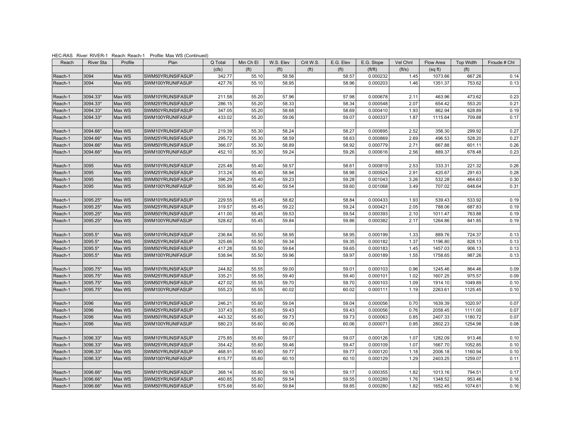| Reach   | <b>River Sta</b> | Profile | Plan             | Q Total | Min Ch El         | W.S. Elev         | Crit W.S.         | E.G. Elev         | E.G. Slope                  | Vel Chnl | Flow Area | <b>Top Width</b>  | Froude # Chl |
|---------|------------------|---------|------------------|---------|-------------------|-------------------|-------------------|-------------------|-----------------------------|----------|-----------|-------------------|--------------|
|         |                  |         |                  | (cfs)   | (f <sup>t</sup> ) | (f <sup>t</sup> ) | (f <sup>t</sup> ) | (f <sup>t</sup> ) | $({\text{ft}}/{\text{ft}})$ | (ft/s)   | (sqft)    | (f <sup>t</sup> ) |              |
| Reach-1 | 3094             | Max WS  | SWM50YRUNSIFASUP | 342.77  | 55.10             | 58.56             |                   | 58.57             | 0.000232                    | 1.45     | 1073.66   | 667.26            | 0.14         |
| Reach-1 | 3094             | Max WS  | SWM100YRUNIFASUP | 427.76  | 55.10             | 58.95             |                   | 58.96             | 0.000203                    | 1.46     | 1351.37   | 753.62            | 0.13         |
|         |                  |         |                  |         |                   |                   |                   |                   |                             |          |           |                   |              |
| Reach-1 | 3094.33*         | Max WS  | SWM10YRUNSIFASUP | 211.58  | 55.20             | 57.96             |                   | 57.98             | 0.000678                    | 2.11     | 463.96    | 473.62            | 0.23         |
| Reach-1 | 3094.33*         | Max WS  | SWM25YRUNSIFASUP | 286.15  | 55.20             | 58.33             |                   | 58.34             | 0.000548                    | 2.07     | 654.42    | 553.20            | 0.21         |
| Reach-1 | 3094.33*         | Max WS  | SWM50YRUNSIFASUP | 347.05  | 55.20             | 58.68             |                   | 58.69             | 0.000410                    | 1.93     | 862.94    | 628.89            | 0.19         |
| Reach-1 | 3094.33*         | Max WS  | SWM100YRUNIFASUP | 433.02  | 55.20             | 59.06             |                   | 59.07             | 0.000337                    | 1.87     | 1115.64   | 709.88            | 0.17         |
|         |                  |         |                  |         |                   |                   |                   |                   |                             |          |           |                   |              |
| Reach-1 | 3094.66*         | Max WS  | SWM10YRUNSIFASUP | 219.39  | 55.30             | 58.24             |                   | 58.27             | 0.000895                    | 2.52     | 356.30    | 299.92            | 0.27         |
| Reach-1 | 3094.66*         | Max WS  | SWM25YRUNSIFASUP | 295.72  | 55.30             | 58.59             |                   | 58.63             | 0.000869                    | 2.69     | 496.53    | 528.20            | 0.27         |
| Reach-1 | 3094.66*         | Max WS  | SWM50YRUNSIFASUP | 366.07  | 55.30             | 58.89             |                   | 58.92             | 0.000779                    | 2.71     | 667.88    | 601.11            | 0.26         |
| Reach-1 | 3094.66*         | Max WS  | SWM100YRUNIFASUP | 452.10  | 55.30             | 59.24             |                   | 59.26             | 0.000616                    | 2.56     | 889.37    | 678.48            | 0.23         |
|         |                  |         |                  |         |                   |                   |                   |                   |                             |          |           |                   |              |
| Reach-1 | 3095             | Max WS  | SWM10YRUNSIFASUP | 225.48  | 55.40             | 58.57             |                   | 58.61             | 0.000819                    | 2.53     | 333.31    | 221.32            | 0.26         |
| Reach-1 | 3095             | Max WS  | SWM25YRUNSIFASUP | 313.24  | 55.40             | 58.94             |                   | 58.98             | 0.000924                    | 2.91     | 420.67    | 291.63            | 0.28         |
| Reach-1 | 3095             | Max WS  | SWM50YRUNSIFASUP | 396.29  | 55.40             | 59.23             |                   | 59.28             | 0.001043                    | 3.26     | 532.28    | 464.63            | 0.30         |
| Reach-1 | 3095             | Max WS  | SWM100YRUNIFASUP | 505.99  | 55.40             | 59.54             |                   | 59.60             | 0.001068                    | 3.49     | 707.02    | 648.64            | 0.31         |
| Reach-1 | 3095.25*         | Max WS  | SWM10YRUNSIFASUP | 229.55  | 55.45             | 58.82             |                   | 58.84             | 0.000433                    | 1.93     | 539.43    | 533.92            | 0.19         |
| Reach-1 | 3095.25*         | Max WS  | SWM25YRUNSIFASUP | 319.57  | 55.45             | 59.22             |                   | 59.24             | 0.000421                    | 2.05     | 788.06    | 687.83            | 0.19         |
| Reach-1 | 3095.25*         | Max WS  | SWM50YRUNSIFASUP | 411.00  | 55.45             | 59.53             |                   | 59.54             | 0.000393                    | 2.10     | 1011.47   | 763.88            | 0.19         |
| Reach-1 | 3095.25*         | Max WS  | SWM100YRUNIFASUP | 528.62  | 55.45             | 59.84             |                   | 59.86             | 0.000382                    | 2.17     | 1264.86   | 841.85            | 0.19         |
|         |                  |         |                  |         |                   |                   |                   |                   |                             |          |           |                   |              |
| Reach-1 | 3095.5*          | Max WS  | SWM10YRUNSIFASUP | 236.84  | 55.50             | 58.95             |                   | 58.95             | 0.000199                    | 1.33     | 889.76    | 724.37            | 0.13         |
| Reach-1 | 3095.5*          | Max WS  | SWM25YRUNSIFASUP | 325.66  | 55.50             | 59.34             |                   | 59.35             | 0.000182                    | 1.37     | 1196.80   | 828.13            | 0.13         |
| Reach-1 | 3095.5*          | Max WS  | SWM50YRUNSIFASUP | 417.28  | 55.50             | 59.64             |                   | 59.65             | 0.000183                    | 1.45     | 1457.03   | 906.13            | 0.13         |
| Reach-1 | 3095.5*          | Max WS  | SWM100YRUNIFASUP | 538.94  | 55.50             | 59.96             |                   | 59.97             | 0.000189                    | 1.55     | 1758.65   | 987.26            | 0.13         |
|         |                  |         |                  |         |                   |                   |                   |                   |                             |          |           |                   |              |
| Reach-1 | 3095.75*         | Max WS  | SWM10YRUNSIFASUP | 244.82  | 55.55             | 59.00             |                   | 59.01             | 0.000103                    | 0.96     | 1245.46   | 864.46            | 0.09         |
| Reach-1 | 3095.75*         | Max WS  | SWM25YRUNSIFASUP | 335.21  | 55.55             | 59.40             |                   | 59.40             | 0.000101                    | 1.02     | 1607.25   | 975.57            | 0.09         |
| Reach-1 | 3095.75*         | Max WS  | SWM50YRUNSIFASUP | 427.02  | 55.55             | 59.70             |                   | 59.70             | 0.000103                    | 1.09     | 1914.10   | 1049.89           | 0.10         |
| Reach-1 | 3095.75*         | Max WS  | SWM100YRUNIFASUP | 555.23  | 55.55             | 60.02             |                   | 60.02             | 0.000111                    | 1.19     | 2263.61   | 1125.45           | 0.10         |
|         |                  |         |                  |         |                   |                   |                   |                   |                             |          |           |                   |              |
| Reach-1 | 3096             | Max WS  | SWM10YRUNSIFASUP | 246.21  | 55.60             | 59.04             |                   | 59.04             | 0.000056                    | 0.70     | 1639.39   | 1020.97           | 0.07         |
| Reach-1 | 3096             | Max WS  | SWM25YRUNSIFASUP | 337.43  | 55.60             | 59.43             |                   | 59.43             | 0.000056                    | 0.76     | 2058.45   | 1111.00           | 0.07         |
| Reach-1 | 3096             | Max WS  | SWM50YRUNSIFASUP | 443.32  | 55.60             | 59.73             |                   | 59.73             | 0.000063                    | 0.85     | 2407.33   | 1180.72           | 0.07         |
| Reach-1 | 3096             | Max WS  | SWM100YRUNIFASUP | 580.23  | 55.60             | 60.06             |                   | 60.06             | 0.000071                    | 0.95     | 2802.23   | 1254.98           | 0.08         |
|         |                  |         |                  |         |                   |                   |                   |                   |                             |          |           |                   |              |
| Reach-1 | 3096.33*         | Max WS  | SWM10YRUNSIFASUP | 275.85  | 55.60             | 59.07             |                   | 59.07             | 0.000126                    | 1.07     | 1282.09   | 913.46            | 0.10         |
| Reach-1 | 3096.33*         | Max WS  | SWM25YRUNSIFASUP | 354.42  | 55.60             | 59.46             |                   | 59.47             | 0.000109                    | 1.07     | 1667.70   | 1052.85           | 0.10         |
| Reach-1 | 3096.33*         | Max WS  | SWM50YRUNSIFASUP | 468.91  | 55.60             | 59.77             |                   | 59.77             | 0.000120                    | 1.18     | 2006.18   | 1160.94           | 0.10         |
| Reach-1 | 3096.33*         | Max WS  | SWM100YRUNIFASUP | 615.77  | 55.60             | 60.10             |                   | 60.10             | 0.000129                    | 1.29     | 2403.25   | 1259.07           | 0.11         |
|         |                  |         |                  |         |                   |                   |                   |                   |                             |          |           |                   |              |
| Reach-1 | 3096.66*         | Max WS  | SWM10YRUNSIFASUP | 368.14  | 55.60             | 59.16             |                   | 59.17             | 0.000355                    | 1.82     | 1013.16   | 794.51            | 0.17         |
| Reach-1 | 3096.66*         | Max WS  | SWM25YRUNSIFASUP | 460.85  | 55.60             | 59.54             |                   | 59.55             | 0.000289                    | 1.76     | 1348.52   | 953.46            | 0.16         |
| Reach-1 | 3096.66*         | Max WS  | SWM50YRUNSIFASUP | 575.68  | 55.60             | 59.84             |                   | 59.85             | 0.000280                    | 1.82     | 1652.45   | 1074.61           | 0.16         |

HEC-RAS River: RIVER-1 Reach: Reach-1 Profile: Max WS (Continued)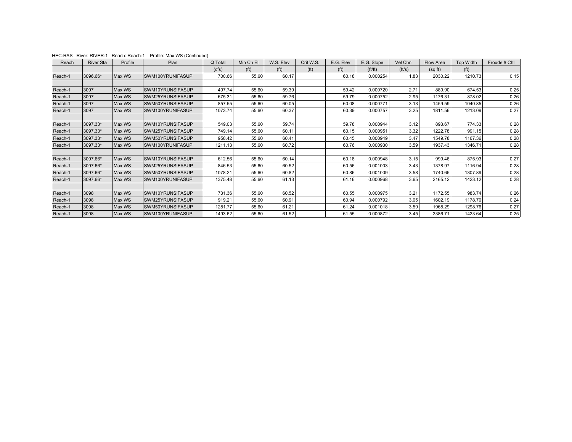| Reach   | <b>River Sta</b> | Profile | Plan             | Q Total | Min Ch El         | W.S. Elev         | Crit W.S.         | E.G. Elev     | E.G. Slope | Vel Chnl | Flow Area | <b>Top Width</b>  | Froude # Chl |
|---------|------------------|---------|------------------|---------|-------------------|-------------------|-------------------|---------------|------------|----------|-----------|-------------------|--------------|
|         |                  |         |                  | (cfs)   | (f <sup>t</sup> ) | (f <sup>t</sup> ) | (f <sup>t</sup> ) | ( <i>ft</i> ) | ft/ft)     | (ft/s)   | (sqft)    | (f <sup>t</sup> ) |              |
| Reach-1 | 3096.66*         | Max WS  | SWM100YRUNIFASUP | 700.66  | 55.60             | 60.17             |                   | 60.18         | 0.000254   | 1.83     | 2030.22   | 1210.73           | 0.15         |
|         |                  |         |                  |         |                   |                   |                   |               |            |          |           |                   |              |
| Reach-1 | 3097             | Max WS  | SWM10YRUNSIFASUP | 497.74  | 55.60             | 59.39             |                   | 59.42         | 0.000720   | 2.71     | 889.90    | 674.53            | 0.25         |
| Reach-1 | 3097             | Max WS  | SWM25YRUNSIFASUP | 675.31  | 55.60             | 59.76             |                   | 59.79         | 0.000752   | 2.95     | 1176.31   | 878.02            | 0.26         |
| Reach-1 | 3097             | Max WS  | SWM50YRUNSIFASUP | 857.55  | 55.60             | 60.05             |                   | 60.08         | 0.000771   | 3.13     | 1459.59   | 1040.85           | 0.26         |
| Reach-1 | 3097             | Max WS  | SWM100YRUNIFASUP | 1073.74 | 55.60             | 60.37             |                   | 60.39         | 0.000757   | 3.25     | 1811.56   | 1213.09           | 0.27         |
|         |                  |         |                  |         |                   |                   |                   |               |            |          |           |                   |              |
| Reach-1 | 3097.33*         | Max WS  | SWM10YRUNSIFASUP | 549.03  | 55.60             | 59.74             |                   | 59.78         | 0.000944   | 3.12     | 893.67    | 774.33            | 0.28         |
| Reach-1 | 3097.33*         | Max WS  | SWM25YRUNSIFASUP | 749.14  | 55.60             | 60.11             |                   | 60.15         | 0.000951   | 3.32     | 1222.78   | 991.15            | 0.28         |
| Reach-1 | 3097.33*         | Max WS  | SWM50YRUNSIFASUP | 958.42  | 55.60             | 60.41             |                   | 60.45         | 0.000949   | 3.47     | 1549.78   | 1167.36           | 0.28         |
| Reach-1 | 3097.33*         | Max WS  | SWM100YRUNIFASUP | 1211.13 | 55.60             | 60.72             |                   | 60.76         | 0.000930   | 3.59     | 1937.43   | 1346.71           | 0.28         |
|         |                  |         |                  |         |                   |                   |                   |               |            |          |           |                   |              |
| Reach-1 | 3097.66*         | Max WS  | SWM10YRUNSIFASUP | 612.56  | 55.60             | 60.14             |                   | 60.18         | 0.000948   | 3.15     | 999.46    | 875.93            | 0.27         |
| Reach-1 | 3097.66*         | Max WS  | SWM25YRUNSIFASUP | 846.53  | 55.60             | 60.52             |                   | 60.56         | 0.001003   | 3.43     | 1378.97   | 1116.94           | 0.28         |
| Reach-1 | 3097.66*         | Max WS  | SWM50YRUNSIFASUP | 1078.21 | 55.60             | 60.82             |                   | 60.86         | 0.001009   | 3.58     | 1740.65   | 1307.89           | 0.28         |
| Reach-1 | 3097.66*         | Max WS  | SWM100YRUNIFASUP | 1375.48 | 55.60             | 61.13             |                   | 61.16         | 0.000968   | 3.65     | 2165.12   | 1423.12           | 0.28         |
|         |                  |         |                  |         |                   |                   |                   |               |            |          |           |                   |              |
| Reach-1 | 3098             | Max WS  | SWM10YRUNSIFASUP | 731.36  | 55.60             | 60.52             |                   | 60.55         | 0.000975   | 3.21     | 1172.55   | 983.74            | 0.26         |
| Reach-1 | 3098             | Max WS  | SWM25YRUNSIFASUP | 919.21  | 55.60             | 60.91             |                   | 60.94         | 0.000792   | 3.05     | 1602.19   | 1178.70           | 0.24         |
| Reach-1 | 3098             | Max WS  | SWM50YRUNSIFASUP | 1281.77 | 55.60             | 61.21             |                   | 61.24         | 0.001018   | 3.59     | 1968.29   | 1298.76           | 0.27         |
| Reach-1 | 3098             | Max WS  | SWM100YRUNIFASUP | 1493.62 | 55.60             | 61.52             |                   | 61.55         | 0.000872   | 3.45     | 2386.71   | 1423.64           | 0.25         |

HEC-RAS River: RIVER-1 Reach: Reach-1 Profile: Max WS (Continued)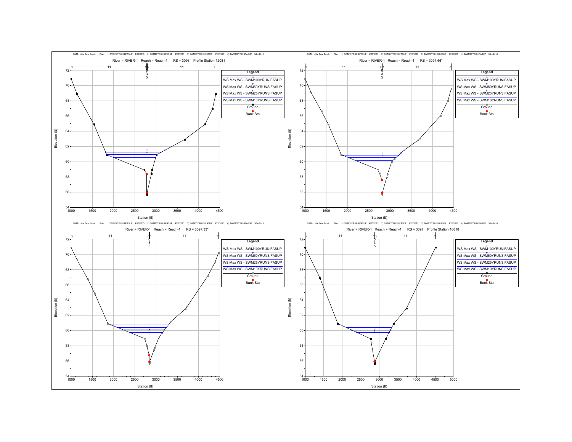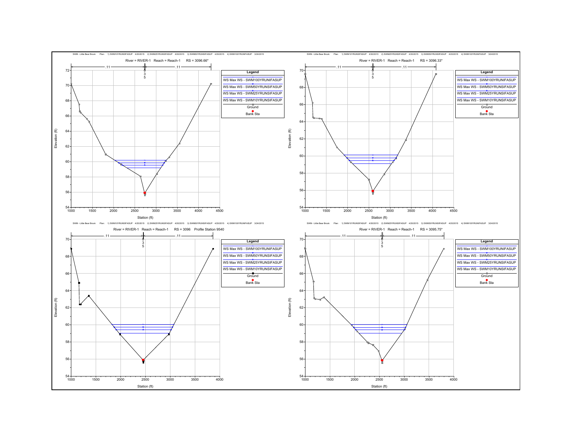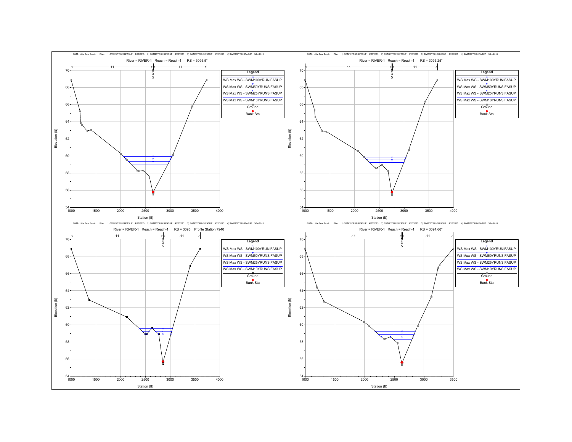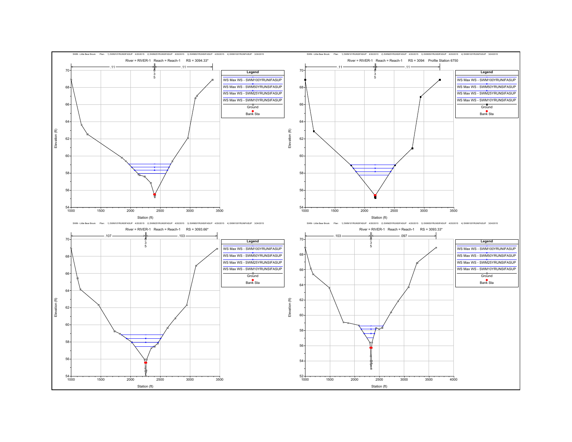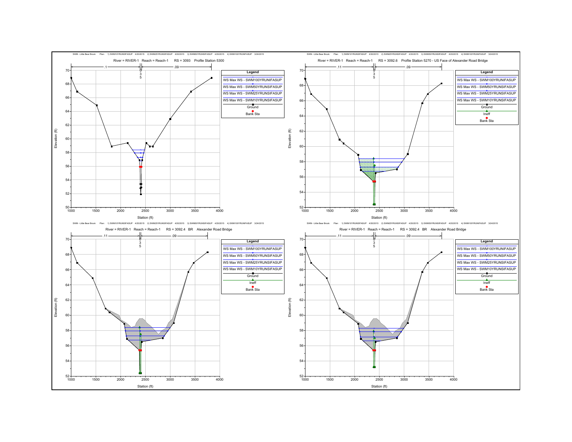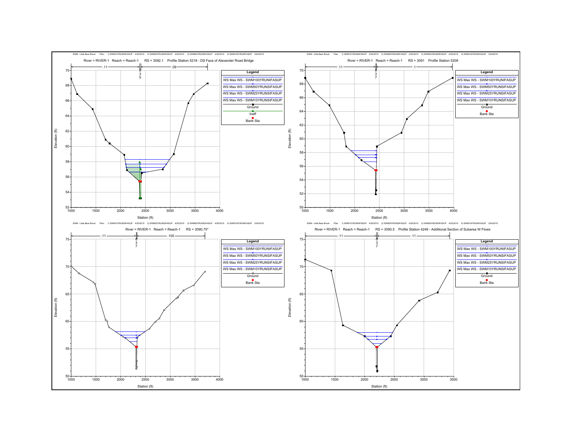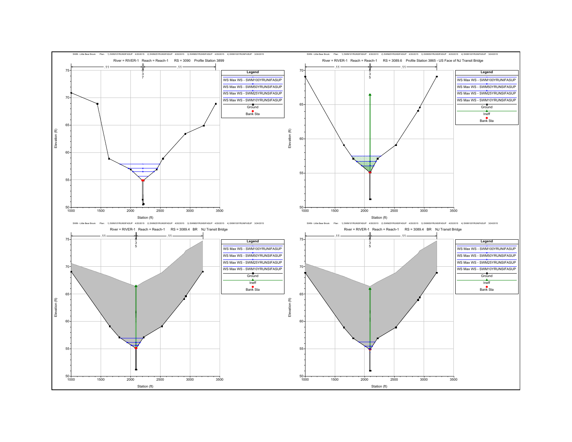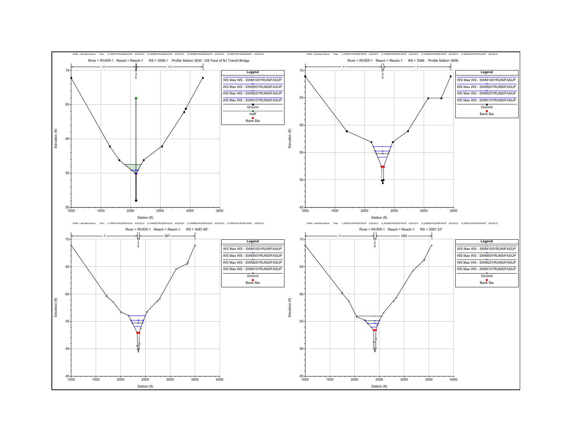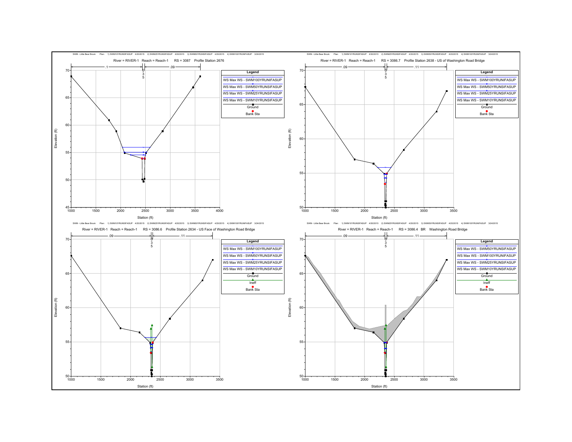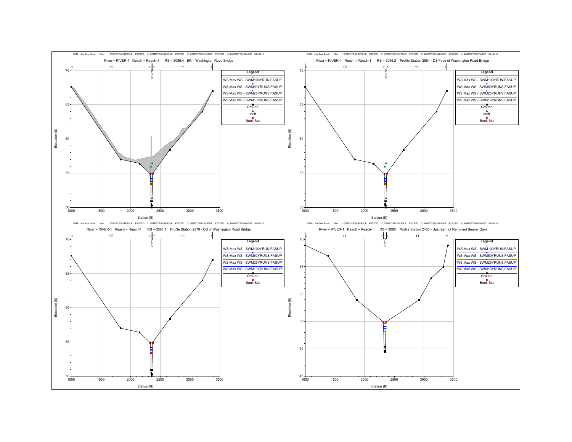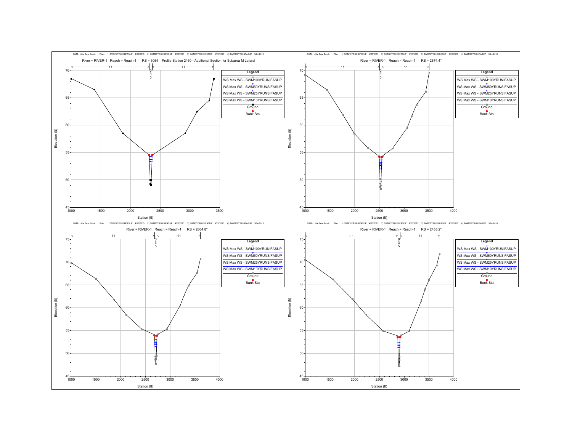